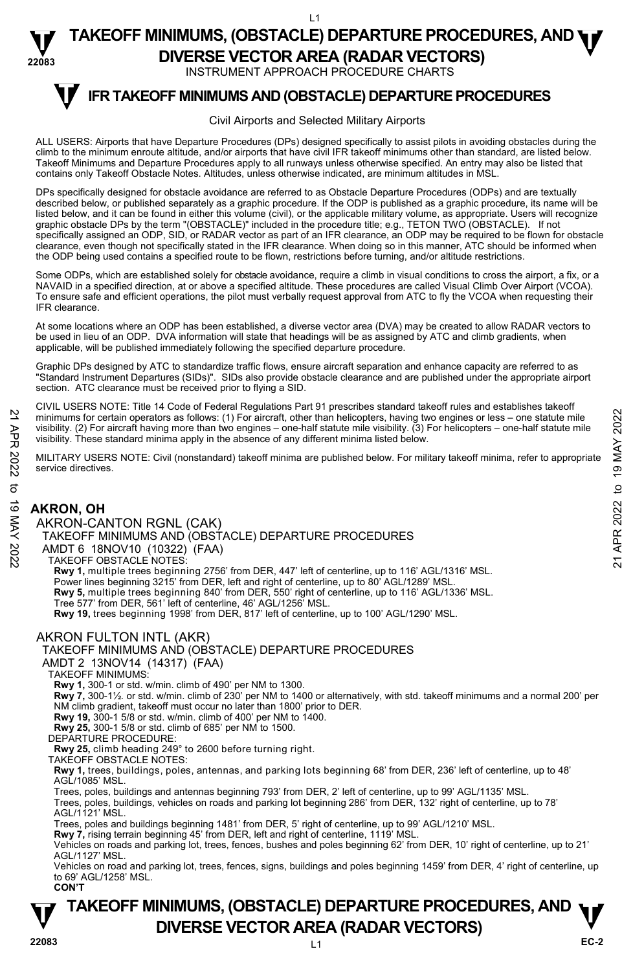INSTRUMENT APPROACH PROCEDURE CHARTS

# **V** IFR TAKEOFF MINIMUMS AND (OBSTACLE) DEPARTURE PROCEDURES

#### Civil Airports and Selected Military Airports

ALL USERS: Airports that have Departure Procedures (DPs) designed specifically to assist pilots in avoiding obstacles during the climb to the minimum enroute altitude, and/or airports that have civil IFR takeoff minimums other than standard, are listed below. Takeoff Minimums and Departure Procedures apply to all runways unless otherwise specified. An entry may also be listed that contains only Takeoff Obstacle Notes. Altitudes, unless otherwise indicated, are minimum altitudes in MSL.

DPs specifically designed for obstacle avoidance are referred to as Obstacle Departure Procedures (ODPs) and are textually described below, or published separately as a graphic procedure. If the ODP is published as a graphic procedure, its name will be<br>listed below, and it can be found in either this volume (civil), or the applicable military graphic obstacle DPs by the term "(OBSTACLE)" included in the procedure title; e.g., TETON TWO (OBSTACLE). If not specifically assigned an ODP, SID, or RADAR vector as part of an IFR clearance, an ODP may be required to be flown for obstacle clearance, even though not specifically stated in the IFR clearance. When doing so in this manner, ATC should be informed when the ODP being used contains a specified route to be flown, restrictions before turning, and/or altitude restrictions.

Some ODPs, which are established solely for obstacle avoidance, require a climb in visual conditions to cross the airport, a fix, or a<br>NAVAID in a specified direction, at or above a specified altitude. These procedures are To ensure safe and efficient operations, the pilot must verbally request approval from ATC to fly the VCOA when requesting their IFR clearance.

At some locations where an ODP has been established, a diverse vector area (DVA) may be created to allow RADAR vectors to be used in lieu of an ODP. DVA information will state that headings will be as assigned by ATC and climb gradients, when applicable, will be published immediately following the specified departure procedure.

Graphic DPs designed by ATC to standardize traffic flows, ensure aircraft separation and enhance capacity are referred to as "Standard Instrument Departures (SIDs)". SIDs also provide obstacle clearance and are published under the appropriate airport section. ATC clearance must be received prior to flying a SID.

CIVIL USERS NOTE: Title 14 Code of Federal Regulations Part 91 prescribes standard takeoff rules and establishes takeoff minimums for certain operators as follows: (1) For aircraft, other than helicopters, having two engines or less – one statute mile visibility. (2) For aircraft having more than two engines – one-half statute mile visibility. (3) For helicopters – one-half statute mile visibility. These standard minima apply in the absence of any different minima listed below.

MILITARY USERS NOTE: Civil (nonstandard) takeoff minima are published below. For military takeoff minima, refer to appropriate service directives.

## **AKRON, OH**

AKRON-CANTON RGNL (CAK) TAKEOFF MINIMUMS AND (OBSTACLE) DEPARTURE PROCEDURES AMDT 6 18NOV10 (10322) (FAA) TAKEOFF OBSTACLE NOTES: **Rwy 1,** multiple trees beginning 2756' from DER, 447' left of centerline, up to 116' AGL/1316' MSL. Power lines beginning 3215' from DER, left and right of centerline, up to 80' AGL/1289' MSL. **Rwy 5,** multiple trees beginning 840' from DER, 550' right of centerline, up to 116' AGL/1336' MSL. Tree 577' from DER, 561' left of centerline, 46' AGL/1256' MSL. 21 minimums for certain operators as follows: (1) For aircraft, other than helicopters, having two engines or less – one statute mile<br>
visibility. (2) For aircraft having more than two engines – one-half statute mile visi

**Rwy 19,** trees beginning 1998' from DER, 817' left of centerline, up to 100' AGL/1290' MSL.

### AKRON FULTON INTL (AKR)

#### TAKEOFF MINIMUMS AND (OBSTACLE) DEPARTURE PROCEDURES

AMDT 2 13NOV14 (14317) (FAA)

TAKEOFF MINIMUMS:

**Rwy 1,** 300-1 or std. w/min. climb of 490' per NM to 1300.

**Rwy 7,** 300-1½*.* or std. w/min. climb of 230' per NM to 1400 or alternatively, with std. takeoff minimums and a normal 200' per NM climb gradient, takeoff must occur no later than 1800' prior to DER.

**Rwy 19,** 300-1 5/8 or std. w/min. climb of 400' per NM to 1400.

**Rwy 25,** 300-1 5/8 or std. climb of 685' per NM to 1500.

DEPARTURE PROCEDURE:

**Rwy 25,** climb heading 249° to 2600 before turning right.

TAKEOFF OBSTACLE NOTES: **Rwy 1,** trees, buildings, poles, antennas, and parking lots beginning 68' from DER, 236' left of centerline, up to 48' AGL/1085' MSL.

Trees, poles, buildings and antennas beginning 793' from DER, 2' left of centerline, up to 99' AGL/1135' MSL.<br>Trees, poles, buildings, vehicles on roads and parking lot beginning 286' from DER, 132' right of centerline, up AGL/1121' MSL.

Trees, poles and buildings beginning 1481' from DER, 5' right of centerline, up to 99' AGL/1210' MSL.

**Rwy 7,** rising terrain beginning 45' from DER, left and right of centerline, 1119' MSL.

Vehicles on roads and parking lot, trees, fences, bushes and poles beginning 62' from DER, 10' right of centerline, up to 21' AGL/1127' MSL.

Vehicles on road and parking lot, trees, fences, signs, buildings and poles beginning 1459' from DER, 4' right of centerline, up to 69' AGL/1258' MSL. **CON'T**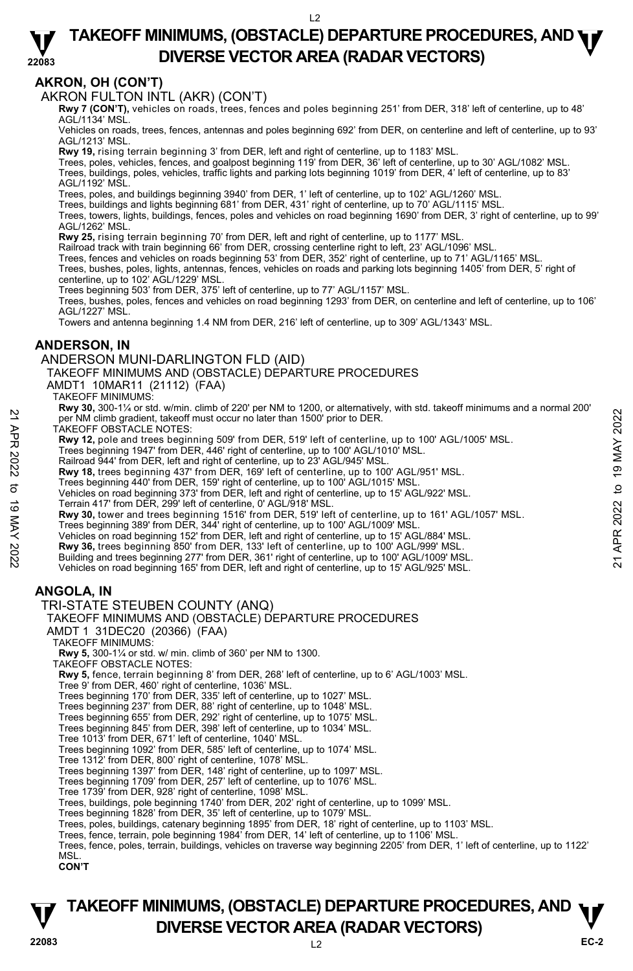#### **22083 TAKEOFF MINIMUMS, (OBSTACLE) DEPARTURE PROCEDURES, AND <b>WE**<br>DREBSE VECTOR AREA (BADAR VECTORS) **DIVERSE VECTOR AREA (RADAR VECTORS)**

# **AKRON, OH (CON'T)**

AKRON FULTON INTL (AKR) (CON'T)

 **Rwy 7 (CON'T),** vehicles on roads, trees, fences and poles beginning 251' from DER, 318' left of centerline, up to 48' AGL/1134' MSL.

Vehicles on roads, trees, fences, antennas and poles beginning 692' from DER, on centerline and left of centerline, up to 93' AGL/1213' MSL.

**Rwy 19,** rising terrain beginning 3' from DER, left and right of centerline, up to 1183' MSL.

Trees, poles, vehicles, fences, and goalpost beginning 119' from DER, 36' left of centerline, up to 30' AGL/1082' MSL. Trees, buildings, poles, vehicles, traffic lights and parking lots beginning 1019' from DER, 4' left of centerline, up to 83' AGL/1192' MSL.

Trees, poles, and buildings beginning 3940' from DER, 1' left of centerline, up to 102' AGL/1260' MSL.

Trees, buildings and lights beginning 681' from DER, 431' right of centerline, up to 70' AGL/1115' MSL.

Trees, towers, lights, buildings, fences, poles and vehicles on road beginning 1690' from DER, 3' right of centerline, up to 99' AGL/1262' MSL.

**Rwy 25,** rising terrain beginning 70' from DER, left and right of centerline, up to 1177' MSL.

Railroad track with train beginning 66' from DER, crossing centerline right to left, 23' AGL/1096' MSL.

Trees, fences and vehicles on roads beginning 53' from DER, 352' right of centerline, up to 71' AGL/1165' MSL.<br>Trees, bushes, poles, lights, antennas, fences, vehicles on roads and parking lots beginning 1405' from DER, 5' centerline, up to 102' AGL/1229' MSL.

Trees beginning 503' from DER, 375' left of centerline, up to 77' AGL/1157' MSL.

Trees, bushes, poles, fences and vehicles on road beginning 1293' from DER, on centerline and left of centerline, up to 106' AGL/1227' MSL.

Towers and antenna beginning 1.4 NM from DER, 216' left of centerline, up to 309' AGL/1343' MSL.

### **ANDERSON, IN**

#### ANDERSON MUNI-DARLINGTON FLD (AID)

TAKEOFF MINIMUMS AND (OBSTACLE) DEPARTURE PROCEDURES

AMDT1 10MAR11 (21112) (FAA)

TAKEOFF MINIMUMS:

**Rwy 30,** 300-1¼ or std. w/min. climb of 220' per NM to 1200, or alternatively, with std. takeoff minimums and a normal 200' per NM climb gradient, takeoff must occur no later than 1500' prior to DER.

TAKEOFF OBSTACLE NOTES:

**Rwy 12,** pole and trees beginning 509' from DER, 519' left of centerline, up to 100' AGL/1005' MSL.<br>Trees beginning 1947' from DER, 446' right of centerline, up to 100' AGL/1010' MSL.

Railroad 944' from DER, left and right of centerline, up to 23' AGL/945' MSL.

**Rwy 18,** trees beginning 437' from DER, 169' left of centerline, up to 100' AGL/951' MSL.<br>Trees beginning 440' from DER, 159' right of centerline, up to 100' AGL/1015' MSL.

Vehicles on road beginning 373' from DER, left and right of centerline, up to 15' AGL/922' MSL.

Terrain 417' from DER, 299' left of centerline, 0' AGL/918' MSL.

**Rwy 30,** tower and trees beginning 1516' from DER, 519' left of centerline, up to 161' AGL/1057' MSL. Trees beginning 389' from DER, 344' right of centerline, up to 100' AGL/1009' MSL. 22 May 20, both Vac Homes beginning of the May 2021 for the CCC-RSTACLE NOW 2022 MSL.<br>
These beginning 1947 from DER, 446 right of centerline, up to 100' AGL/1010' MSL.<br>
Trees beginning 1947 from DER, 446 right of centerli

Vehicles on road beginning 152' from DER, left and right of centerline, up to 15' AGL/884' MSL.

**Rwy 36,** trees beginning 850' from DER, 133' left of centerline, up to 100' AGL/999' MSL.

Building and trees beginning 277' from DER, 361' right of centerline, up to 100' AGL/1009' MSL.

Vehicles on road beginning 165' from DER, left and right of centerline, up to 15' AGL/925' MSL.

### **ANGOLA, IN**

#### TRI-STATE STEUBEN COUNTY (ANQ)

#### TAKEOFF MINIMUMS AND (OBSTACLE) DEPARTURE PROCEDURES

AMDT 1 31DEC20 (20366) (FAA)

TAKEOFF MINIMUMS:

**Rwy 5,** 300-1¼ or std. w/ min. climb of 360' per NM to 1300. TAKEOFF OBSTACLE NOTES:

**Rwy 5,** fence, terrain beginning 8' from DER, 268' left of centerline, up to 6' AGL/1003' MSL.

Tree 9' from DER, 460' right of centerline, 1036' MSL.

Trees beginning 170' from DER, 335' left of centerline, up to 1027' MSL. Trees beginning 237' from DER, 88' right of centerline, up to 1048' MSL.

Trees beginning 655' from DER, 292' right of centerline, up to 1075' MSL.

Trees beginning 845' from DER, 398' left of centerline, up to 1034' MSL.

Tree 1013' from DER, 671' left of centerline, 1040' MSL.

Trees beginning 1092' from DER, 585' left of centerline, up to 1074' MSL.

Tree 1312' from DER, 800' right of centerline, 1078' MSL.

Trees beginning 1397' from DER, 148' right of centerline, up to 1097' MSL. Trees beginning 1709' from DER, 257' left of centerline, up to 1076' MSL.

Tree 1739' from DER, 928' right of centerline, 1098' MSL.

Trees, buildings, pole beginning 1740' from DER, 202' right of centerline, up to 1099' MSL. Trees beginning 1828' from DER, 35' left of centerline, up to 1079' MSL.

Trees, poles, buildings, catenary beginning 1895' from DER, 18' right of centerline, up to 1103' MSL.

Trees, fence, terrain, pole beginning 1984' from DER, 14' left of centerline, up to 1106' MSL.

Trees, fence, poles, terrain, buildings, vehicles on traverse way beginning 2205' from DER, 1' left of centerline, up to 1122' MSL.

**CON'T**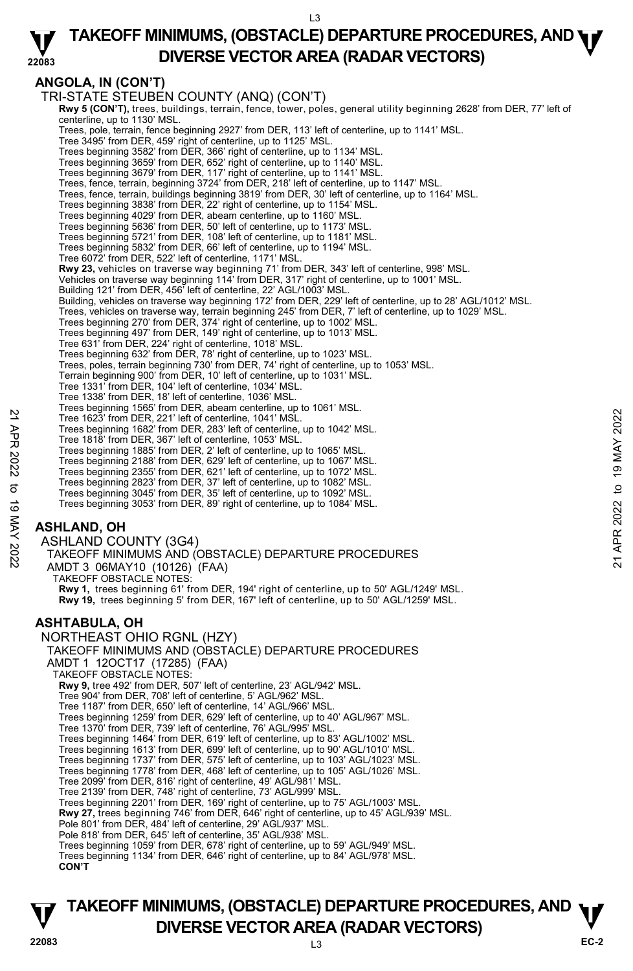#### **22083 TAKEOFF MINIMUMS, (OBSTACLE) DEPARTURE PROCEDURES, AND <b>WE**<br>DREBSE VECTOR AREA (BADAR VECTORS) **DIVERSE VECTOR AREA (RADAR VECTORS)**

# **ANGOLA, IN (CON'T)**

TRI-STATE STEUBEN COUNTY (ANQ) (CON'T) **Rwy 5 (CON'T),** trees, buildings, terrain, fence, tower, poles, general utility beginning 2628' from DER, 77' left of centerline, up to 1130' MSL. Trees, pole, terrain, fence beginning 2927' from DER, 113' left of centerline, up to 1141' MSL. Tree 3495' from DER, 459' right of centerline, up to 1125' MSL. Trees beginning 3582' from DER, 366' right of centerline, up to 1134' MSL. Trees beginning 3659' from DER, 652' right of centerline, up to 1140' MSL. Trees beginning 3679' from DER, 117' right of centerline, up to 1141' MSL. Trees, fence, terrain, beginning 3724' from DER, 218' left of centerline, up to 1147' MSL. Trees, fence, terrain, buildings beginning 3819' from DER, 30' left of centerline, up to 1164' MSL. Trees beginning 3838' from DER, 22' right of centerline, up to 1154' MSL. Trees beginning 4029' from DER, abeam centerline, up to 1160' MSL. Trees beginning 5636' from DER, 50' left of centerline, up to 1173' MSL. Trees beginning 5721' from DER, 108' left of centerline, up to 1181' MSL. Trees beginning 5832' from DER, 66' left of centerline, up to 1194' MSL. Tree 6072' from DER, 522' left of centerline, 1171' MSL. **Rwy 23,** vehicles on traverse way beginning 71' from DER, 343' left of centerline, 998' MSL. Vehicles on traverse way beginning 114' from DER, 317' right of centerline, up to 1001' MSL. Building 121' from DER, 456' left of centerline, 22' AGL/1003' MSL. Building, vehicles on traverse way beginning 172' from DER, 229' left of centerline, up to 28' AGL/1012' MSL. Trees, vehicles on traverse way, terrain beginning 245' from DER, 7' left of centerline, up to 1029' MSL.<br>Trees beginning 270' from DER, 374' right of centerline, up to 1002' MSL.<br>Trees beginning 497' from DER, 149' right Tree 631' from DER, 224' right of centerline, 1018' MSL. Trees beginning 632' from DER, 78' right of centerline, up to 1023' MSL. Trees, poles, terrain beginning 730' from DER, 74' right of centerline, up to 1053' MSL. Terrain beginning 900' from DER, 10' left of centerline, up to 1031' MSL. Tree 1331' from DER, 104' left of centerline, 1034' MSL. Tree 1338' from DER, 18' left of centerline, 1036' MSL. Trees beginning 1565' from DER, abeam centerline, up to 1061' MSL. Tree 1623' from DER, 221' left of centerline, 1041' MSL. Trees beginning 1682' from DER, 283' left of centerline, up to 1042' MSL. Tree 1818' from DER, 367' left of centerline, 1053' MSL. Trees beginning 1885' from DER, 2' left of centerline, up to 1065' MSL. Trees beginning 2188' from DER, 629' left of centerline, up to 1067' MSL. Trees beginning 2355' from DER, 621' left of centerline, up to 1072' MSL. Trees beginning 2823' from DER, 37' left of centerline, up to 1082' MSL. Trees beginning 3045' from DER, 35' left of centerline, up to 1092' MSL. Trees beginning 3053' from DER, 89' right of centerline, up to 1084' MSL. **ASHLAND, OH**  ASHLAND COUNTY (3G4) TAKEOFF MINIMUMS AND (OBSTACLE) DEPARTURE PROCEDURES AMDT 3 06MAY10 (10126) (FAA) TAKEOFF OBSTACLE NOTES: **Rwy 1,** trees beginning 61' from DER, 194' right of centerline, up to 50' AGL/1249' MSL. **Rwy 19,** trees beginning 5' from DER, 167' left of centerline, up to 50' AGL/1259' MSL. **ASHTABULA, OH**  NORTHEAST OHIO RGNL (HZY) TAKEOFF MINIMUMS AND (OBSTACLE) DEPARTURE PROCEDURES AMDT 1 12OCT17 (17285) (FAA) TAKEOFF OBSTACLE NOTES: **Rwy 9,** tree 492' from DER, 507' left of centerline, 23' AGL/942' MSL. Tree 904' from DER, 708' left of centerline, 5' AGL/962' MSL. Tree 1187' from DER, 650' left of centerline, 14' AGL/966' MSL. Trees beginning 1259' from DER, 629' left of centerline, up to 40' AGL/967' MSL. Tree 1370' from DER, 739' left of centerline, 76' AGL/995' MSL. Trees beginning 1464' from DER, 619' left of centerline, up to 83' AGL/1002' MSL. Trees beginning 1613' from DER, 699' left of centerline, up to 90' AGL/1010' MSL. Trees beginning 1737' from DER, 575' left of centerline, up to 103' AGL/1023' MSL. Trees beginning 1778' from DER, 468' left of centerline, up to 105' AGL/1026' MSL. Tree 2099' from DER, 816' right of centerline, 49' AGL/981' MSL. Tree 2139' from DER, 748' right of centerline, 73' AGL/999' MSL. Trees beginning 2201' from DER, 169' right of centerline, up to 75' AGL/1003' MSL.<br>**Rwy 27,** trees beginning 746' from DER, 646' right of centerline, up to 45' AGL/939' MSL. Pole 801' from DER, 484' left of centerline, 29' AGL/937' MSL. Pole 818' from DER, 645' left of centerline, 35' AGL/938' MSL. Trees beginning 1059' from DER, 678' right of centerline, up to 59' AGL/949' MSL. Trees beginning 1134' from DER, 646' right of centerline, up to 84' AGL/978' MSL. **CON'T** Tree 1623' from DER, 221' left of centerline, 1041' MSL.<br>
Tree 1623' from DER, 221' left of centerline, 1041' MSL.<br>
Tree 1623' from DER, 367' left of centerline, 1053' MSL.<br>
Tree 1818' from DER, 367' left of centerline, up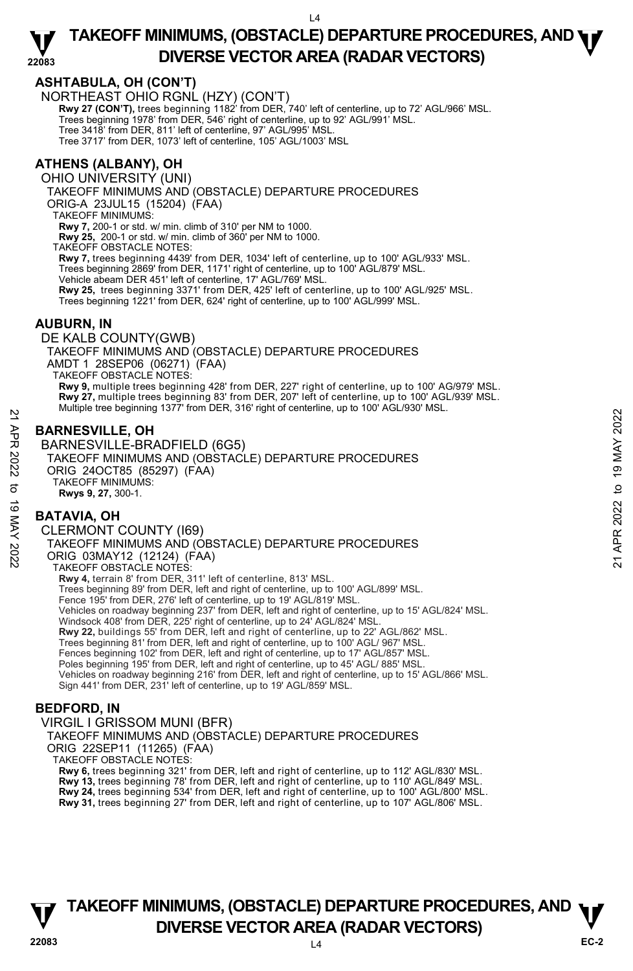## **ASHTABULA, OH (CON'T)**

NORTHEAST OHIO RGNL (HZY) (CON'T)

**Rwy 27 (CON'T),** trees beginning 1182' from DER, 740' left of centerline, up to 72' AGL/966' MSL.<br>Trees beginning 1978' from DER, 546' right of centerline, up to 92' AGL/991' MSL.

Tree 3418' from DER, 811' left of centerline, 97' AGL/995' MSL.

Tree 3717' from DER, 1073' left of centerline, 105' AGL/1003' MSL

# **ATHENS (ALBANY), OH**

OHIO UNIVERSITY (UNI)

TAKEOFF MINIMUMS AND (OBSTACLE) DEPARTURE PROCEDURES

ORIG-A 23JUL15 (15204) (FAA)

TAKEOFF MINIMUMS:

**Rwy 7,** 200-1 or std. w/ min. climb of 310' per NM to 1000.

**Rwy 25,** 200-1 or std. w/ min. climb of 360' per NM to 1000.

TAKEOFF OBSTACLE NOTES:

**Rwy 7,** trees beginning 4439' from DER, 1034' left of centerline, up to 100' AGL/933' MSL.<br>Trees beginning 2869' from DER, 1171' right of centerline, up to 100' AGL/879' MSL.

Vehicle abeam DER 451' left of centerline, 17' AGL/769' MSL.

**Rwy 25,** trees beginning 3371' from DER, 425' left of centerline, up to 100' AGL/925' MSL. Trees beginning 1221' from DER, 624' right of centerline, up to 100' AGL/999' MSL.

#### **AUBURN, IN**

DE KALB COUNTY(GWB) TAKEOFF MINIMUMS AND (OBSTACLE) DEPARTURE PROCEDURES AMDT 1 28SEP06 (06271) (FAA) TAKEOFF OBSTACLE NOTES: **Rwy 9,** multiple trees beginning 428' from DER, 227' right of centerline, up to 100' AG/979' MSL. **Rwy 27,** multiple trees beginning 83' from DER, 207' left of centerline, up to 100' AGL/939' MSL.<br>Multiple tree beginning 1377' from DER, 316' right of centerline, up to 100' AGL/930' MSL.

### **BARNESVILLE, OH**

BARNESVILLE-BRADFIELD (6G5) TAKEOFF MINIMUMS AND (OBSTACLE) DEPARTURE PROCEDURES ORIG 24OCT85 (85297) (FAA) TAKEOFF MINIMUMS: **Rwys 9, 27,** 300-1. 22<br> **BARNESVILLE, OH**<br>
BARNESVILLE-BRADFIELD (6G5)<br>
TAKEOFF MINIMUMS AND (OBSTACLE) DEPARTURE PROCEDURES<br>
ORIG 240CT85 (85297) (FAA)<br>
ORIG 240CT85 (85297) (FAA)<br>
TAKEOFF MINIMUMS:<br> **BATAVIA, OH**<br>
CLERMONT COUNTY (I69)<br>
TA

### **BATAVIA, OH**

CLERMONT COUNTY (I69) TAKEOFF MINIMUMS AND (OBSTACLE) DEPARTURE PROCEDURES ORIG 03MAY12 (12124) (FAA) TAKEOFF OBSTACLE NOTES: **Rwy 4,** terrain 8' from DER, 311' left of centerline, 813' MSL. Trees beginning 89' from DER, left and right of centerline, up to 100' AGL/899' MSL. Fence 195' from DER, 276' left of centerline, up to 19' AGL/819' MSL. Vehicles on roadway beginning 237' from DER, left and right of centerline, up to 15' AGL/824' MSL. Windsock 408' from DER, 225' right of centerline, up to 24' AGL/824' MSL.<br>**Rwy 22,** buildings 55' from DER, left and right of centerline, up to 22' AGL/862' MSL. Trees beginning 81' from DER, left and right of centerline, up to 100' AGL/ 967' MSL. Fences beginning 102' from DER, left and right of centerline, up to 17' AGL/857' MSL. Poles beginning 195' from DER, left and right of centerline, up to 45' AGL/ 885' MSL. Vehicles on roadway beginning 216' from DER, left and right of centerline, up to 15' AGL/866' MSL. Sign 441' from DER, 231' left of centerline, up to 19' AGL/859' MSL.

### **BEDFORD, IN**

VIRGIL I GRISSOM MUNI (BFR) TAKEOFF MINIMUMS AND (OBSTACLE) DEPARTURE PROCEDURES ORIG 22SEP11 (11265) (FAA) TAKEOFF OBSTACLE NOTES: **Rwy 6,** trees beginning 321' from DER, left and right of centerline, up to 112' AGL/830' MSL. **Rwy 13,** trees beginning 78' from DER, left and right of centerline, up to 110' AGL/849' MSL. **Rwy 24,** trees beginning 534' from DER, left and right of centerline, up to 100' AGL/800' MSL.

**Rwy 31,** trees beginning 27' from DER, left and right of centerline, up to 107' AGL/806' MSL.

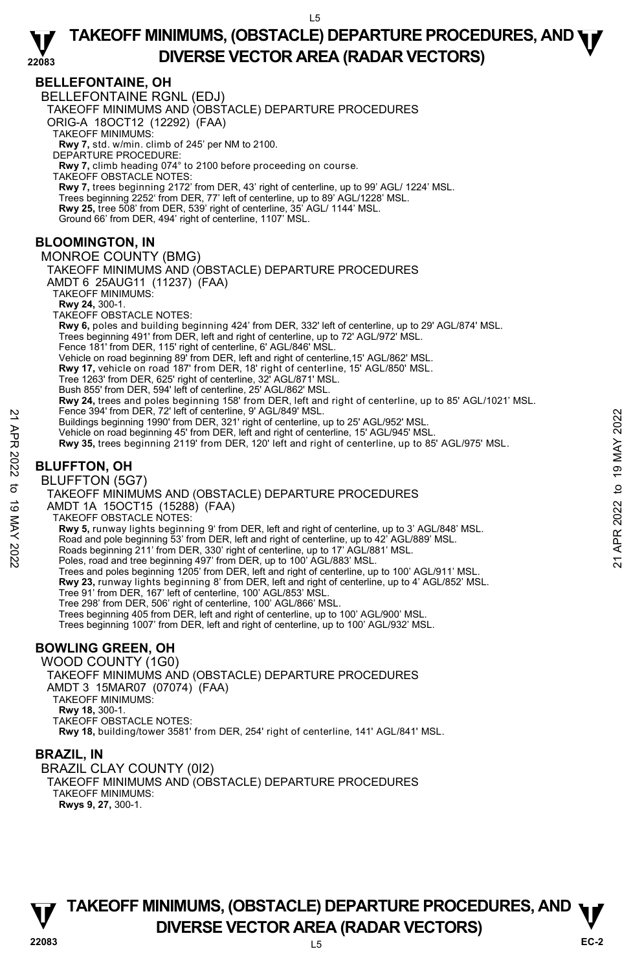### **BELLEFONTAINE, OH**

BELLEFONTAINE RGNL (EDJ)

TAKEOFF MINIMUMS AND (OBSTACLE) DEPARTURE PROCEDURES

ORIG-A 18OCT12 (12292) (FAA)

TAKEOFF MINIMUMS:

**Rwy 7,** std. w/min. climb of 245' per NM to 2100. DEPARTURE PROCEDURE:

**Rwy 7,** climb heading 074° to 2100 before proceeding on course.

TAKEOFF OBSTACLE NOTES:

**Rwy 7,** trees beginning 2172' from DER, 43' right of centerline, up to 99' AGL/ 1224' MSL.<br>Trees beginning 2252' from DER, 77' left of centerline, up to 89' AGL/1228' MSL. **Rwy 25,** tree 508' from DER, 539' right of centerline, 35' AGL/ 1144' MSL.

Ground 66' from DER, 494' right of centerline, 1107' MSL.

# **BLOOMINGTON, IN**

MONROE COUNTY (BMG) TAKEOFF MINIMUMS AND (OBSTACLE) DEPARTURE PROCEDURES AMDT 6 25AUG11 (11237) (FAA) TAKEOFF MINIMUMS: **Rwy 24,** 300-1. TAKEOFF OBSTACLE NOTES: **Rwy 6,** poles and building beginning 424' from DER, 332' left of centerline, up to 29' AGL/874' MSL.<br>Trees beginning 491' from DER, left and right of centerline, up to 72' AGL/972' MSL. Fence 181' from DER, 115' right of centerline, 6' AGL/846' MSL. Vehicle on road beginning 89' from DER, left and right of centerline,15' AGL/862' MSL. **Rwy 17,** vehicle on road 187' from DER, 18' right of centerline, 15' AGL/850' MSL.<br>Tree 1263' from DER, 625' right of centerline, 32' AGL/871' MSL. Bush 855' from DER, 594' left of centerline, 25' AGL/862' MSL. **Rwy 24,** trees and poles beginning 158' from DER, left and right of centerline, up to 85' AGL/1021' MSL. Fence 394' from DER, 72' left of centerline, 9' AGL/849' MSL. Buildings beginning 1990' from DER, 321' right of centerline, up to 25' AGL/952' MSL. Vehicle on road beginning 45' from DER, left and right of centerline, 15' AGL/945' MSL. **Rwy 35,** trees beginning 2119' from DER, 120' left and right of centerline, up to 85' AGL/975' MSL. **BLUFFTON, OH**  Pence 394 rrom DER, 22 trett of centerline, y RGL/842' MSL.<br>
Buildings beginning 1990' from DER, 321' right of centerline, up to 25' AGL/952' MSL.<br>
Vehicle on road beginning 45' from DER, 120' left and right of centerline

### BLUFFTON (5G7)

TAKEOFF MINIMUMS AND (OBSTACLE) DEPARTURE PROCEDURES

AMDT 1A 15OCT15 (15288) (FAA)

TAKEOFF OBSTACLE NOTES:

**Rwy 5,** runway lights beginning 9' from DER, left and right of centerline, up to 3' AGL/848' MSL.

Road and pole beginning 53' from DER, left and right of centerline, up to 42' AGL/889' MSL.

Roads beginning 211' from DER, 330' right of centerline, up to 17' AGL/881' MSL.

Poles, road and tree beginning 497' from DER, up to 100' AGL/883' MSL.

Trees and poles beginning 1205' from DER, left and right of centerline, up to 100' AGL/911' MSL.

**Rwy 23,** runway lights beginning 8' from DER, left and right of centerline, up to 4' AGL/852' MSL.<br>Tree 91' from DER, 167' left of centerline, 100' AGL/853' MSL.

Tree 298' from DER, 506' right of centerline, 100' AGL/866' MSL.

Trees beginning 405 from DER, left and right of centerline, up to 100' AGL/900' MSL.

Trees beginning 1007' from DER, left and right of centerline, up to 100' AGL/932' MSL.

# **BOWLING GREEN, OH**

WOOD COUNTY (1G0) TAKEOFF MINIMUMS AND (OBSTACLE) DEPARTURE PROCEDURES AMDT 3 15MAR07 (07074) (FAA) TAKEOFF MINIMUMS: **Rwy 18,** 300-1. TAKEOFF OBSTACLE NOTES: **Rwy 18,** building/tower 3581' from DER, 254' right of centerline, 141' AGL/841' MSL.

# **BRAZIL, IN**

BRAZIL CLAY COUNTY (0I2) TAKEOFF MINIMUMS AND (OBSTACLE) DEPARTURE PROCEDURES TAKEOFF MINIMUMS: **Rwys 9, 27,** 300-1.

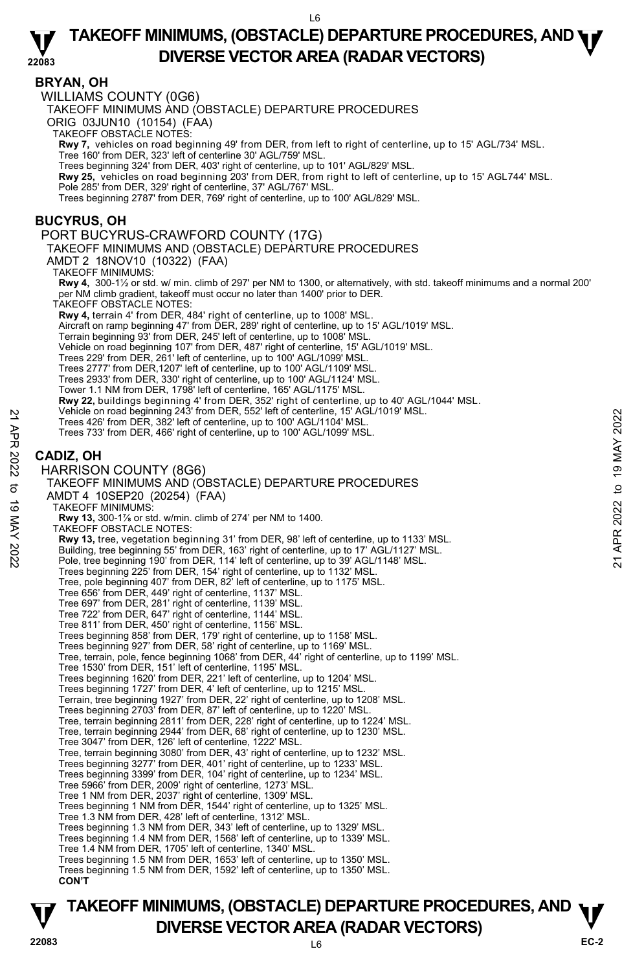### **BRYAN, OH**

WILLIAMS COUNTY (0G6)

TAKEOFF MINIMUMS AND (OBSTACLE) DEPARTURE PROCEDURES

ORIG 03JUN10 (10154) (FAA)

TAKEOFF OBSTACLE NOTES:

**Rwy 7,** vehicles on road beginning 49' from DER, from left to right of centerline, up to 15' AGL/734' MSL.

Tree 160' from DER, 323' left of centerline 30' AGL/759' MSL. Trees beginning 324' from DER, 403' right of centerline, up to 101' AGL/829' MSL.

**Rwy 25,** vehicles on road beginning 203' from DER, from right to left of centerline, up to 15' AGL744' MSL.

Pole 285' from DER, 329' right of centerline, 37' AGL/767' MSL.

Trees beginning 2787' from DER, 769' right of centerline, up to 100' AGL/829' MSL.

### **BUCYRUS, OH**

#### PORT BUCYRUS-CRAWFORD COUNTY (17G)

TAKEOFF MINIMUMS AND (OBSTACLE) DEPARTURE PROCEDURES

AMDT 2 18NOV10 (10322) (FAA)

TAKEOFF MINIMUMS:

**Rwy 4,** 300-1½ or std. w/ min. climb of 297' per NM to 1300, or alternatively, with std. takeoff minimums and a normal 200' per NM climb gradient, takeoff must occur no later than 1400' prior to DER. TAKEOFF OBSTACLE NOTES:

**Rwy 4,** terrain 4' from DER, 484' right of centerline, up to 1008' MSL.

Aircraft on ramp beginning 47' from DER, 289' right of centerline, up to 15' AGL/1019' MSL.

- Terrain beginning 93' from DER, 245' left of centerline, up to 1008' MSL.
- Vehicle on road beginning 107' from DER, 487' right of centerline, 15' AGL/1019' MSL.
- Trees 229' from DER, 261' left of centerline, up to 100' AGL/1099' MSL.
- 
- Trees 2777' from DER,1207' left of centerline, up to 100' AGL/1109' MSL. Trees 2933' from DER, 330' right of centerline, up to 100' AGL/1124' MSL.
- Tower 1.1 NM from DER, 1798' left of centerline, 165' AGL/1175' MSL.
- 
- **Rwy 22,** buildings beginning 4' from DER, 352' right of centerline, up to 40' AGL/1044' MSL.<br>Vehicle on road beginning 243' from DER, 552' left of centerline, 15' AGL/1019' MSL.
- Trees 426' from DER, 382' left of centerline, up to 100' AGL/1104' MSL.
- Trees 733' from DER, 466' right of centerline, up to 100' AGL/1099' MSL.

### **CADIZ, OH**

#### HARRISON COUNTY (8G6)

TAKEOFF MINIMUMS AND (OBSTACLE) DEPARTURE PROCEDURES AMDT 4 10SEP20 (20254) (FAA) TAKEOFF MINIMUMS: **Rwy 13,** 300-1⅞ or std. w/min. climb of 274' per NM to 1400. TAKEOFF OBSTACLE NOTES: **Rwy 13,** tree, vegetation beginning 31' from DER, 98' left of centerline, up to 1133' MSL. Building, tree beginning 55' from DER, 163' right of centerline, up to 17' AGL/1127' MSL. Pole, tree beginning 190' from DER, 114' left of centerline, up to 39' AGL/1148' MSL. Trees beginning 225' from DER, 154' right of centerline, up to 1132' MSL. Tree, pole beginning 407' from DER, 82' left of centerline, up to 1175' MSL. Tree 656' from DER, 449' right of centerline, 1137' MSL. Tree 697' from DER, 281' right of centerline, 1139' MSL. Tree 722' from DER, 647' right of centerline, 1144' MSL. Tree 811' from DER, 450' right of centerline, 1156' MSL. Trees beginning 858' from DER, 179' right of centerline, up to 1158' MSL. Trees beginning 927' from DER, 58' right of centerline, up to 1169' MSL. Tree, terrain, pole, fence beginning 1068' from DER, 44' right of centerline, up to 1199' MSL. Tree 1530' from DER, 151' left of centerline, 1195' MSL. Trees beginning 1620' from DER, 221' left of centerline, up to 1204' MSL. Trees beginning 1727' from DER, 4' left of centerline, up to 1215' MSL. Terrain, tree beginning 1927' from DER, 22' right of centerline, up to 1208' MSL. Trees beginning 2703' from DER, 87' left of centerline, up to 1220' MSL. Tree, terrain beginning 2811' from DER, 228' right of centerline, up to 1224' MSL. Tree, terrain beginning 2944' from DER, 68' right of centerline, up to 1230' MSL. Tree 3047' from DER, 126' left of centerline, 1222' MSL. Tree, terrain beginning 3080' from DER, 43' right of centerline, up to 1232' MSL. Trees beginning 3277' from DER, 401' right of centerline, up to 1233' MSL. Trees beginning 3399' from DER, 104' right of centerline, up to 1234' MSL. Tree 5966' from DER, 2009' right of centerline, 1273' MSL. Tree 1 NM from DER, 2037' right of centerline, 1309' MSL. Trees beginning 1 NM from DER, 1544' right of centerline, up to 1325' MSL. Tree 1.3 NM from DER, 428' left of centerline, 1312' MSL. Trees beginning 1.3 NM from DER, 343' left of centerline, up to 1329' MSL. Trees beginning 1.4 NM from DER, 1568' left of centerline, up to 1339' MSL. Tree 1.4 NM from DER, 1705' left of centerline, 1340' MSL. Trees beginning 1.5 NM from DER, 1653' left of centerline, up to 1350' MSL. Trees beginning 1.5 NM from DER, 1592' left of centerline, up to 1350' MSL. **CON'T** Trees 426' from DER, 382' left of centerine, up to 100' AGL/1104' MSL.<br>
Trees 426' from DER, 466' right of centerline, up to 100' AGL/1104' MSL.<br>
Trees 733' from DER, 466' right of centerline, up to 100' AGL/1104' MSL.<br>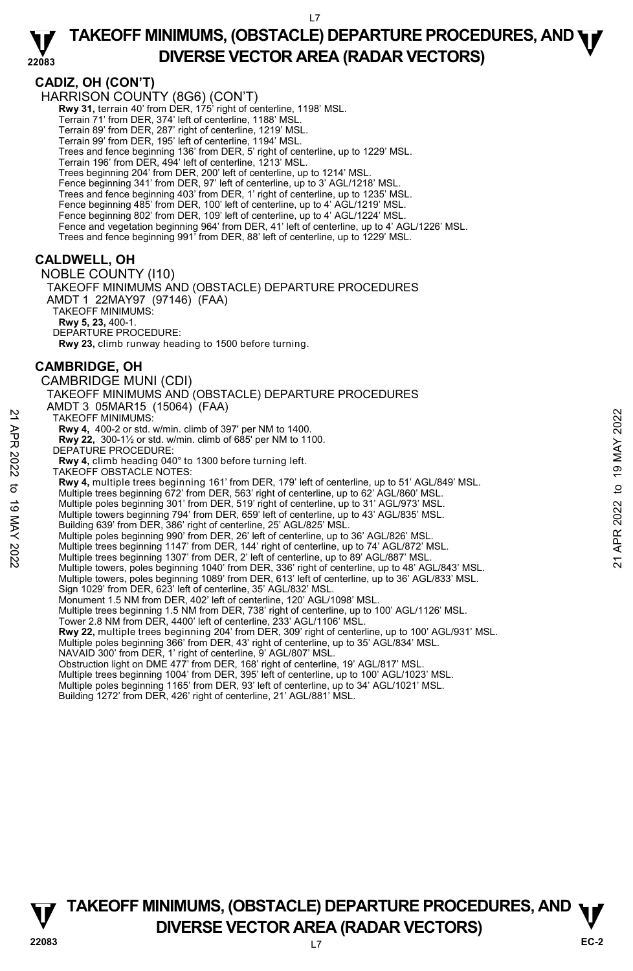#### **22083 TAKEOFF MINIMUMS, (OBSTACLE) DEPARTURE PROCEDURES, AND <b>WE**<br>DREBSE VECTOR AREA (BADAR VECTORS) **DIVERSE VECTOR AREA (RADAR VECTORS)**

# **CADIZ, OH (CON'T)**

HARRISON COUNTY (8G6) (CON'T) **Rwy 31,** terrain 40' from DER, 175' right of centerline, 1198' MSL. Terrain 71' from DER, 374' left of centerline, 1188' MSL. Terrain 89' from DER, 287' right of centerline, 1219' MSL. Terrain 99' from DER, 195' left of centerline, 1194' MSL. Trees and fence beginning 136' from DER, 5' right of centerline, up to 1229' MSL. Terrain 196' from DER, 494' left of centerline, 1213' MSL. Trees beginning 204' from DER, 200' left of centerline, up to 1214' MSL. Fence beginning 341' from DER, 97' left of centerline, up to 3' AGL/1218' MSI Trees and fence beginning 403' from DER, 1' right of centerline, up to 1235' MSL. Fence beginning 485' from DER, 100' left of centerline, up to 4' AGL/1219' MSL. Fence beginning 802' from DER, 109' left of centerline, up to 4' AGL/1224' MSL. Fence and vegetation beginning 964' from DER, 41' left of centerline, up to 4' AGL/1226' MSL. Trees and fence beginning 991' from DER, 88' left of centerline, up to 1229' MSL. **CALDWELL, OH**  NOBLE COUNTY (I10) TAKEOFF MINIMUMS AND (OBSTACLE) DEPARTURE PROCEDURES AMDT 1 22MAY97 (97146) (FAA) TAKEOFF MINIMUMS: **Rwy 5, 23,** 400-1. DEPARTURE PROCEDURE: **Rwy 23,** climb runway heading to 1500 before turning. **CAMBRIDGE, OH**  CAMBRIDGE MUNI (CDI) TAKEOFF MINIMUMS AND (OBSTACLE) DEPARTURE PROCEDURES AMDT 3 05MAR15 (15064) (FAA) TAKEOFF MINIMUMS: **Rwy 4,** 400-2 or std. w/min. climb of 397' per NM to 1400. **Rwy 22,** 300-1½ or std. w/min. climb of 685' per NM to 1100. Rwy 22, 300-11/2 or std. w<br>DEPATURE PROCEDURE: **Rwy 4,** climb heading 040° to 1300 before turning left. TAKEOFF OBSTACLE NOTES: **Rwy 4,** multiple trees beginning 161' from DER, 179' left of centerline, up to 51' AGL/849' MSL. Multiple trees beginning 672' from DER, 563' right of centerline, up to 62' AGL/860' MSL. Multiple poles beginning 301' from DER, 519' right of centerline, up to 31' AGL/973' MSL. Multiple towers beginning 794' from DER, 659' left of centerline, up to 43' AGL/835' MSL. Building 639' from DER, 386' right of centerline, 25' AGL/825' MSL. Multiple poles beginning 990' from DER, 26' left of centerline, up to 36' AGL/826' MSL. Multiple trees beginning 1147' from DER, 144' right of centerline, up to 74' AGL/872' MSL. Multiple trees beginning 1307' from DER, 2' left of centerline, up to 89' AGL/887' MSL. Multiple towers, poles beginning 1040' from DER, 336' right of centerline, up to 48' AGL/843' MSL. Multiple towers, poles beginning 1089' from DER, 613' left of centerline, up to 36' AGL/833' MSL. Sign 1029' from DER, 623' left of centerline, 35' AGL/832' MSL. Monument 1.5 NM from DER, 402' left of centerline, 120' AGL/1098' MSL. Multiple trees beginning 1.5 NM from DER, 738' right of centerline, up to 100' AGL/1126' MSL. Tower 2.8 NM from DER, 4400' left of centerline, 233' AGL/1106' MSL.<br>**Rwy 22,** multiple trees beginning 204' from DER, 309' right of centerline, up to 100' AGL/931' MSL. Multiple poles beginning 366' from DER, 43' right of centerline, up to 35' AGL/834' MSL. NAVAID 300' from DER, 1' right of centerline, 9' AGL/807' MSL. Obstruction light on DME 477' from DER, 168' right of centerline, 19' AGL/817' MSL. Multiple trees beginning 1004' from DER, 395' left of centerline, up to 100' AGL/1023' MSL. Multiple poles beginning 1165' from DER, 93' left of centerline, up to 34' AGL/1021' MSL. Building 1272' from DER, 426' right of centerline, 21' AGL/881' MSL. TAKE OFF MINIMUMS:<br>
TAKE OFF MINIMUMS:<br>
Rwy 4, 400-2 or std. w/min. climb of 397' per NM to 1400.<br>
Rwy 42, 300-1'2 or std. w/min. climb of 685' per NM to 1100.<br>
DEPATURE PROCEDURE:<br>
Rwy 4, climb heading 040° to 1300 befor

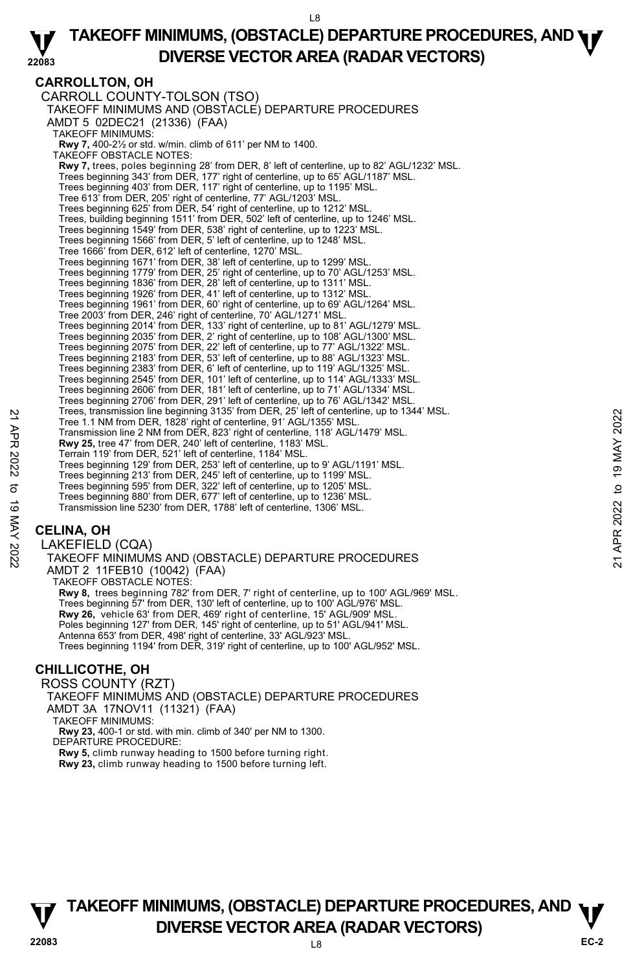### **CARROLLTON, OH**

CARROLL COUNTY-TOLSON (TSO) TAKEOFF MINIMUMS AND (OBSTACLE) DEPARTURE PROCEDURES AMDT 5 02DEC21 (21336) (FAA) TAKEOFF MINIMUMS: **Rwy 7,** 400-2½ or std. w/min. climb of 611' per NM to 1400. TAKEOFF OBSTACLE NOTES: **Rwy 7,** trees, poles beginning 28' from DER, 8' left of centerline, up to 82' AGL/1232' MSL. Trees beginning 343' from DER, 177' right of centerline, up to 65' AGL/1187' MSL. Trees beginning 403' from DER, 117' right of centerline, up to 1195' MSL. Tree 613' from DER, 205' right of centerline, 77' AGL/1203' MSL. Trees beginning 625' from DER, 54' right of centerline, up to 1212' MSL. Trees, building beginning 1511' from DER, 502' left of centerline, up to 1246' MSL. Trees beginning 1549' from DER, 538' right of centerline, up to 1223' MSL. Trees beginning 1566' from DER, 5' left of centerline, up to 1248' MSL. Tree 1666' from DER, 612' left of centerline, 1270' MSL. Trees beginning 1671' from DER, 38' left of centerline, up to 1299' MSL. Trees beginning 1779' from DER, 25' right of centerline, up to 70' AGL/1253' MSL. Trees beginning 1836' from DER, 28' left of centerline, up to 1311' MSL. Trees beginning 1926' from DER, 41' left of centerline, up to 1312' MSL. Trees beginning 1961' from DER, 60' right of centerline, up to 69' AGL/1264' MSL. Tree 2003' from DER, 246' right of centerline, 70' AGL/1271' MSL. Trees beginning 2014' from DER, 133' right of centerline, up to 81' AGL/1279' MSL. Trees beginning 2035' from DER, 2' right of centerline, up to 108' AGL/1300' MSL. Trees beginning 2075' from DER, 22' left of centerline, up to 77' AGL/1322' MSL. Trees beginning 2183' from DER, 53' left of centerline, up to 88' AGL/1323' MSL. Trees beginning 2383' from DER, 6' left of centerline, up to 119' AGL/1325' MSL. Trees beginning 2545' from DER, 101' left of centerline, up to 114' AGL/1333' MSL. Trees beginning 2606' from DER, 181' left of centerline, up to 71' AGL/1334' MSL. Trees beginning 2706' from DER, 291' left of centerline, up to 76' AGL/1342' MSL. Trees, transmission line beginning 3135' from DER, 25' left of centerline, up to 1344' MSL. Tree 1.1 NM from DER, 1828' right of centerline, 91' AGL/1355' MSL. Transmission line 2 NM from DER, 823' right of centerline, 118' AGL/1479' MSL. **Rwy 25,** tree 47' from DER, 240' left of centerline, 1183' MSL. Terrain 119' from DER, 521' left of centerline, 1184' MSL. Trees beginning 129' from DER, 253' left of centerline, up to 9' AGL/1191' MSL. Trees beginning 213' from DER, 245' left of centerline, up to 1199' MSL. Trees beginning 595' from DER, 322' left of centerline, up to 1205' MSL. Trees beginning 880' from DER, 677' left of centerline, up to 1236' MSL. Transmission line 5230' from DER, 1788' left of centerline, 1306' MSL. Tree, tramsmission line beginning 3135 Tom DER, 25<sup>2</sup> let of centerline, 91° AGL/1355° MSL.<br>
Transmission line 2 NM from DER, 823' right of centerline, 118' AGL/1479' MSL.<br> **Rwy 25, tree 47' from DER**, 823' right of center

## **CELINA, OH**

LAKEFIELD (CQA) TAKEOFF MINIMUMS AND (OBSTACLE) DEPARTURE PROCEDURES AMDT 2 11FEB10 (10042) (FAA) TAKEOFF OBSTACLE NOTES: **Rwy 8,** trees beginning 782' from DER, 7' right of centerline, up to 100' AGL/969' MSL. Trees beginning 57' from DER, 130' left of centerline, up to 100' AGL/976' MSL. **Rwy 26,** vehicle 63' from DER, 469' right of centerline, 15' AGL/909' MSL. Poles beginning 127' from DER, 145' right of centerline, up to 51' AGL/941' MSL. Antenna 653' from DER, 498' right of centerline, 33' AGL/923' MSL. Trees beginning 1194' from DER, 319' right of centerline, up to 100' AGL/952' MSL.

# **CHILLICOTHE, OH**

ROSS COUNTY (RZT) TAKEOFF MINIMUMS AND (OBSTACLE) DEPARTURE PROCEDURES AMDT 3A 17NOV11 (11321) (FAA) TAKEOFF MINIMUMS: **Rwy 23,** 400-1 or std. with min. climb of 340' per NM to 1300. DEPARTURE PROCEDURE: **Rwy 5,** climb runway heading to 1500 before turning right.

**Rwy 23,** climb runway heading to 1500 before turning left.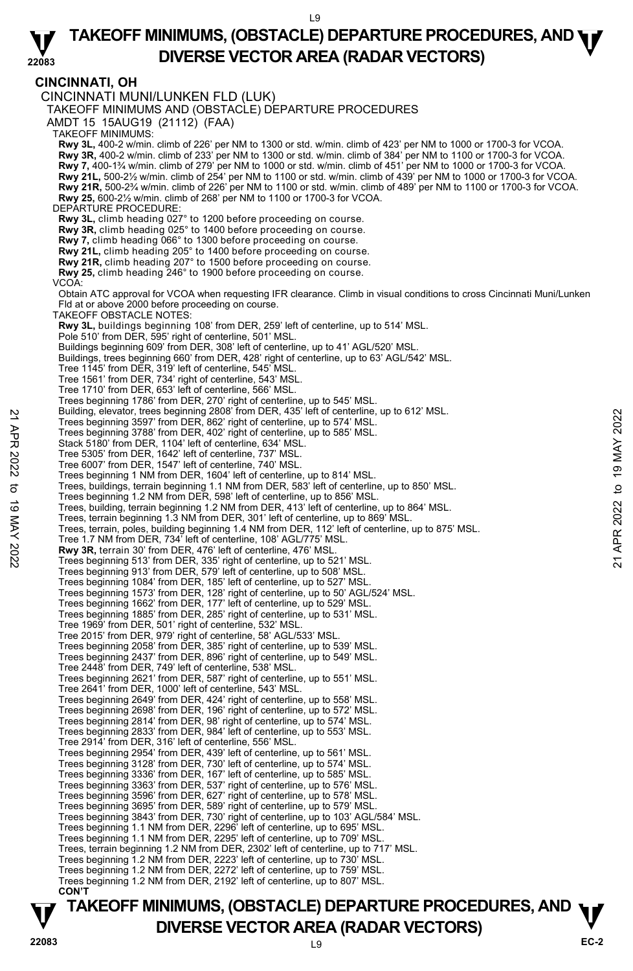## **CINCINNATI, OH**

CINCINNATI MUNI/LUNKEN FLD (LUK) TAKEOFF MINIMUMS AND (OBSTACLE) DEPARTURE PROCEDURES AMDT 15 15AUG19 (21112) (FAA) TAKEOFF MINIMUMS: **Rwy 3L**, 400-2 w/min. climb of 226' per NM to 1300 or std. w/min. climb of 423' per NM to 1000 or 1700-3 for VCOA.<br>**Rwy 3R,** 400-2 w/min. climb of 233' per NM to 1300 or std. w/min. climb of 384' per NM to 1100 or 1700-3 **Rwy 7,** 400-1¾ w/min. climb of 279' per NM to 1000 or std. w/min. climb of 451' per NM to 1000 or 1700-3 for VCOA. **Rwy 21L,** 500-2½ w/min. climb of 254' per NM to 1100 or std. w/min. climb of 439' per NM to 1000 or 1700-3 for VCOA. **Rwy 21R,** 500-2¾ w/min. climb of 226' per NM to 1100 or std. w/min. climb of 489' per NM to 1100 or 1700-3 for VCOA. **Rwy 25,** 600-2½ w/min. climb of 268' per NM to 1100 or 1700-3 for VCOA. DEPARTURE PROCEDURE: **Rwy 3L,** climb heading 027° to 1200 before proceeding on course. **Rwy 3R,** climb heading 025° to 1400 before proceeding on course. **Rwy 7,** climb heading 066° to 1300 before proceeding on course. **Rwy 21L,** climb heading 205° to 1400 before proceeding on course. **Rwy 21R,** climb heading 207° to 1500 before proceeding on course. **Rwy 25,** climb heading 246° to 1900 before proceeding on course. VCOA: Obtain ATC approval for VCOA when requesting IFR clearance. Climb in visual conditions to cross Cincinnati Muni/Lunken Fld at or above 2000 before proceeding on course. TAKEOFF OBSTACLE NOTES: **Rwy 3L,** buildings beginning 108' from DER, 259' left of centerline, up to 514' MSL.<br>Pole 510' from DER, 595' right of centerline, 501' MSL. Buildings beginning 609' from DER, 308' left of centerline, up to 41' AGL/520' MSL. Buildings, trees beginning 660' from DER, 428' right of centerline, up to 63' AGL/542' MSL. Tree 1145' from DER, 319' left of centerline, 545' MSL. Tree 1561' from DER, 734' right of centerline, 543' MSL. Tree 1710' from DER, 653' left of centerline, 566' MSL. Trees beginning 1786' from DER, 270' right of centerline, up to 545' MSL. Building, elevator, trees beginning 2808' from DER, 435' left of centerline, up to 612' MSL. Trees beginning 3597' from DER, 862' right of centerline, up to 574' MSL. Trees beginning 3788' from DER, 402' right of centerline, up to 585' MSL. Stack 5180' from DER, 1104' left of centerline, 634' MSL. Tree 5305' from DER, 1642' left of centerline, 737' MSL. Tree 6007' from DER, 1547' left of centerline, 740' MSL. Trees beginning 1 NM from DER, 1604' left of centerline, up to 814' MSL.<br>Trees, buildings, terrain beginning 1.1 NM from DER, 583' left of centerline, up to 850' MSL. Trees beginning 1.2 NM from DER, 598' left of centerline, up to 856' MSL. Trees, building, terrain beginning 1.2 NM from DER, 413' left of centerline, up to 864' MSL. Trees, terrain beginning 1.3 NM from DER, 301' left of centerline, up to 869' MSL. Trees, terrain, poles, building beginning 1.4 NM from DER, 112' left of centerline, up to 875' MSL. Tree 1.7 NM from DER, 734' left of centerline, 108' AGL/775' MSL. **Rwy 3R,** terrain 30' from DER, 476' left of centerline, 476' MSL. Trees beginning 513' from DER, 335' right of centerline, up to 521' MSL. Trees beginning 913' from DER, 579' left of centerline, up to 508' MSL. Trees beginning 1084' from DER, 185' left of centerline, up to 527' MSL. Trees beginning 1573' from DER, 128' right of centerline, up to 50' AGL/524' MSL. Trees beginning 1662' from DER, 177' left of centerline, up to 529' MSL. Trees beginning 1885' from DER, 285' right of centerline, up to 531' MSL. Tree 1969' from DER, 501' right of centerline, 532' MSL. Tree 2015' from DER, 979' right of centerline, 58' AGL/533' MSL. Trees beginning 2058' from DER, 385' right of centerline, up to 539' MSL. Trees beginning 2437' from DER, 896' right of centerline, up to 549' MSL. Tree 2448' from DER, 749' left of centerline, 538' MSL. Trees beginning 2621' from DER, 587' right of centerline, up to 551' MSL. Tree 2641' from DER, 1000' left of centerline, 543' MSL.<br>Trees beginning 2649' from DER, 424' right of centerline, up to 558' MSL.<br>Trees beginning 2698' from DER, 196' right of centerline, up to 572' MSL. Trees beginning 2814' from DER, 98' right of centerline, up to 574' MSL. Trees beginning 2833' from DER, 984' left of centerline, up to 553' MSL. Tree 2914' from DER, 316' left of centerline, 556' MSL. Trees beginning 2954' from DER, 439' left of centerline, up to 561' MSL. Trees beginning 3128' from DER, 730' left of centerline, up to 574' MSL. Trees beginning 3336' from DER, 167' left of centerline, up to 585' MSL. Trees beginning 3363' from DER, 537' right of centerline, up to 576' MSL. Trees beginning 3596' from DER, 627' right of centerline, up to 578' MSL. Trees beginning 3695' from DER, 589' right of centerline, up to 579' MSL. Trees beginning 3843' from DER, 730' right of centerline, up to 103' AGL/584' MSL. Trees beginning 1.1 NM from DER, 2296' left of centerline, up to 695' MSL. Trees beginning 1.1 NM from DER, 2295' left of centerline, up to 709' MSL. Trees, terrain beginning 1.2 NM from DER, 2302' left of centerline, up to 717' MSL. Trees beginning 1.2 NM from DER, 2223' left of centerline, up to 730' MSL. Trees beginning 1.2 NM from DER, 2272' left of centerline, up to 759' MSL. Trees beginning 1.2 NM from DER, 2192' left of centerline, up to 807' MSL. **CON'T**  21 Multillary, elevator, trees beginning 3597 from DER, 480° irlor Centerline, up to 574° MSL.<br>
Trees beginning 3788° from DER, 402° right of centerline, up to 574° MSL.<br>
21 Stack 5180° from DER, 1104° left of centerline,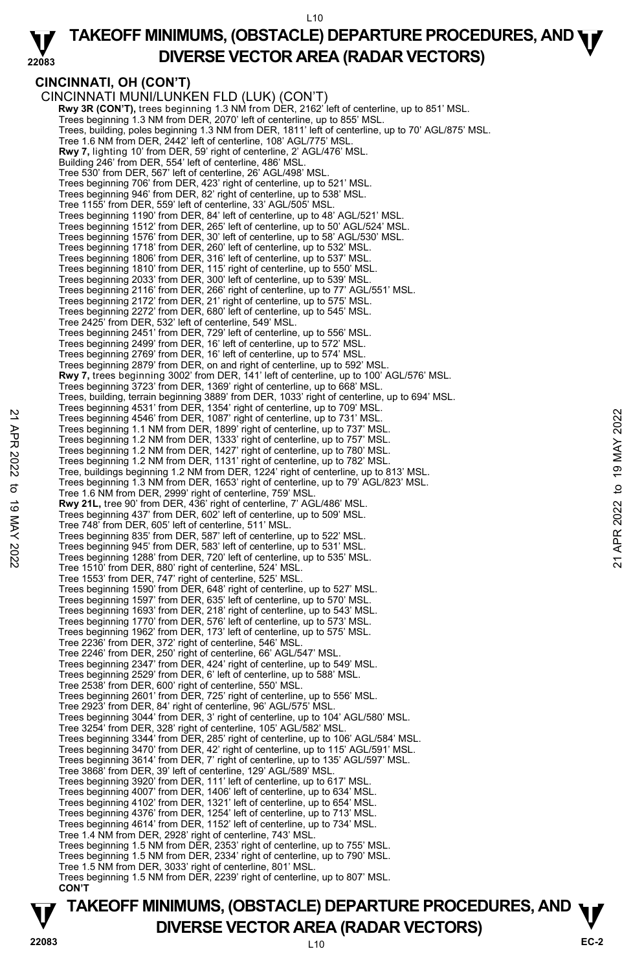#### **22083 TAKEOFF MINIMUMS, (OBSTACLE) DEPARTURE PROCEDURES, AND <b>WE**<br>DREBSE VECTOR AREA (BADAR VECTORS) **DIVERSE VECTOR AREA (RADAR VECTORS)**

### **CINCINNATI, OH (CON'T)**

CINCINNATI MUNI/LUNKEN FLD (LUK) (CON'T) **Rwy 3R (CON'T),** trees beginning 1.3 NM from DER, 2162' left of centerline, up to 851' MSL.<br>Trees beginning 1.3 NM from DER, 2070' left of centerline, up to 855' MSL. Trees, building, poles beginning 1.3 NM from DER, 1811' left of centerline, up to 70' AGL/875' MSL. Tree 1.6 NM from DER, 2442' left of centerline, 108' AGL/775' MSL. **Rwy 7,** lighting 10' from DER, 59' right of centerline, 2' AGL/476' MSL. Building 246' from DER, 554' left of centerline, 486' MSL. Tree 530' from DER, 567' left of centerline, 26' AGL/498' MSL. Trees beginning 706' from DER, 423' right of centerline, up to 521' MSL. Trees beginning 946' from DER, 82' right of centerline, up to 538' MSL. Tree 1155' from DER, 559' left of centerline, 33' AGL/505' MSL. Trees beginning 1190' from DER, 84' left of centerline, up to 48' AGL/521' MSL. Trees beginning 1512' from DER, 265' left of centerline, up to 50' AGL/524' MSL. Trees beginning 1576' from DER, 30' left of centerline, up to 58' AGL/530' MSL. Trees beginning 1718' from DER, 260' left of centerline, up to 532' MSL. Trees beginning 1806' from DER, 316' left of centerline, up to 537' MSL. Trees beginning 1810' from DER, 115' right of centerline, up to 550' MSL. Trees beginning 2033' from DER, 300' left of centerline, up to 539' MSL. Trees beginning 2116' from DER, 266' right of centerline, up to 77' AGL/551' MSL. Trees beginning 2172' from DER, 21' right of centerline, up to 575' MSL. Trees beginning 2272' from DER, 680' left of centerline, up to 545' MSL. Tree 2425' from DER, 532' left of centerline, 549' MSL. Trees beginning 2451' from DER, 729' left of centerline, up to 556' MSL. Trees beginning 2499' from DER, 16' left of centerline, up to 572' MSL. Trees beginning 2769' from DER, 16' left of centerline, up to 574' MSL. Trees beginning 2879' from DER, on and right of centerline, up to 592' MSL. **Rwy 7,** trees beginning 3002' from DER, 141' left of centerline, up to 100' AGL/576' MSL. Trees beginning 3723' from DER, 1369' right of centerline, up to 668' MSL. Trees, building, terrain beginning 3889' from DER, 1033' right of centerline, up to 694' MSL. Trees beginning 4531' from DER, 1354' right of centerline, up to 709' MSL. Trees beginning 4546' from DER, 1087' right of centerline, up to 731' MSL. Trees beginning 1.1 NM from DER, 1899' right of centerline, up to 737' MSL. Trees beginning 1.2 NM from DER, 1333' right of centerline, up to 757' MSL. Trees beginning 1.2 NM from DER, 1427' right of centerline, up to 780' MSL. Trees beginning 1.2 NM from DER, 1131' right of centerline, up to 782' MSL. Tree, buildings beginning 1.2 NM from DER, 1224' right of centerline, up to 813' MSL. Trees beginning 1.3 NM from DER, 1653' right of centerline, up to 79' AGL/823' MSL. Tree 1.6 NM from DER, 2999' right of centerline, 759' MSL. **Rwy 21L,** tree 90' from DER, 436' right of centerline, 7' AGL/486' MSL. Trees beginning 437' from DER, 602' left of centerline, up to 509' MSL. Tree 748' from DER, 605' left of centerline, 511' MSL. Trees beginning 835' from DER, 587' left of centerline, up to 522' MSL. Trees beginning 945' from DER, 583' left of centerline, up to 531' MSL. Trees beginning 1288' from DER, 720' left of centerline, up to 535' MSL. Tree 1510' from DER, 880' right of centerline, 524' MSL. Tree 1553' from DER, 747' right of centerline, 525' MSL. Trees beginning 1590' from DER, 648' right of centerline, up to 527' MSL. Trees beginning 1597' from DER, 635' left of centerline, up to 570' MSL. Trees beginning 1693' from DER, 218' right of centerline, up to 543' MSL. Trees beginning 1770' from DER, 576' left of centerline, up to 573' MSL. Trees beginning 1962' from DER, 173' left of centerline, up to 575' MSL. Tree 2236' from DER, 372' right of centerline, 546' MSL. Tree 2246' from DER, 250' right of centerline, 66' AGL/547' MSL. Trees beginning 2347' from DER, 424' right of centerline, up to 549' MSL. Trees beginning 2529' from DER, 6' left of centerline, up to 588' MSL. Tree 2538' from DER, 600' right of centerline, 550' MSL. Trees beginning 2601' from DER, 725' right of centerline, up to 556' MSL. Tree 2923' from DER, 84' right of centerline, 96' AGL/575' MSL. Trees beginning 3044' from DER, 3' right of centerline, up to 104' AGL/580' MSL. Tree 3254' from DER, 328' right of centerline, 105' AGL/582' MSL. Trees beginning 3344' from DER, 285' right of centerline, up to 106' AGL/584' MSL. Trees beginning 3470' from DER, 42' right of centerline, up to 115' AGL/591' MSL. Trees beginning 3614' from DER, 7' right of centerline, up to 135' AGL/597' MSL. Tree 3868' from DER, 39' left of centerline, 129' AGL/589' MSL. Trees beginning 3920' from DER, 111' left of centerline, up to 617' MSL. Trees beginning 4007' from DER, 1406' left of centerline, up to 634' MSL. Trees beginning 4102' from DER, 1321' left of centerline, up to 654' MSL. Trees beginning 4376' from DER, 1254' left of centerline, up to 713' MSL. Trees beginning 4614' from DER, 1152' left of centerline, up to 734' MSL. Tree 1.4 NM from DER, 2928' right of centerline, 743' MSL. Trees beginning 1.5 NM from DER, 2353' right of centerline, up to 755' MSL. Trees beginning 1.5 NM from DER, 2334' right of centerline, up to 790' MSL. Tree 1.5 NM from DER, 3033' right of centerline, 801' MSL. Trees beginning 1.5 NM from DER, 2239' right of centerline, up to 807' MSL. **CON'T**  22 Trees beginning 4546' from DER, 1087' right of centerline, up to 731' MSL.<br>
Trees beginning 4546' from DER, 1087' right of centerline, up to 731' MSL.<br>
Trees beginning 1.2 NM from DER, 1393' right of centerline, up to 7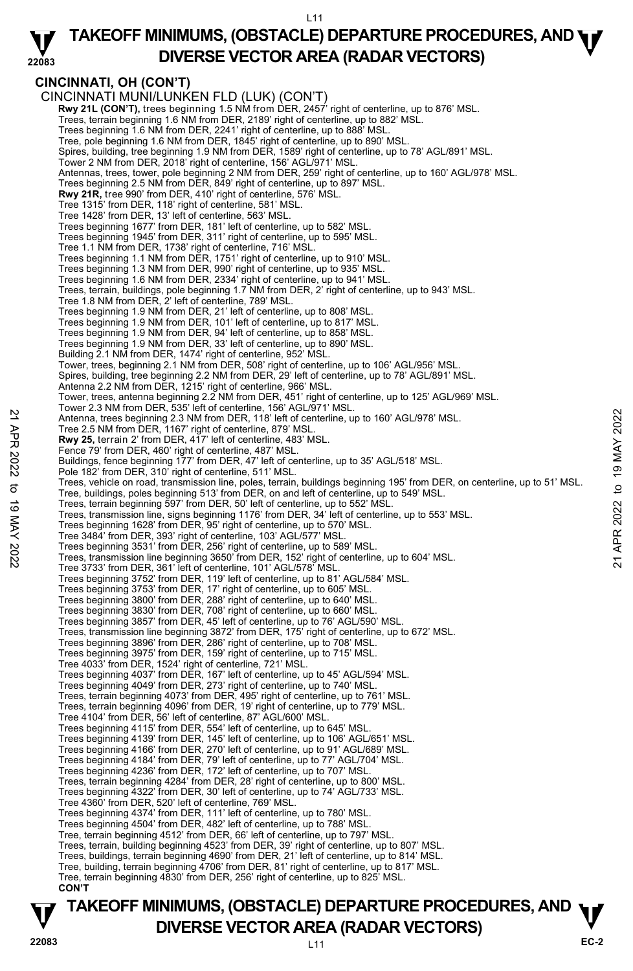#### **22083 TAKEOFF MINIMUMS, (OBSTACLE) DEPARTURE PROCEDURES, AND <b>WE**<br>DREBSE VECTOR AREA (BADAR VECTORS) **DIVERSE VECTOR AREA (RADAR VECTORS)**

# **CINCINNATI, OH (CON'T)**

CINCINNATI MUNI/LUNKEN FLD (LUK) (CON'T) **Rwy 21L (CON'T),** trees beginning 1.5 NM from DER, 2457' right of centerline, up to 876' MSL. Trees, terrain beginning 1.6 NM from DER, 2189' right of centerline, up to 882' MSL. Trees beginning 1.6 NM from DER, 2241' right of centerline, up to 888' MSL. Tree, pole beginning 1.6 NM from DER, 1845' right of centerline, up to 890' MSL. Spires, building, tree beginning 1.9 NM from DER, 1589' right of centerline, up to 78' AGL/891' MSL. Tower 2 NM from DER, 2018' right of centerline, 156' AGL/971' MSL. Antennas, trees, tower, pole beginning 2 NM from DER, 259' right of centerline, up to 160' AGL/978' MSL. Trees beginning 2.5 NM from DER, 849' right of centerline, up to 897' MSL.<br>**Rwy 21R,** tree 990' from DER, 410' right of centerline, 576' MSL. Tree 1315' from DER, 118' right of centerline, 581' MSL. Tree 1428' from DER, 13' left of centerline, 563' MSL.<br>Trees beginning 1677' from DER, 181' left of centerline, up to 582' MSL.<br>Trees beginning 1945' from DER, 311' right of centerline, up to 595' MSL. Tree 1.1 NM from DER, 1738' right of centerline, 716' MSL. Trees beginning 1.1 NM from DER, 1751' right of centerline, up to 910' MSL. Trees beginning 1.3 NM from DER, 990' right of centerline, up to 935' MSL. Trees beginning 1.6 NM from DER, 2334' right of centerline, up to 941' MSL. Trees, terrain, buildings, pole beginning 1.7 NM from DER, 2' right of centerline, up to 943' MSL. Tree 1.8 NM from DER, 2' left of centerline, 789' MSL. Trees beginning 1.9 NM from DER, 21' left of centerline, up to 808' MSL. Trees beginning 1.9 NM from DER, 101' left of centerline, up to 817' MSL. Trees beginning 1.9 NM from DER, 94' left of centerline, up to 858' MSL. Trees beginning 1.9 NM from DER, 33' left of centerline, up to 890' MSL. Building 2.1 NM from DER, 1474' right of centerline, 952' MSL. Tower, trees, beginning 2.1 NM from DER, 508' right of centerline, up to 106' AGL/956' MSL. Spires, building, tree beginning 2.2 NM from DER, 29' left of centerline, up to 78' AGL/891' MSL. Antenna 2.2 NM from DER, 1215' right of centerline, 966' MSL. Tower, trees, antenna beginning 2.2 NM from DER, 451' right of centerline, up to 125' AGL/969' MSL. Tower 2.3 NM from DER, 535' left of centerline, 156' AGL/971' MSL. Antenna, trees beginning 2.3 NM from DER, 118' left of centerline, up to 160' AGL/978' MSL. Tree 2.5 NM from DER, 1167' right of centerline, 879' MSL. **Rwy 25,** terrain 2' from DER, 417' left of centerline, 483' MSL. Fence 79' from DER, 460' right of centerline, 487' MSL. Buildings, fence beginning 177' from DER, 47' left of centerline, up to 35' AGL/518' MSL. Pole 182' from DER, 310' right of centerline, 511' MSL. Trees, vehicle on road, transmission line, poles, terrain, buildings beginning 195' from DER, on centerline, up to 51' MSL. Tree, buildings, poles beginning 513' from DER, on and left of centerline, up to 549' MSL. Trees, terrain beginning 597' from DER, 50' left of centerline, up to 552' MSL. Trees, transmission line, signs beginning 1176' from DER, 34' left of centerline, up to 553' MSL. Trees beginning 1628' from DER, 95' right of centerline, up to 570' MSL. Tree 3484' from DER, 393' right of centerline, 103' AGL/577' MSL. Antenna, trees beginning 2.3 NM from DER, 118' left of centerline, up to 160' AGL/978' MSL.<br>
Tree 2.5 NM from DER, 147' left of centerline, up to 160' AGL/978' MSL.<br>
Trees, terrain 2 from DER, 447' left of centerline, up t Tree 3733' from DER, 361' left of centerline, 101' AGL/578' MSL. Trees beginning 3752' from DER, 119' left of centerline, up to 81' AGL/584' MSL. Trees beginning 3753' from DER, 17' right of centerline, up to 605' MSL. Trees beginning 3800' from DER, 288' right of centerline, up to 640' MSL. Trees beginning 3830' from DER, 708' right of centerline, up to 660' MSL. Trees beginning 3857' from DER, 45' left of centerline, up to 76' AGL/590' MSL. Trees, transmission line beginning 3872' from DER, 175' right of centerline, up to 672' MSL. Trees beginning 3896' from DER, 286' right of centerline, up to 708' MSL. Trees beginning 3975' from DER, 159' right of centerline, up to 715' MSL. Tree 4033' from DER, 1524' right of centerline, 721' MSL. Trees beginning 4037' from DER, 167' left of centerline, up to 45' AGL/594' MSL. Trees beginning 4049' from DER, 273' right of centerline, up to 740' MSL. Trees, terrain beginning 4073' from DER, 495' right of centerline, up to 761' MSL. Trees, terrain beginning 4096' from DER, 19' right of centerline, up to 779' MSL. Tree 4104' from DER, 56' left of centerline, 87' AGL/600' MSL. Trees beginning 4115' from DER, 554' left of centerline, up to 645' MSL. Trees beginning 4139' from DER, 145' left of centerline, up to 106' AGL/651' MSL. Trees beginning 4166' from DER, 270' left of centerline, up to 91' AGL/689' MSL. Trees beginning 4184' from DER, 79' left of centerline, up to 77' AGL/704' MSL. Trees beginning 4236' from DER, 172' left of centerline, up to 707' MSL. Trees, terrain beginning 4284' from DER, 28' right of centerline, up to 800' MSL. Trees beginning 4322' from DER, 30' left of centerline, up to 74' AGL/733' MSL. Tree 4360' from DER, 520' left of centerline, 769' MSL. Trees beginning 4374' from DER, 111' left of centerline, up to 780' MSL. Trees beginning 4504' from DER, 482' left of centerline, up to 788' MSL. Tree, terrain beginning 4512' from DER, 66' left of centerline, up to 797' MSL. Trees, terrain, building beginning 4523' from DER, 39' right of centerline, up to 807' MSL. Trees, buildings, terrain beginning 4690' from DER, 21' left of centerline, up to 814' MSL. Tree, building, terrain beginning 4706' from DER, 81' right of centerline, up to 817' MSL. Tree, terrain beginning 4830' from DER, 256' right of centerline, up to 825' MSL.  **CON'T**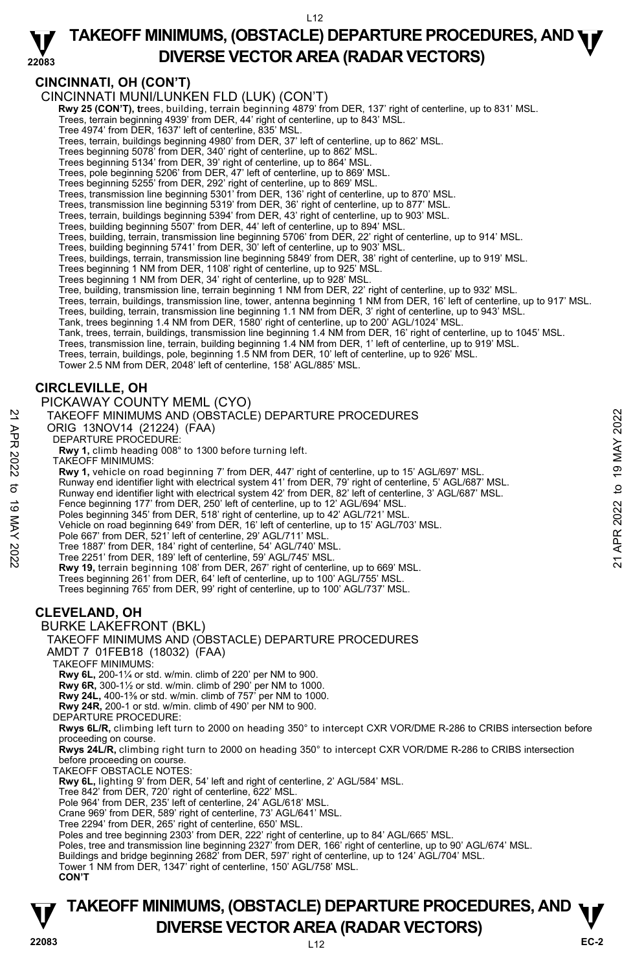### **CINCINNATI, OH (CON'T)**

### CINCINNATI MUNI/LUNKEN FLD (LUK) (CON'T)

- **Rwy 25 (CON'T), t**rees, building, terrain beginning 4879' from DER, 137' right of centerline, up to 831' MSL.<br>Trees, terrain beginning 4939' from DER, 44' right of centerline, up to 843' MSL.
	-
	- Tree 4974' from DER, 1637' left of centerline, 835' MSL.
	- Trees, terrain, buildings beginning 4980' from DER, 37' left of centerline, up to 862' MSL. Trees beginning 5078' from DER, 340' right of centerline, up to 862' MSL.
	-
	- Trees beginning 5134' from DER, 39' right of centerline, up to 864' MSL.
	- Trees, pole beginning 5206' from DER, 47' left of centerline, up to 869' MSL.
	-
	- Trees beginning 5255' from DER, 292' right of centerline, up to 869' MSL.<br>Trees, transmission line beginning 5301' from DER, 136' right of centerline, up to 870' MSL.<br>Trees, transmission line beginning 5319' from DER, 36'
	-
	- Trees, terrain, buildings beginning 5394' from DER, 43' right of centerline, up to 903' MSL. Trees, building beginning 5507' from DER, 44' left of centerline, up to 894' MSL.
	-
	- Trees, building, terrain, transmission line beginning 5706' from DER, 22' right of centerline, up to 914' MSL.
	- Trees, building beginning 5741' from DER, 30' left of centerline, up to 903' MSL.
	- Trees, buildings, terrain, transmission line beginning 5849' from DER, 38' right of centerline, up to 919' MSL.<br>Trees beginning 1 NM from DER, 1108' right of centerline, up to 925' MSL.
	-
	- Trees beginning 1 NM from DER, 34' right of centerline, up to 928' MSL.
	- Tree, building, transmission line, terrain beginning 1 NM from DER, 22' right of centerline, up to 932' MSL.
	- Trees, terrain, buildings, transmission line, tower, antenna beginning 1 NM from DER, 16' left of centerline, up to 917' MSL.
	- Trees, building, terrain, transmission line beginning 1.1 NM from DER, 3' right of centerline, up to 943' MSL.
	-
	- Tank, trees beginning 1.4 NM from DER, 1580' right of centerline, up to 200' AGL/1024' MSL.<br>Tank, trees, terrain, buildings, transmission line beginning 1.4 NM from DER, 16' right of centerline, up to 1045' MSL.
	- Trees, transmission line, terrain, building beginning 1.4 NM from DER, 1' left of centerline, up to 919' MSL.
	- Trees, terrain, buildings, pole, beginning 1.5 NM from DER, 10' left of centerline, up to 926' MSL.
	- Tower 2.5 NM from DER, 2048' left of centerline, 158' AGL/885' MSL.

# **CIRCLEVILLE, OH**

- PICKAWAY COUNTY MEML (CYO)
- TAKEOFF MINIMUMS AND (OBSTACLE) DEPARTURE PROCEDURES
- ORIG 13NOV14 (21224) (FAA)
- DEPARTURE PROCEDURE:
- **Rwy 1,** climb heading 008° to 1300 before turning left.
- TAKEOFF MINIMUMS:
- **Rwy 1,** vehicle on road beginning 7' from DER, 447' right of centerline, up to 15' AGL/697' MSL.
- Runway end identifier light with electrical system 41' from DER, 79' right of centerline, 5' AGL/687' MSL.
- Runway end identifier light with electrical system 42' from DER, 82' left of centerline, 3' AGL/687' MSL. TAKEOFF MINIMUMS AND (OBSTACLE) DEPARTURE PROCEDURES<br>
ORIG 13NOV14 (21224) (FAA)<br>
DEPARTURE PROCEDURE:<br>
Now 1, climb heading 008" to 1300 before turning left.<br>
TAKEOFF MINIMUMS:<br>
Now 1, whicle on road beginning 7' from DE
	- Fence beginning 177' from DER, 250' left of centerline, up to 12' AGL/694' MSL.
	- Poles beginning 345' from DER, 518' right of centerline, up to 42' AGL/721' MSL.
	- Vehicle on road beginning 649' from DER, 16' left of centerline, up to 15' AGL/703' MSL.
	- Pole 667' from DER, 521' left of centerline, 29' AGL/711' MSL.
	-
	- Tree 1887' from DER, 184' right of centerline, 54' AGL/740' MSL. Tree 2251' from DER, 189' left of centerline, 59' AGL/745' MSL.
	- **Rwy 19,** terrain beginning 108' from DER, 267' right of centerline, up to 669' MSL.
	- Trees beginning 261' from DER, 64' left of centerline, up to 100' AGL/755' MSL. Trees beginning 765' from DER, 99' right of centerline, up to 100' AGL/737' MSL.

### **CLEVELAND, OH**

#### BURKE LAKEFRONT (BKL)

TAKEOFF MINIMUMS AND (OBSTACLE) DEPARTURE PROCEDURES

AMDT 7 01FEB18 (18032) (FAA)

#### TAKEOFF MINIMUMS:

**Rwy 6L,** 200-1¼ or std. w/min. climb of 220' per NM to 900.

**Rwy 6R,** 300-1½ or std. w/min. climb of 290' per NM to 1000.

- **Rwy 24L,** 400-1⅜ or std. w/min. climb of 757' per NM to 1000.
- **Rwy 24R,** 200-1 or std. w/min. climb of 490' per NM to 900.
- DEPARTURE PROCEDURE:

**Rwys 6L/R,** climbing left turn to 2000 on heading 350° to intercept CXR VOR/DME R-286 to CRIBS intersection before proceeding on course.

**Rwys 24L/R,** climbing right turn to 2000 on heading 350° to intercept CXR VOR/DME R-286 to CRIBS intersection before proceeding on course.

- TAKEOFF OBSTACLE NOTES:
- **Rwy 6L,** lighting 9' from DER, 54' left and right of centerline, 2' AGL/584' MSL.
- Tree 842' from DER, 720' right of centerline, 622' MSL.
- Pole 964' from DER, 235' left of centerline, 24' AGL/618' MSL.
- Crane 969' from DER, 589' right of centerline, 73' AGL/641' MSL.
- Tree 2294' from DER, 265' right of centerline, 650' MSL.
- 
- Poles and tree beginning 2303' from DER, 222' right of centerline, up to 84' AGL/665' MSL. Poles, tree and transmission line beginning 2327' from DER, 166' right of centerline, up to 90' AGL/674' MSL.
- Buildings and bridge beginning 2682' from DER, 597' right of centerline, up to 124' AGL/704' MSL.
- Tower 1 NM from DER, 1347' right of centerline, 150' AGL/758' MSL.

**CON'T**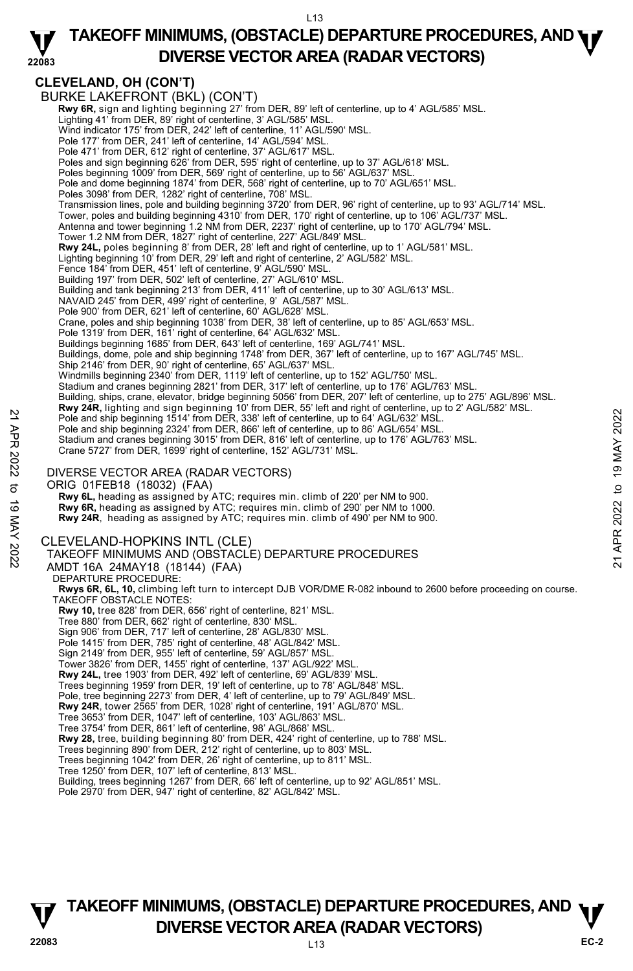#### **22083 TAKEOFF MINIMUMS, (OBSTACLE) DEPARTURE PROCEDURES, AND <b>WE**<br>DREBSE VECTOR AREA (BADAR VECTORS) **DIVERSE VECTOR AREA (RADAR VECTORS)**

# **CLEVELAND, OH (CON'T)**

BURKE LAKEFRONT (BKL) (CON'T)  **Rwy 6R,** sign and lighting beginning 27' from DER, 89' left of centerline, up to 4' AGL/585' MSL. Lighting 41' from DER, 89' right of centerline, 3' AGL/585' MSL. Wind indicator 175' from DER, 242' left of centerline, 11' AGL/590' MSL. Pole 177' from DER, 241' left of centerline, 14' AGL/594' MSL. Pole 471' from DER, 612' right of centerline, 37' AGL/617' MSL. Poles and sign beginning 626' from DER, 595' right of centerline, up to 37' AGL/618' MSL. Poles beginning 1009' from DER, 569' right of centerline, up to 56' AGL/637' MSL. Pole and dome beginning 1874' from DER, 568' right of centerline, up to 70' AGL/651' MSL. Poles 3098' from DER, 1282' right of centerline, 708' MSL. Transmission lines, pole and building beginning 3720' from DER, 96' right of centerline, up to 93' AGL/714' MSL. Tower, poles and building beginning 4310' from DER, 170' right of centerline, up to 106' AGL/737' MSL.<br>Antenna and tower beginning 1.2 NM from DER, 2237' right of centerline, up to 170' AGL/794' MSL.<br>Tower 1.2 NM from DER, **Rwy 24L,** poles beginning 8' from DER, 28' left and right of centerline, up to 1' AGL/581' MSL. Lighting beginning 10' from DER, 29' left and right of centerline, 2' AGL/582' MSL. Fence 184' from DER, 451' left of centerline, 9' AGL/590' MSL. Building 197' from DER, 502' left of centerline, 27' AGL/610' MSL. Building and tank beginning 213' from DER, 411' left of centerline, up to 30' AGL/613' MSL.<br>NAVAID 245' from DER, 499' right of centerline, 9' AGL/587' MSL. Pole 900' from DER, 621' left of centerline, 60' AGL/628' MSL. Crane, poles and ship beginning 1038' from DER, 38' left of centerline, up to 85' AGL/653' MSL. Pole 1319' from DER, 161' right of centerline, 64' AGL/632' MSL. Buildings beginning 1685' from DER, 643' left of centerline, 169' AGL/741' MSL. Buildings, dome, pole and ship beginning 1748' from DER, 367' left of centerline, up to 167' AGL/745' MSL. Ship 2146' from DER, 90' right of centerline, 65' AGL/637' MSL. Windmills beginning 2340' from DER, 1119' left of centerline, up to 152' AGL/750' MSL. Stadium and cranes beginning 2821' from DER, 317' left of centerline, up to 176' AGL/763' MSL. Building, ships, crane, elevator, bridge beginning 5056' from DER, 207' left of centerline, up to 275' AGL/896' MSL. **Rwy 24R,** lighting and sign beginning 10' from DER, 55' left and right of centerline, up to 2' AGL/582' MSL. Pole and ship beginning 1514' from DER, 338' left of centerline, up to 64' AGL/632' MSL. Pole and ship beginning 2324' from DER, 866' left of centerline, up to 86' AGL/654' MSL. Stadium and cranes beginning 3015' from DER, 816' left of centerline, up to 176' AGL/763' MSL.<br>Crane 5727' from DER, 1699' right of centerline, 152' AGL/731' MSL. DIVERSE VECTOR AREA (RADAR VECTORS) ORIG 01FEB18 (18032) (FAA)  **Rwy 6L,** heading as assigned by ATC; requires min. climb of 220' per NM to 900. **Rwy 6R,** heading as assigned by ATC; requires min. climb of 290' per NM to 1000. **Rwy 24R**, heading as assigned by ATC; requires min. climb of 490' per NM to 900. CLEVELAND-HOPKINS INTL (CLE) TAKEOFF MINIMUMS AND (OBSTACLE) DEPARTURE PROCEDURES AMDT 16A 24MAY18 (18144) (FAA) DEPARTURE PROCEDURE: **Rwys 6R, 6L, 10,** climbing left turn to intercept DJB VOR/DME R-082 inbound to 2600 before proceeding on course. TAKEOFF OBSTACLE NOTES: **Rwy 10,** tree 828' from DER, 656' right of centerline, 821' MSL. Tree 880' from DER, 662' right of centerline, 830' MSL. Sign 906' from DER, 717' left of centerline, 28' AGL/830' MSL. Pole 1415' from DER, 785' right of centerline, 48' AGL/842' MSL. Sign 2149' from DER, 955' left of centerline, 59' AGL/857' MSL. Tower 3826' from DER, 1455' right of centerline, 137' AGL/922' MSL. **Rwy 24L,** tree 1903' from DER, 492' left of centerline, 69' AGL/839' MSL. Trees beginning 1959' from DER, 19' left of centerline, up to 78' AGL/848' MSL. Pole, tree beginning 2273' from DER, 4' left of centerline, up to 79' AGL/849' MSL.<br>**Rwy 24R**, tower 2565' from DER, 1028' right of centerline, 191' AGL/870' MSL. Tree 3653' from DER, 1047' left of centerline, 103' AGL/863' MSL. Tree 3754' from DER, 861' left of centerline, 98' AGL/868' MSL. **Rwy 28,** tree, building beginning 80' from DER, 424' right of centerline, up to 788' MSL. Trees beginning 890' from DER, 212' right of centerline, up to 803' MSL. Trees beginning 1042' from DER, 26' right of centerline, up to 811' MSL. Tree 1250' from DER, 107' left of centerline, 813' MSL. Building, trees beginning 1267' from DER, 66' left of centerline, up to 92' AGL/851' MSL. Pole and ship beginning 1514 from DER, 338 left of centerline, up to 64' AGL/632' MSL.<br>
Pole and ship beginning 3734' from DER, 866' left of centerline, up to 84' AGL/632' MSL.<br>
Pole and ship beginning 3015' from DER, 866'

Pole 2970' from DER, 947' right of centerline, 82' AGL/842' MSL.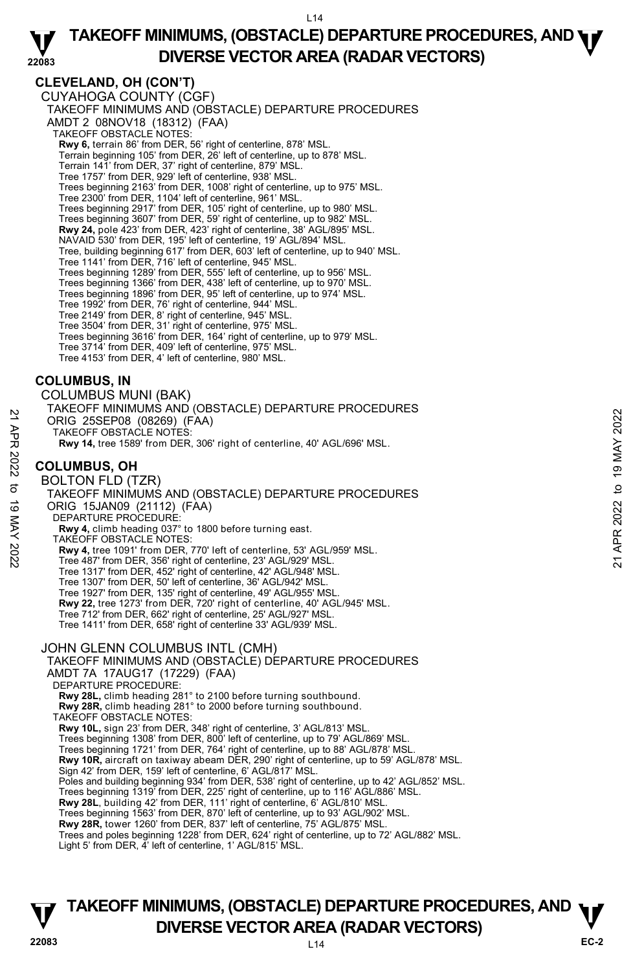### **CLEVELAND, OH (CON'T)**

CUYAHOGA COUNTY (CGF) TAKEOFF MINIMUMS AND (OBSTACLE) DEPARTURE PROCEDURES AMDT 2 08NOV18 (18312) (FAA) TAKEOFF OBSTACLE NOTES: **Rwy 6,** terrain 86' from DER, 56' right of centerline, 878' MSL. Terrain beginning 105' from DER, 26' left of centerline, up to 878' MSL. Terrain 141' from DER, 37' right of centerline, 879' MSL. Tree 1757' from DER, 929' left of centerline, 938' MSL. Trees beginning 2163' from DER, 1008' right of centerline, up to 975' MSL. Tree 2300' from DER, 1104' left of centerline, 961' MSL. Trees beginning 2917' from DER, 105' right of centerline, up to 980' MSL. Trees beginning 3607' from DER, 59' right of centerline, up to 982' MSL. **Rwy 24,** pole 423' from DER, 423' right of centerline, 38' AGL/895' MSL. NAVAID 530' from DER, 195' left of centerline, 19' AGL/894' MSL. Tree, building beginning 617' from DER, 603' left of centerline, up to 940' MSL. Tree 1141' from DER, 716' left of centerline, 945' MSL. Trees beginning 1289' from DER, 555' left of centerline, up to 956' MSL. Trees beginning 1366' from DER, 438' left of centerline, up to 970' MSL. Trees beginning 1896' from DER, 95' left of centerline, up to 974' MSL. Tree 1992' from DER, 76' right of centerline, 944' MSL. Tree 2149' from DER, 8' right of centerline, 945' MSL. Tree 3504' from DER, 31' right of centerline, 975' MSL. Trees beginning 3616' from DER, 164' right of centerline, up to 979' MSL. Tree 3714' from DER, 409' left of centerline, 975' MSL. Tree 4153' from DER, 4' left of centerline, 980' MSL.

### **COLUMBUS, IN**

COLUMBUS MUNI (BAK) TAKEOFF MINIMUMS AND (OBSTACLE) DEPARTURE PROCEDURES ORIG 25SEP08 (08269) (FAA) TAKEOFF OBSTACLE NOTES: **Rwy 14,** tree 1589' from DER, 306' right of centerline, 40' AGL/696' MSL.

### **COLUMBUS, OH**

BOLTON FLD (TZR) TAKEOFF MINIMUMS AND (OBSTACLE) DEPARTURE PROCEDURES ORIG 15JAN09 (21112) (FAA) DEPARTURE PROCEDURE **Rwy 4,** climb heading 037° to 1800 before turning east. TAKEOFF OBSTACLE NOTES: **Rwy 4,** tree 1091' from DER, 770' left of centerline, 53' AGL/959' MSL. 21<br>
PRIG 25SEP08 (08269) (FAA)<br>
TAKEOFF OBSTACLE NOTES:<br>
Rwy 14, tree 1589 from DER, 306' right of centerline, 40' AGL/696' MSL.<br>
22<br> **COLUMBUS, OH**<br>
BOLTON FLD (TZR)<br>
TAKEOFF MINIMUMS AND (OBSTACLE) DEPARTURE PROCEDURES<br>

Tree 487' from DER, 356' right of centerline, 23' AGL/929' MSL. Tree 1317' from DER, 452' right of centerline, 42' AGL/948' MSL.

Tree 1307' from DER, 50' left of centerline, 36' AGL/942' MSL. Tree 1927' from DER, 135' right of centerline, 49' AGL/955' MSL.

**Rwy 22,** tree 1273' from DER, 720' right of centerline, 40' AGL/945' MSL.

Tree 712' from DER, 662' right of centerline, 25' AGL/927' MSL.

Tree 1411' from DER, 658' right of centerline 33' AGL/939' MSL.

### JOHN GLENN COLUMBUS INTL (CMH)

TAKEOFF MINIMUMS AND (OBSTACLE) DEPARTURE PROCEDURES AMDT 7A 17AUG17 (17229) (FAA)

DEPARTURE PROCEDURE:

**Rwy 28L,** climb heading 281° to 2100 before turning southbound. **Rwy 28R,** climb heading 281° to 2000 before turning southbound.

TAKEOFF OBSTACLE NOTES:

**Rwy 10L,** sign 23' from DER, 348' right of centerline, 3' AGL/813' MSL.<br>Trees beginning 1308' from DER, 800' left of centerline, up to 79' AGL/869' MSL.

Trees beginning 1721' from DER, 764' right of centerline, up to 88' AGL/878' MSL.

**Rwy 10R,** aircraft on taxiway abeam DER, 290' right of centerline, up to 59' AGL/878' MSL. Sign 42' from DER, 159' left of centerline, 6' AGL/817' MSL.

Poles and building beginning 934' from DER, 538' right of centerline, up to 42' AGL/852' MSL.

Trees beginning 1319' from DER, 225' right of centerline, up to 116' AGL/886' MSL.

**Rwy 28L**, building 42' from DER, 111' right of centerline, 6' AGL/810' MSL. Trees beginning 1563' from DER, 870' left of centerline, up to 93' AGL/902' MSL.

**Rwy 28R,** tower 1260' from DER, 837' left of centerline, 75' AGL/875' MSL.

Trees and poles beginning 1228' from DER, 624' right of centerline, up to 72' AGL/882' MSL. Light 5' from DER, 4' left of centerline, 1' AGL/815' MSL.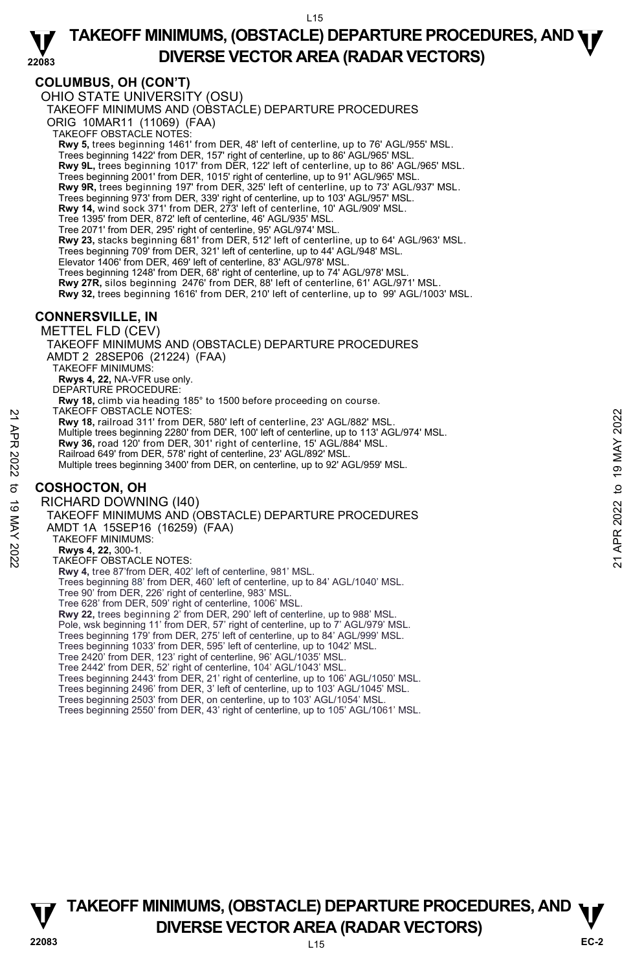### **COLUMBUS, OH (CON'T)**

L15 OHIO STATE UNIVERSITY (OSU) TAKEOFF MINIMUMS AND (OBSTACLE) DEPARTURE PROCEDURES ORIG 10MAR11 (11069) (FAA) TAKEOFF OBSTACLE NOTES: **Rwy 5,** trees beginning 1461' from DER, 48' left of centerline, up to 76' AGL/955' MSL. Trees beginning 1422' from DER, 157' right of centerline, up to 86' AGL/965' MSL. **Rwy 9L,** trees beginning 1017' from DER, 122' left of centerline, up to 86' AGL/965' MSL. Trees beginning 2001' from DER, 1015' right of centerline, up to 91' AGL/965' MSL. **Rwy 9R,** trees beginning 197' from DER, 325' left of centerline, up to 73' AGL/937' MSL.<br>Trees beginning 973' from DER, 339' right of centerline, up to 103' AGL/957' MSL. **Rwy 14,** wind sock 371' from DER, 273' left of centerline, 10' AGL/909' MSL. Tree 1395' from DER, 872' left of centerline, 46' AGL/935' MSL. Tree 2071' from DER, 295' right of centerline, 95' AGL/974' MSL. **Rwy 23,** stacks beginning 681' from DER, 512' left of centerline, up to 64' AGL/963' MSL. Trees beginning 709' from DER, 321' left of centerline, up to 44' AGL/948' MSL. Elevator 1406' from DER, 469' left of centerline, 83' AGL/978' MSL. Trees beginning 1248' from DER, 68' right of centerline, up to 74' AGL/978' MSL. **Rwy 27R,** silos beginning 2476' from DER, 88' left of centerline, 61' AGL/971' MSL. **Rwy 32,** trees beginning 1616' from DER, 210' left of centerline, up to 99' AGL/1003' MSL. **CONNERSVILLE, IN**  METTEL FLD (CEV) TAKEOFF MINIMUMS AND (OBSTACLE) DEPARTURE PROCEDURES AMDT 2 28SEP06 (21224) (FAA) TAKEOFF MINIMUMS: **Rwys 4, 22,** NA-VFR use only. DEPARTURE PROCEDURE: **Rwy 18,** climb via heading 185° to 1500 before proceeding on course. TAKEOFF OBSTACLE NOTES: **Rwy 18,** railroad 311' from DER, 580' left of centerline, 23' AGL/882' MSL. Multiple trees beginning 2280' from DER, 100' left of centerline, up to 113' AGL/974' MSL. **Rwy 36,** road 120' from DER, 301' right of centerline, 15' AGL/884' MSL. Railroad 649' from DER, 578' right of centerline, 23' AGL/892' MSL. Multiple trees beginning 3400' from DER, on centerline, up to 92' AGL/959' MSL. **COSHOCTON, OH**  RICHARD DOWNING (I40) TAKEOFF MINIMUMS AND (OBSTACLE) DEPARTURE PROCEDURES AMDT 1A 15SEP16 (16259) (FAA) TAKEOFF MINIMUMS: **Rwys 4, 22,** 300-1. TAKEOFF OBSTACLE NOTES: **Rwy 4,** tree 87'from DER, 402' left of centerline, 981' MSL. Trees beginning 88' from DER, 460' left of centerline, up to 84' AGL/1040' MSL. Tree 90' from DER, 226' right of centerline, 983' MSL. Tree 628' from DER, 509' right of centerline, 1006' MSL. **Rwy 22,** trees beginning 2' from DER, 290' left of centerline, up to 988' MSL. Pole, wsk beginning 11' from DER, 57' right of centerline, up to 7' AGL/979' MSL. Trees beginning 179' from DER, 275' left of centerline, up to 84' AGL/999' MSL. Trees beginning 1033' from DER, 595' left of centerline, up to 1042' MSL. 1ARCU-F OBSTACLE NOTES:<br>
21 ARCUST AND 11 From DER, 580' left of centerline, 23' AGL/882' MSL.<br>
22 Multiple trees beginning 2280' from DER, 100' left of centerline, up to 113' AGL/974' MSL.<br>
22 Rwy 36, road 120' from DER,

Tree 2420' from DER, 123' right of centerline, 96' AGL/1035' MSL. Tree 2442' from DER, 52' right of centerline, 104' AGL/1043' MSL.

Trees beginning 2443' from DER, 21' right of centerline, up to 106' AGL/1050' MSL.

Trees beginning 2496' from DER, 3' left of centerline, up to 103' AGL/1045' MSL.

Trees beginning 2503' from DER, on centerline, up to 103' AGL/1054' MSL.

Trees beginning 2550' from DER, 43' right of centerline, up to 105' AGL/1061' MSL.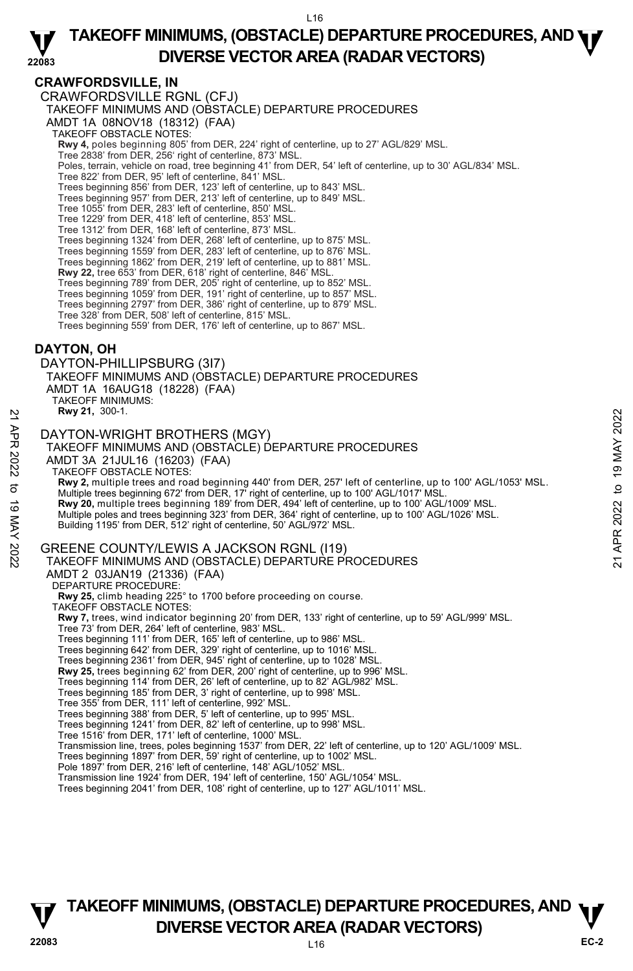### **CRAWFORDSVILLE, IN**

CRAWFORDSVILLE RGNL (CFJ) TAKEOFF MINIMUMS AND (OBSTACLE) DEPARTURE PROCEDURES AMDT 1A 08NOV18 (18312) (FAA) TAKEOFF OBSTACLE NOTES: **Rwy 4,** poles beginning 805' from DER, 224' right of centerline, up to 27' AGL/829' MSL.<br>Tree 2838' from DER, 256' right of centerline, 873' MSL. Poles, terrain, vehicle on road, tree beginning 41' from DER, 54' left of centerline, up to 30' AGL/834' MSL. Tree 822' from DER, 95' left of centerline, 841' MSL. Trees beginning 856' from DER, 123' left of centerline, up to 843' MSL. Trees beginning 957' from DER, 213' left of centerline, up to 849' MSL. Tree 1055' from DER, 283' left of centerline, 850' MSL. Tree 1229' from DER, 418' left of centerline, 853' MSL. Tree 1312' from DER, 168' left of centerline, 873' MSL. Trees beginning 1324' from DER, 268' left of centerline, up to 875' MSL.<br>Trees beginning 1559' from DER, 283' left of centerline, up to 876' MSL.<br>Trees beginning 1862' from DER, 219' left of centerline, up to 881' MSL. **Rwy 22,** tree 653' from DER, 618' right of centerline, 846' MSL. Trees beginning 789' from DER, 205' right of centerline, up to 852' MSL. Trees beginning 1059' from DER, 191' right of centerline, up to 857' MSL. Trees beginning 2797' from DER, 386' right of centerline, up to 879' MSL. Tree 328' from DER, 508' left of centerline, 815' MSL. Trees beginning 559' from DER, 176' left of centerline, up to 867' MSL. DAYTON-PHILLIPSBURG (3I7)

### **DAYTON, OH**

TAKEOFF MINIMUMS AND (OBSTACLE) DEPARTURE PROCEDURES AMDT 1A 16AUG18 (18228) (FAA) TAKEOFF MINIMUMS:

**Rwy 21,** 300-1.

DAYTON-WRIGHT BROTHERS (MGY)

TAKEOFF MINIMUMS AND (OBSTACLE) DEPARTURE PROCEDURES AMDT 3A 21JUL16 (16203) (FAA) TAKEOFF OBSTACLE NOTES: **Rwy 2,** multiple trees and road beginning 440' from DER, 257' left of centerline, up to 100' AGL/1053' MSL. Multiple trees beginning 672' from DER, 17' right of centerline, up to 100' AGL/1017' MSL. **Rwy 20,** multiple trees beginning 189' from DER, 494' left of centerline, up to 100' AGL/1009' MSL.<br>Multiple poles and trees beginning 323' from DER, 364' right of centerline, up to 100' AGL/1026' MSL. Building 1195' from DER, 512' right of centerline, 50' AGL/972' MSL. GREENE COUNTY/LEWIS A JACKSON RGNL (I19) TAKEOFF MINIMUMS AND (OBSTACLE) DEPARTURE PROCEDURES AMDT 2 03JAN19 (21336) (FAA) DEPARTURE PROCEDURE: **Rwy 25,** climb heading 225° to 1700 before proceeding on course. TAKEOFF OBSTACLE NOTES: **Rwy 7,** trees, wind indicator beginning 20' from DER, 133' right of centerline, up to 59' AGL/999' MSL. Tree 73' from DER, 264' left of centerline, 983' MSL. Trees beginning 111' from DER, 165' left of centerline, up to 986' MSL. Trees beginning 642' from DER, 329' right of centerline, up to 1016' MSL. Trees beginning 2361' from DER, 945' right of centerline, up to 1028' MSL.<br>**Rwy 25,** trees beginning 62' from DER, 200' right of centerline, up to 996' MSL. Trees beginning 114' from DER, 26' left of centerline, up to 82' AGL/982' MSL. Trees beginning 185' from DER, 3' right of centerline, up to 998' MSL. Tree 355' from DER, 111' left of centerline, 992' MSL. **EXAMPLE 19 MAYTON-WRIGHT BROTHERS (MGY)**<br>
DAYTON-WRIGHT BROTHERS (MGY)<br>
TAKEOFF MINIMUMS AND (OBSTACLE) DEPARTURE PROCEDURES<br>
AMDT 3A 21JJU16 (16203) (FAA)<br>
TAKEOFF MINIMUMS AND (OBSTACLE) DEPARTURE PROCEDURES<br>
TAKEOFF M

Trees beginning 388' from DER, 5' left of centerline, up to 995' MSL.

Trees beginning 1241' from DER, 82' left of centerline, up to 998' MSL.

Tree 1516' from DER, 171' left of centerline, 1000' MSL.

Transmission line, trees, poles beginning 1537' from DER, 22' left of centerline, up to 120' AGL/1009' MSL.

Trees beginning 1897' from DER, 59' right of centerline, up to 1002' MSL.

Pole 1897' from DER, 216' left of centerline, 148' AGL/1052' MSL.

Transmission line 1924' from DER, 194' left of centerline, 150' AGL/1054' MSL.

Trees beginning 2041' from DER, 108' right of centerline, up to 127' AGL/1011' MSL.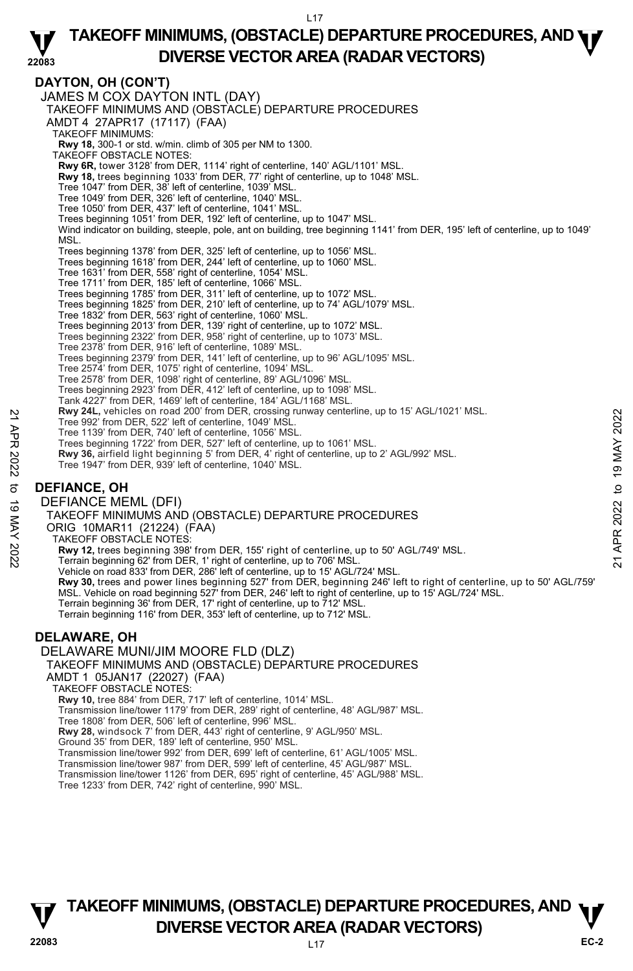#### **DAYTON, OH (CON'T)**  JAMES M COX DAYTON INTL (DAY) TAKEOFF MINIMUMS AND (OBSTACLE) DEPARTURE PROCEDURES AMDT 4 27APR17 (17117) (FAA) TAKEOFF MINIMUMS: **Rwy 18,** 300-1 or std. w/min. climb of 305 per NM to 1300. TAKEOFF OBSTACLE NOTES: **Rwy 6R,** tower 3128' from DER, 1114' right of centerline, 140' AGL/1101' MSL. **Rwy 18,** trees beginning 1033' from DER, 77' right of centerline, up to 1048' MSL. Tree 1047' from DER, 38' left of centerline, 1039' MSL. Tree 1049' from DER, 326' left of centerline, 1040' MSL. Tree 1050' from DER, 437' left of centerline, 1041' MSL. Trees beginning 1051' from DER, 192' left of centerline, up to 1047' MSL. Wind indicator on building, steeple, pole, ant on building, tree beginning 1141' from DER, 195' left of centerline, up to 1049' MSL. Trees beginning 1378' from DER, 325' left of centerline, up to 1056' MSL. Trees beginning 1618' from DER, 244' left of centerline, up to 1060' MSL. Tree 1631' from DER, 558' right of centerline, 1054' MSL. Tree 1711' from DER, 185' left of centerline, 1066' MSL. Trees beginning 1785' from DER, 311' left of centerline, up to 1072' MSL.<br>Trees beginning 1825' from DER, 210' left of centerline, up to 74' AGL/1079' MSL. Tree 1832' from DER, 563' right of centerline, 1060' MSL. Trees beginning 2013' from DER, 139' right of centerline, up to 1072' MSL. Trees beginning 2322' from DER, 958' right of centerline, up to 1073' MSL. Tree 2378' from DER, 916' left of centerline, 1089' MSL. Trees beginning 2379' from DER, 141' left of centerline, up to 96' AGL/1095' MSL. Tree 2574' from DER, 1075' right of centerline, 1094' MSL. Tree 2578' from DER, 1098' right of centerline, 89' AGL/1096' MSL. Trees beginning 2923' from DER, 412' left of centerline, up to 1098' MSL. Tank 4227' from DER, 1469' left of centerline, 184' AGL/1168' MSL. **Rwy 24L,** vehicles on road 200' from DER, crossing runway centerline, up to 15' AGL/1021' MSL. Tree 992' from DER, 522' left of centerline, 1049' MSL. Tree 1139' from DER, 740' left of centerline, 1056' MSL. Trees beginning 1722' from DER, 527' left of centerline, up to 1061' MSL. **Rwy 36,** airfield light beginning 5' from DER, 4' right of centerline, up to 2' AGL/992' MSL. Tree 1947' from DER, 939' left of centerline, 1040' MSL. **DEFIANCE, OH**  DEFIANCE MEML (DFI) TAKEOFF MINIMUMS AND (OBSTACLE) DEPARTURE PROCEDURES ORIG 10MAR11 (21224) (FAA) TAKEOFF OBSTACLE NOTES: **Rwy 12,** trees beginning 398' from DER, 155' right of centerline, up to 50' AGL/749' MSL.<br>Terrain beginning 62' from DER, 1' right of centerline, up to 706' MSL. Vehicle on road 833' from DER, 286' left of centerline, up to 15' AGL/724' MSL. **Rwy 30,** trees and power lines beginning 527' from DER, beginning 246' left to right of centerline, up to 50' AGL/759'<br>MSL. Vehicle on road beginning 527' from DER, 246' left to right of centerline, up to 15' AGL/724' MSL Terrain beginning 36' from DER, 17' right of centerline, up to 712' MSL. Terrain beginning 116' from DER, 353' left of centerline, up to 712' MSL. **DELAWARE, OH**  DELAWARE MUNI/JIM MOORE FLD (DLZ) TAKEOFF MINIMUMS AND (OBSTACLE) DEPARTURE PROCEDURES AMDT 1 05JAN17 (22027) (FAA) TAKEOFF OBSTACLE NOTES: **Rwy 10,** tree 884' from DER, 717' left of centerline, 1014' MSL. Transmission line/tower 1179' from DER, 289' right of centerline, 48' AGL/987' MSL. Tree 1808' from DER, 506' left of centerline, 996' MSL. **Rwy 28,** windsock 7' from DER, 443' right of centerline, 9' AGL/950' MSL. Ground 35' from DER, 189' left of centerline, 950' MSL. Transmission line/tower 992' from DER, 699' left of centerline, 61' AGL/1005' MSL. Transmission line/tower 987' from DER, 599' left of centerline, 45' AGL/987' MSL. Transmission line/tower 1126' from DER, 695' right of centerline, 45' AGL/988' MSL. Tree 1233' from DER, 742' right of centerline, 990' MSL. 22 Free 992' from DER, 522' left of centerline, 1049' MSL.<br>
Tree 992' from DER, 740' left of centerline, 1049' MSL.<br>
Tree 1139' from DER, 740' left of centerline, 1056' MSL.<br>
Tree 1139' from DER, 740' left of centerline,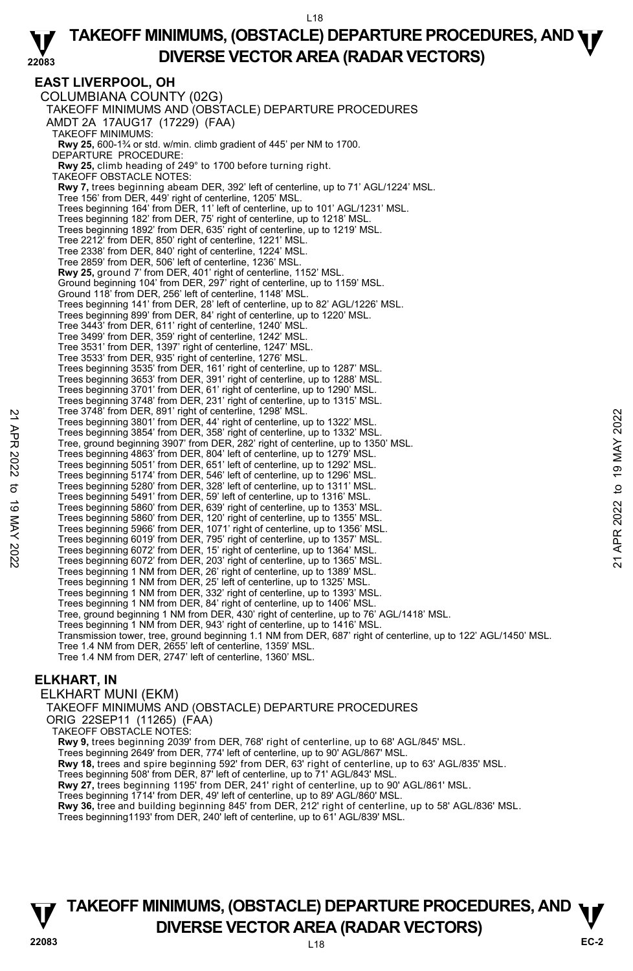**EAST LIVERPOOL, OH**  COLUMBIANA COUNTY (02G) TAKEOFF MINIMUMS AND (OBSTACLE) DEPARTURE PROCEDURES AMDT 2A 17AUG17 (17229) (FAA) TAKEOFF MINIMUMS: **Rwy 25,** 600-1¾ or std. w/min. climb gradient of 445' per NM to 1700. DEPARTURE PROCEDURE: **Rwy 25,** climb heading of 249° to 1700 before turning right. TAKEOFF OBSTACLE NOTES: **Rwy 7,** trees beginning abeam DER, 392' left of centerline, up to 71' AGL/1224' MSL.<br>Tree 156' from DER, 449' right of centerline, 1205' MSL. Trees beginning 164' from DER, 11' left of centerline, up to 101' AGL/1231' MSL. Trees beginning 182' from DER, 75' right of centerline, up to 1218' MSL. Trees beginning 1892' from DER, 635' right of centerline, up to 1219' MSL. Tree 2212' from DER, 850' right of centerline, 1221' MSL. Tree 2338' from DER, 840' right of centerline, 1224' MSL. Tree 2859' from DER, 506' left of centerline, 1236' MSL. **Rwy 25,** ground 7' from DER, 401' right of centerline, 1152' MSL. Ground beginning 104' from DER, 297' right of centerline, up to 1159' MSL. Ground 118' from DER, 256' left of centerline, 1148' MSL. Trees beginning 141' from DER, 28' left of centerline, up to 82' AGL/1226' MSL. Trees beginning 899' from DER, 84' right of centerline, up to 1220' MSL. Tree 3443' from DER, 611' right of centerline, 1240' MSL. Tree 3499' from DER, 359' right of centerline, 1242' MSL. Tree 3531' from DER, 1397' right of centerline, 1247' MSL. Tree 3533' from DER, 935' right of centerline, 1276' MSL. Trees beginning 3535' from DER, 161' right of centerline, up to 1287' MSL. Trees beginning 3653' from DER, 391' right of centerline, up to 1288' MSL. Trees beginning 3701' from DER, 61' right of centerline, up to 1290' MSL. Trees beginning 3748' from DER, 231' right of centerline, up to 1315' MSL. Tree 3748' from DER, 891' right of centerline, 1298' MSL. Trees beginning 3801' from DER, 44' right of centerline, up to 1322' MSL. Trees beginning 3854' from DER, 358' right of centerline, up to 1332' MSL. Tree, ground beginning 3907' from DER, 282' right of centerline, up to 1350' MSL. Trees beginning 4863' from DER, 804' left of centerline, up to 1279' MSL. Trees beginning 5051' from DER, 651' left of centerline, up to 1292' MSL. Trees beginning 5174' from DER, 546' left of centerline, up to 1296' MSL. Trees beginning 5280' from DER, 328' left of centerline, up to 1311' MSL. Trees beginning 5491' from DER, 59' left of centerline, up to 1316' MSL. Trees beginning 5860' from DER, 639' right of centerline, up to 1353' MSL. Trees beginning 5860' from DER, 120' right of centerline, up to 1355' MSL. Trees beginning 5966' from DER, 1071' right of centerline, up to 1356' MSL. Trees beginning 6019' from DER, 795' right of centerline, up to 1357' MSL. Trees beginning 6072' from DER, 15' right of centerline, up to 1364' MSL. Trees beginning 6072' from DER, 203' right of centerline, up to 1365' MSL. Trees beginning 1 NM from DER, 26' right of centerline, up to 1389' MSL. Trees beginning 1 NM from DER, 25' left of centerline, up to 1325' MSL. Trees beginning 1 NM from DER, 332' right of centerline, up to 1393' MSL. Trees beginning 1 NM from DER, 84' right of centerline, up to 1406' MSL. Tree, ground beginning 1 NM from DER, 430' right of centerline, up to 76' AGL/1418' MSL. Trees beginning 1 NM from DER, 943' right of centerline, up to 1416' MSL. Transmission tower, tree, ground beginning 1.1 NM from DER, 687' right of centerline, up to 122' AGL/1450' MSL. Tree 1.4 NM from DER, 2655' left of centerline, 1359' MSL. Tree 1.4 NM from DER, 2747' left of centerline, 1360' MSL. Tree 3/48' from DER, 99' Iright of centerline, 1298' MSL.<br>
Trees beginning 3801' from DER, 358' right of centerline, up to 1322' MSL.<br>
Trees pround beginning 3907' from DER, 2022' right of centerline, up to 1332' MSL.<br>
Tre

### **ELKHART, IN**

ELKHART MUNI (EKM) TAKEOFF MINIMUMS AND (OBSTACLE) DEPARTURE PROCEDURES ORIG 22SEP11 (11265) (FAA) TAKEOFF OBSTACLE NOTES: **Rwy 9,** trees beginning 2039' from DER, 768' right of centerline, up to 68' AGL/845' MSL. Trees beginning 2649' from DER, 774' left of centerline, up to 90' AGL/867' MSL. **Rwy 18,** trees and spire beginning 592' from DER, 63' right of centerline, up to 63' AGL/835' MSL.<br>Trees beginning 508' from DER, 87' left of centerline, up to 71' AGL/843' MSL. **Rwy 27,** trees beginning 1195' from DER, 241' right of centerline, up to 90' AGL/861' MSL. Trees beginning 1714' from DER, 49' left of centerline, up to 89' AGL/860' MSL.<br>**Rwy 36,** tree and building beginning 845' from DER, 212' right of centerline, up to 58' AGL/836' MSL. Trees beginning1193' from DER, 240' left of centerline, up to 61' AGL/839' MSL.

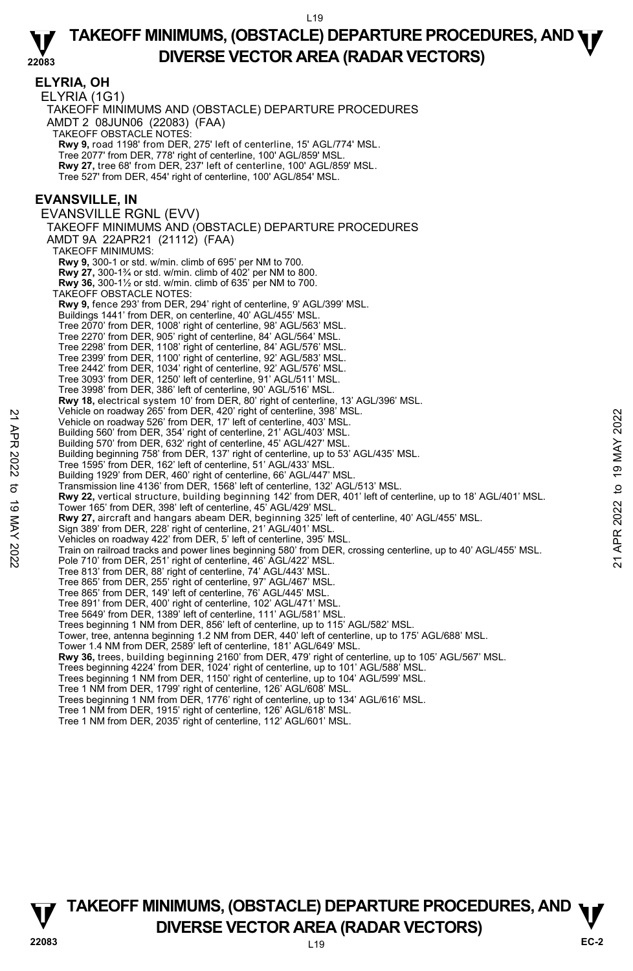|             | <b>ELYRIA, OH</b><br>ELYRIA (1G1)<br>TAKEOFF MINIMUMS AND (OBSTACLE) DEPARTURE PROCEDURES<br>AMDT 2 08JUN06 (22083) (FAA)<br><b>TAKEOFF OBSTACLE NOTES:</b><br>Rwy 9, road 1198' from DER, 275' left of centerline, 15' AGL/774' MSL.<br>Tree 2077' from DER, 778' right of centerline, 100' AGL/859' MSL.<br>Rwy 27, tree 68' from DER, 237' left of centerline, 100' AGL/859' MSL.<br>Tree 527' from DER, 454' right of centerline, 100' AGL/854' MSL. |                |
|-------------|----------------------------------------------------------------------------------------------------------------------------------------------------------------------------------------------------------------------------------------------------------------------------------------------------------------------------------------------------------------------------------------------------------------------------------------------------------|----------------|
|             | <b>EVANSVILLE, IN</b><br><b>EVANSVILLE RGNL (EVV)</b>                                                                                                                                                                                                                                                                                                                                                                                                    |                |
|             | TAKEOFF MINIMUMS AND (OBSTACLE) DEPARTURE PROCEDURES                                                                                                                                                                                                                                                                                                                                                                                                     |                |
|             | AMDT 9A 22APR21 (21112) (FAA)                                                                                                                                                                                                                                                                                                                                                                                                                            |                |
|             | <b>TAKEOFF MINIMUMS:</b>                                                                                                                                                                                                                                                                                                                                                                                                                                 |                |
|             | <b>Rwy 9, 300-1 or std. w/min. climb of 695' per NM to 700.</b><br><b>Rwy 27, 300-1%</b> or std. w/min. climb of 402' per NM to 800.                                                                                                                                                                                                                                                                                                                     |                |
|             | <b>Rwy 36, 300-1</b> % or std. w/min. climb of 635' per NM to 700.                                                                                                                                                                                                                                                                                                                                                                                       |                |
|             | TAKEOFF OBSTACLE NOTES:<br>Rwy 9, fence 293' from DER, 294' right of centerline, 9' AGL/399' MSL.                                                                                                                                                                                                                                                                                                                                                        |                |
|             | Buildings 1441' from DER, on centerline, 40' AGL/455' MSL.                                                                                                                                                                                                                                                                                                                                                                                               |                |
|             | Tree 2070' from DER, 1008' right of centerline, 98' AGL/563' MSL.<br>Tree 2270' from DER, 905' right of centerline, 84' AGL/564' MSL.                                                                                                                                                                                                                                                                                                                    |                |
|             | Tree 2298' from DER, 1108' right of centerline, 84' AGL/576' MSL.                                                                                                                                                                                                                                                                                                                                                                                        |                |
|             | Tree 2399' from DER, 1100' right of centerline, 92' AGL/583' MSL.<br>Tree 2442' from DER, 1034' right of centerline, 92' AGL/576' MSL.                                                                                                                                                                                                                                                                                                                   |                |
|             | Tree 3093' from DER, 1250' left of centerline, 91' AGL/511' MSL.                                                                                                                                                                                                                                                                                                                                                                                         |                |
|             | Tree 3998' from DER, 386' left of centerline, 90' AGL/516' MSL.                                                                                                                                                                                                                                                                                                                                                                                          |                |
|             | Rwy 18, electrical system 10' from DER, 80' right of centerline, 13' AGL/396' MSL.<br>Vehicle on roadway 265' from DER, 420' right of centerline, 398' MSL.                                                                                                                                                                                                                                                                                              |                |
|             | Vehicle on roadway 526' from DER, 17' left of centerline, 403' MSL.                                                                                                                                                                                                                                                                                                                                                                                      | 2022           |
|             | Building 560' from DER, 354' right of centerline, 21' AGL/403' MSL.<br>Building 570' from DER, 632' right of centerline, 45' AGL/427' MSL.                                                                                                                                                                                                                                                                                                               |                |
| 21 APR 2022 | Building beginning 758' from DER, 137' right of centerline, up to 53' AGL/435' MSL.                                                                                                                                                                                                                                                                                                                                                                      | 19 MAY         |
|             | Tree 1595' from DER, 162' left of centerline, 51' AGL/433' MSL.<br>Building 1929' from DER, 460' right of centerline, 66' AGL/447' MSL.                                                                                                                                                                                                                                                                                                                  |                |
| ರ           | Transmission line 4136' from DER, 1568' left of centerline, 132' AGL/513' MSL.                                                                                                                                                                                                                                                                                                                                                                           | $\mathbf{c}$   |
|             | Rwy 22, vertical structure, building beginning 142' from DER, 401' left of centerline, up to 18' AGL/401' MSL.                                                                                                                                                                                                                                                                                                                                           |                |
| 19 MAY 2022 | Tower 165' from DER, 398' left of centerline, 45' AGL/429' MSL.<br>Rwy 27, aircraft and hangars abeam DER, beginning 325' left of centerline, 40' AGL/455' MSL.                                                                                                                                                                                                                                                                                          | 2022           |
|             | Sign 389' from DER, 228' right of centerline, 21' AGL/401' MSL.                                                                                                                                                                                                                                                                                                                                                                                          |                |
|             | Vehicles on roadway 422' from DER, 5' left of centerline, 395' MSL.<br>Train on railroad tracks and power lines beginning 580' from DER, crossing centerline, up to 40' AGL/455' MSL.                                                                                                                                                                                                                                                                    | APR:           |
|             | Pole 710' from DER, 251' right of centerline, 46' AGL/422' MSL.                                                                                                                                                                                                                                                                                                                                                                                          | $\overline{c}$ |
|             | Tree 813' from DER, 88' right of centerline, 74' AGL/443' MSL.<br>Tree 865' from DER, 255' right of centerline, 97' AGL/467' MSL.                                                                                                                                                                                                                                                                                                                        |                |
|             | Tree 865' from DER, 149' left of centerline, 76' AGL/445' MSL.                                                                                                                                                                                                                                                                                                                                                                                           |                |
|             | Tree 891' from DER, 400' right of centerline, 102' AGL/471' MSL.<br>Tree 5649' from DER, 1389' left of centerline, 111' AGL/581' MSL.                                                                                                                                                                                                                                                                                                                    |                |
|             | Trees beginning 1 NM from DER, 856' left of centerline, up to 115' AGL/582' MSL.                                                                                                                                                                                                                                                                                                                                                                         |                |
|             | Tower, tree, antenna beginning 1.2 NM from DER, 440' left of centerline, up to 175' AGL/688' MSL.                                                                                                                                                                                                                                                                                                                                                        |                |
|             | Tower 1.4 NM from DER, 2589' left of centerline, 181' AGL/649' MSL.<br>Rwy 36, trees, building beginning 2160' from DER, 479' right of centerline, up to 105' AGL/567' MSL.                                                                                                                                                                                                                                                                              |                |
|             | Trees beginning 4224' from DER, 1024' right of centerline, up to 101' AGL/588' MSL.                                                                                                                                                                                                                                                                                                                                                                      |                |
|             | Trees beginning 1 NM from DER, 1150' right of centerline, up to 104' AGL/599' MSL.<br>Tree 1 NM from DER, 1799' right of centerline, 126' AGL/608' MSL.                                                                                                                                                                                                                                                                                                  |                |
|             | Trees beginning 1 NM from DER, 1776' right of centerline, up to 134' AGL/616' MSL.                                                                                                                                                                                                                                                                                                                                                                       |                |
|             | Tree 1 NM from DER, 1915' right of centerline, 126' AGL/618' MSL.<br>Tree 1 NM from DER, 2035' right of centerline, 112' AGL/601' MSL.                                                                                                                                                                                                                                                                                                                   |                |
|             |                                                                                                                                                                                                                                                                                                                                                                                                                                                          |                |
|             |                                                                                                                                                                                                                                                                                                                                                                                                                                                          |                |

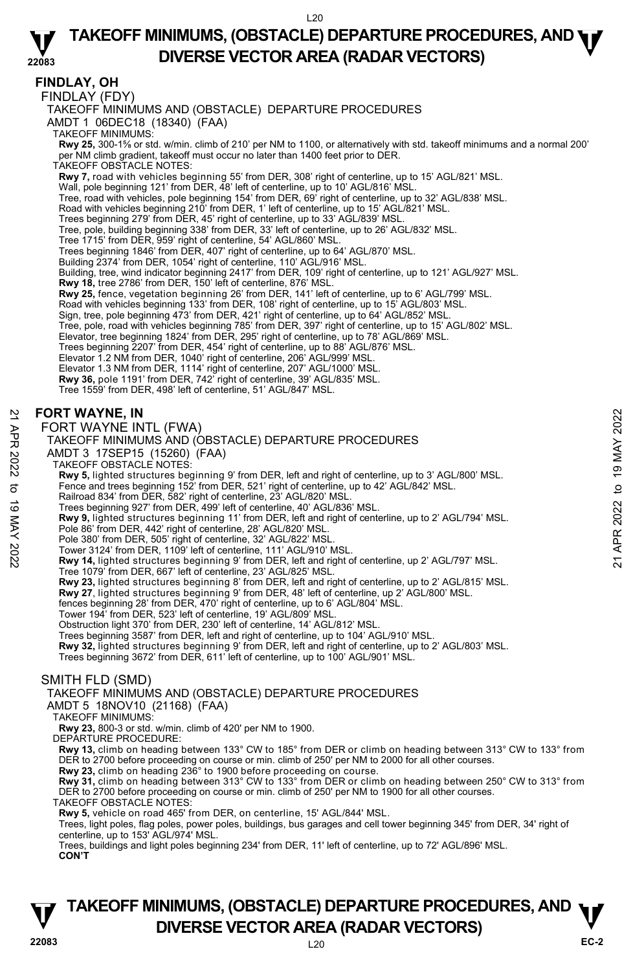### **FINDLAY, OH**

FINDLAY (FDY)

TAKEOFF MINIMUMS AND (OBSTACLE) DEPARTURE PROCEDURES

AMDT 1 06DEC18 (18340) (FAA)

TAKEOFF MINIMUMS:

**Rwy 25,** 300-1⅝ or std. w/min. climb of 210' per NM to 1100, or alternatively with std. takeoff minimums and a normal 200' per NM climb gradient, takeoff must occur no later than 1400 feet prior to DER.

TAKEOFF OBSTACLE NOTES:

**Rwy 7,** road with vehicles beginning 55' from DER, 308' right of centerline, up to 15' AGL/821' MSL.

- 
- Wall, pole beginning 121' from DER, 48' left of centerline, up to 10' AGL/816' MSL.<br>Tree, road with vehicles, pole beginning 154' from DER, 69' right of centerline, up to 32' AGL/838' MSL.
- Road with vehicles beginning 210' from DER, 1' left of centerline, up to 15' AGL/821' MSL.
- Trees beginning 279' from DER, 45' right of centerline, up to 33' AGL/839' MSL.
- Tree, pole, building beginning 338' from DER, 33' left of centerline, up to 26' AGL/832' MSL.
- Tree 1715' from DER, 959' right of centerline, 54' AGL/860' MSL.

Trees beginning 1846' from DER, 407' right of centerline, up to 64' AGL/870' MSL.

- Building 2374' from DER, 1054' right of centerline, 110' AGL/916' MSL.
- Building, tree, wind indicator beginning 2417' from DER, 109' right of centerline, up to 121' AGL/927' MSL.
- **Rwy 18,** tree 2786' from DER, 150' left of centerline, 876' MSL.

**Rwy 25,** fence, vegetation beginning 26' from DER, 141' left of centerline, up to 6' AGL/799' MSL.<br>Road with vehicles beginning 133' from DER, 108' right of centerline, up to 15' AGL/803' MSL.<br>Sign, tree, pole beginning 4

- 
- Tree, pole, road with vehicles beginning 785' from DER, 397' right of centerline, up to 15' AGL/802' MSL.<br>Elevator, tree beginning 1824' from DER, 295' right of centerline, up to 78' AGL/869' MSL.
- 
- Trees beginning 2207' from DER, 454' right of centerline, up to 88' AGL/876' MSL.
- Elevator 1.2 NM from DER, 1040' right of centerline, 206' AGL/999' MSL.
- 
- Elevator 1.3 NM from DER, 1114' right of centerline, 207' AGL/1000' MSL. **Rwy 36,** pole 1191' from DER, 742' right of centerline, 39' AGL/835' MSL.
- Tree 1559' from DER, 498' left of centerline, 51' AGL/847' MSL.

#### **FORT WAYNE, IN**

#### FORT WAYNE INTL (FWA)

#### TAKEOFF MINIMUMS AND (OBSTACLE) DEPARTURE PROCEDURES

- AMDT 3 17SEP15 (15260) (FAA)
- TAKEOFF OBSTACLE NOTES:
- 
- **Rwy 5,** lighted structures beginning 9' from DER, left and right of centerline, up to 3' AGL/800' MSL.<br>Fence and trees beginning 152' from DER, 521' right of centerline, up to 42' AGL/842' MSL.
- Railroad 834' from DER, 582' right of centerline, 23' AGL/820' MSL.
- Trees beginning 927' from DER, 499' left of centerline, 40' AGL/836' MSL.
- **Rwy 9,** lighted structures beginning 11' from DER, left and right of centerline, up to 2' AGL/794' MSL. FORT WAYNE, IN<br>  $\geq$  FORT WAYNE INTL (FWA)<br>
TAKEOFF MINIMUMS AND (OBSTACLE) DEPARTURE PROCEDURES<br>
AMDT 3 17SEP15 (15260) (FAA)<br>
TAKEOFF OBSTACLE NOTES:<br>
RW 5, lighted structures beginning 9' from DER, left and right of c
	- Pole 86' from DER, 442' right of centerline, 28' AGL/820' MSL.
	- Pole 380' from DER, 505' right of centerline, 32' AGL/822' MSL.
	-
	- Tower 3124' from DER, 1109' left of centerline, 111' AGL/910' MSL.<br>**Rwy 14,** lighted structures beginning 9' from DER, left and right of centerline, up 2' AGL/797' MSL.
		- Tree 1079' from DER, 667' left of centerline, 23' AGL/825' MSL.
	-
	- **Rwy 23,** lighted structures beginning 8' from DER, left and right of centerline, up to 2' AGL/815' MSL.<br>**Rwy 27**, lighted structures beginning 9' from DER, 48' left of centerline, up 2' AGL/800' MSL.
	- fences beginning 28' from DER, 470' right of centerline, up to 6' AGL/804' MSL.
	-
	- Tower 194' from DER, 523' left of centerline, 19' AGL/809' MSL. Obstruction light 370' from DER, 230' left of centerline, 14' AGL/812' MSL.
	- Trees beginning 3587' from DER, left and right of centerline, up to 104' AGL/910' MSL.
	- **Rwy 32,** lighted structures beginning 9' from DER, left and right of centerline, up to 2' AGL/803' MSL.

Trees beginning 3672' from DER, 611' left of centerline, up to 100' AGL/901' MSL.

### SMITH FLD (SMD)

TAKEOFF MINIMUMS AND (OBSTACLE) DEPARTURE PROCEDURES

- AMDT 5 18NOV10 (21168) (FAA)
- TAKEOFF MINIMUMS:
- **Rwy 23,** 800-3 or std. w/min. climb of 420' per NM to 1900. DEPARTURE PROCEDURE:
- 
- **Rwy 13,** climb on heading between 133° CW to 185° from DER or climb on heading between 313° CW to 133° from DER to 2700 before proceeding on course or min. climb of 250' per NM to 2000 for all other courses.
- **Rwy 23,** climb on heading 236° to 1900 before proceeding on course.
- **Rwy 31,** climb on heading between 313° CW to 133° from DER or climb on heading between 250° CW to 313° from DER to 2700 before proceeding on course or min. climb of 250' per NM to 1900 for all other courses.
- TAKEOFF OBSTACLE NOTES:
- **Rwy 5,** vehicle on road 465' from DER, on centerline, 15' AGL/844' MSL.

Trees, buildings and light poles beginning 234' from DER, 11' left of centerline, up to 72' AGL/896' MSL. **CON'T**

Trees, light poles, flag poles, power poles, buildings, bus garages and cell tower beginning 345' from DER, 34' right of centerline, up to 153' AGL/974' MSL.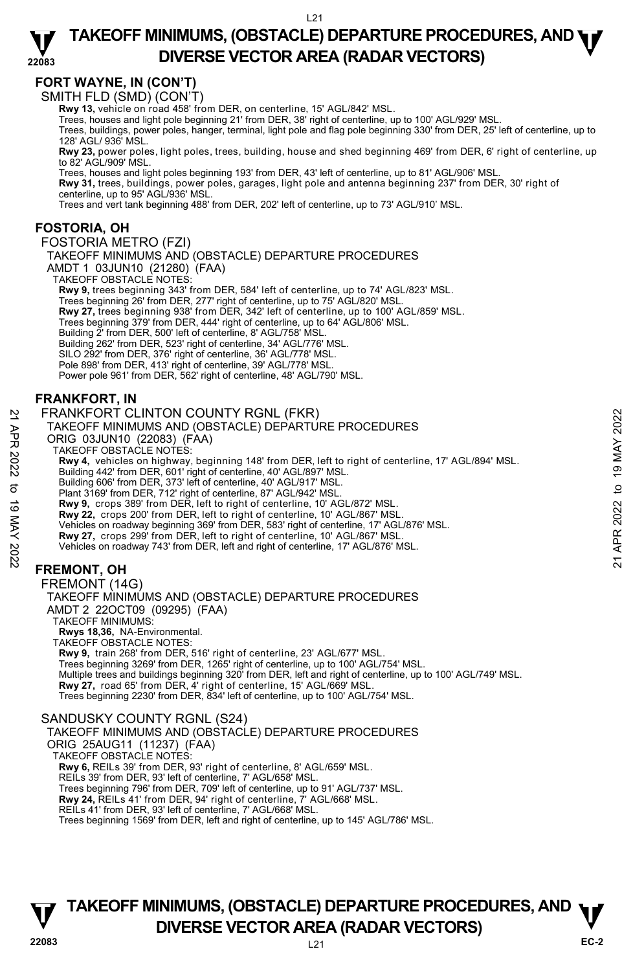# **FORT WAYNE, IN (CON'T)**

SMITH FLD (SMD) (CON'T)

**Rwy 13,** vehicle on road 458' from DER, on centerline, 15' AGL/842' MSL.

Trees, houses and light pole beginning 21' from DER, 38' right of centerline, up to 100' AGL/929' MSL.

Trees, buildings, power poles, hanger, terminal, light pole and flag pole beginning 330' from DER, 25' left of centerline, up to 128' AGL/ 936' MSL.

**Rwy 23,** power poles, light poles, trees, building, house and shed beginning 469' from DER, 6' right of centerline, up to 82' AGL/909' MSL.

Trees, houses and light poles beginning 193' from DER, 43' left of centerline, up to 81' AGL/906' MSL.

**Rwy 31,** trees, buildings, power poles, garages, light pole and antenna beginning 237' from DER, 30' right of<br>centerline, up to 95' AGL/936' MSL.

Trees and vert tank beginning 488' from DER, 202' left of centerline, up to 73' AGL/910' MSL.

### **FOSTORIA, OH**

#### FOSTORIA METRO (FZI)

TAKEOFF MINIMUMS AND (OBSTACLE) DEPARTURE PROCEDURES

AMDT 1 03JUN10 (21280) (FAA)

TAKEOFF OBSTACLE NOTES:

**Rwy 9,** trees beginning 343' from DER, 584' left of centerline, up to 74' AGL/823' MSL.<br>Trees beginning 26' from DER, 277' right of centerline, up to 75' AGL/820' MSL. **Rwy 27,** trees beginning 938' from DER, 342' left of centerline, up to 100' AGL/859' MSL. Trees beginning 379' from DER, 444' right of centerline, up to 64' AGL/806' MSL. Building 2' from DER, 500' left of centerline, 8' AGL/758' MSL. Building 262' from DER, 523' right of centerline, 34' AGL/776' MSL. SILO 292' from DER, 376' right of centerline, 36' AGL/778' MSL. Pole 898' from DER, 413' right of centerline, 39' AGL/778' MSL. Power pole 961' from DER, 562' right of centerline, 48' AGL/790' MSL.

### **FRANKFORT, IN**

#### FRANKFORT CLINTON COUNTY RGNL (FKR)

TAKEOFF MINIMUMS AND (OBSTACLE) DEPARTURE PROCEDURES

ORIG 03JUN10 (22083) (FAA)

TAKEOFF OBSTACLE NOTES:

**Rwy 4,** vehicles on highway, beginning 148' from DER, left to right of centerline, 17' AGL/894' MSL. 22 FRANKFORT CLINTON COUNTY RGNL (FKR)<br>
TAKEOFF MINIMUMS AND (OBSTACLE) DEPARTURE PROCEDURES<br>
ORIG 03JUN10 (22083) (FAA<br>
TAKEOFF OBSTACLE NOTES:<br>
Rwy 4, vehicles on highway, beginning 148' from DER, left to right of cente

Building 442' from DER, 601' right of centerline, 40' AGL/897' MSL. Building 606' from DER, 373' left of centerline, 40' AGL/917' MSL.

Plant 3169' from DER, 712' right of centerline, 87' AGL/942' MSL.

**Rwy 9,** crops 389' from DER, left to right of centerline, 10' AGL/872' MSL.

**Rwy 22,** crops 200' from DER, left to right of centerline, 10' AGL/867' MSL.

- Vehicles on roadway beginning 369' from DER, 583' right of centerline, 17' AGL/876' MSL.
- **Rwy 27,** crops 299' from DER, left to right of centerline, 10' AGL/867' MSL.

Vehicles on roadway 743' from DER, left and right of centerline, 17' AGL/876' MSL.

### **FREMONT, OH**

FREMONT (14G) TAKEOFF MINIMUMS AND (OBSTACLE) DEPARTURE PROCEDURES AMDT 2 22OCT09 (09295) (FAA) TAKEOFF MINIMUMS: **Rwys 18,36,** NA-Environmental. TAKEOFF OBSTACLE NOTES: **Rwy 9,** train 268' from DER, 516' right of centerline, 23' AGL/677' MSL. Trees beginning 3269' from DER, 1265' right of centerline, up to 100' AGL/754' MSL.

Multiple trees and buildings beginning 320' from DER, left and right of centerline, up to 100' AGL/749' MSL. **Rwy 27,** road 65' from DER, 4' right of centerline, 15' AGL/669' MSL. Trees beginning 2230' from DER, 834' left of centerline, up to 100' AGL/754' MSL.

#### SANDUSKY COUNTY RGNL (S24)

TAKEOFF MINIMUMS AND (OBSTACLE) DEPARTURE PROCEDURES

ORIG 25AUG11 (11237) (FAA)

TAKEOFF OBSTACLE NOTES:

**Rwy 6,** REILs 39' from DER, 93' right of centerline, 8' AGL/659' MSL.

REILs 39' from DER, 93' left of centerline, 7' AGL/658' MSL.

Trees beginning 796' from DER, 709' left of centerline, up to 91' AGL/737' MSL.

**Rwy 24,** REILs 41' from DER, 94' right of centerline, 7' AGL/668' MSL. REILs 41' from DER, 93' left of centerline, 7' AGL/668' MSL.

Trees beginning 1569' from DER, left and right of centerline, up to 145' AGL/786' MSL.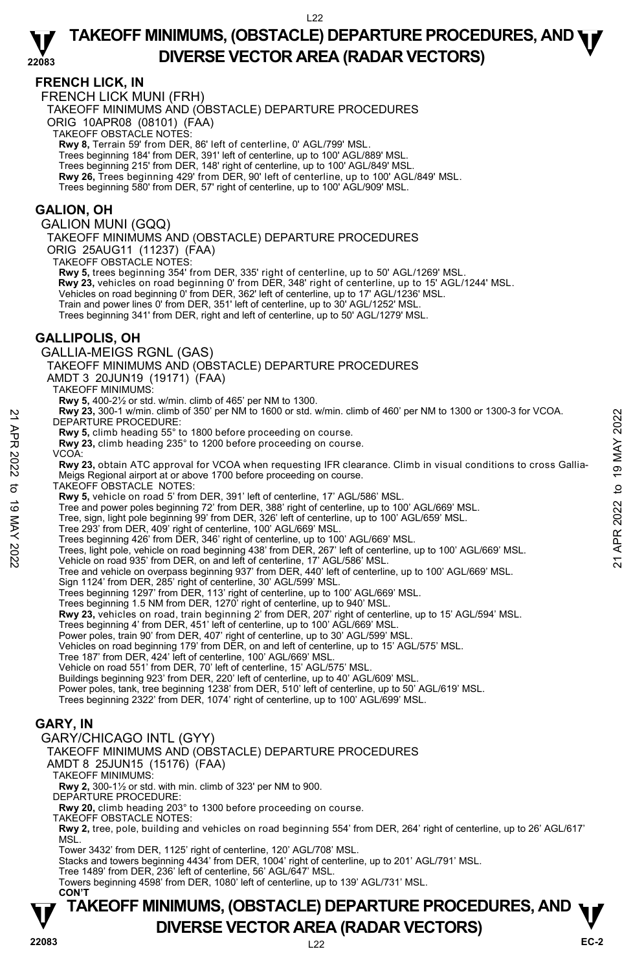### **FRENCH LICK, IN**

FRENCH LICK MUNI (FRH)

TAKEOFF MINIMUMS AND (OBSTACLE) DEPARTURE PROCEDURES

ORIG 10APR08 (08101) (FAA)

TAKEOFF OBSTACLE NOTES:

**Rwy 8,** Terrain 59' from DER, 86' left of centerline, 0' AGL/799' MSL.

Trees beginning 184' from DER, 391' left of centerline, up to 100' AGL/889' MSL.

Trees beginning 215' from DER, 148' right of centerline, up to 100' AGL/849' MSL.

**Rwy 26,** Trees beginning 429' from DER, 90' left of centerline, up to 100' AGL/849' MSL.

Trees beginning 580' from DER, 57' right of centerline, up to 100' AGL/909' MSL.

### **GALION, OH**

GALION MUNI (GQQ)

TAKEOFF MINIMUMS AND (OBSTACLE) DEPARTURE PROCEDURES ORIG 25AUG11 (11237) (FAA)

TAKEOFF OBSTACLE NOTES:

**Rwy 5,** trees beginning 354' from DER, 335' right of centerline, up to 50' AGL/1269' MSL. **Rwy 23,** vehicles on road beginning 0' from DER, 348' right of centerline, up to 15' AGL/1244' MSL. Vehicles on road beginning 0' from DER, 362' left of centerline, up to 17' AGL/1236' MSL. Train and power lines 0' from DER, 351' left of centerline, up to 30' AGL/1252' MSL.

### **GALLIPOLIS, OH**

Trees beginning 341' from DER, right and left of centerline, up to 50' AGL/1279' MSL. GALLIA-MEIGS RGNL (GAS) TAKEOFF MINIMUMS AND (OBSTACLE) DEPARTURE PROCEDURES AMDT 3 20JUN19 (19171) (FAA) TAKEOFF MINIMUMS: **Rwy 5,** 400-2½ or std. w/min. climb of 465' per NM to 1300. **Rwy 23,** 300-1 w/min. climb of 350' per NM to 1600 or std. w/min. climb of 460' per NM to 1300 or 1300-3 for VCOA. DEPARTURE PROCEDURE: **Rwy 5,** climb heading 55° to 1800 before proceeding on course. **Rwy 23,** climb heading 235° to 1200 before proceeding on course. VCOA: **Rwy 23,** obtain ATC approval for VCOA when requesting IFR clearance. Climb in visual conditions to cross Gallia-Meigs Regional airport at or above 1700 before proceeding on course. TAKEOFF OBSTACLE NOTES: **Rwy 5,** vehicle on road 5' from DER, 391' left of centerline, 17' AGL/586' MSL. Tree and power poles beginning 72' from DER, 388' right of centerline, up to 100' AGL/669' MSL. Tree, sign, light pole beginning 99' from DER, 326' left of centerline, up to 100' AGL/659' MSL. Tree 293' from DER, 409' right of centerline, 100' AGL/669' MSL. Trees beginning 426' from DER, 346' right of centerline, up to 100' AGL/669' MSL. DEPARTURE PROCEDURE:<br>
New 23, 300-1 winn. cilm of 400' per NM to 1300 or 1300-3 for VCOA.<br>
Rwy 5, climb heading 55° to 1800 before proceeding on course.<br>
Rwy 23, climb heading 235° to 1200 before proceeding on course.<br>
New Tree and vehicle on overpass beginning 937' from DER, 440' left of centerline, up to 100' AGL/669' MSL. Sign 1124' from DER, 285' right of centerline, 30' AGL/599' MSL. Trees beginning 1297' from DER, 113' right of centerline, up to 100' AGL/669' MSL. Trees beginning 1.5 NM from DER, 1270' right of centerline, up to 940' MSL. **Rwy 23,** vehicles on road, train beginning 2' from DER, 207' right of centerline, up to 15' AGL/594' MSL. Trees beginning 4' from DER, 451' left of centerline, up to 100' AGL/669' MSL. Power poles, train 90' from DER, 407' right of centerline, up to 30' AGL/599' MSL. Vehicles on road beginning 179' from DER, on and left of centerline, up to 15' AGL/575' MSL. Tree 187' from DER, 424' left of centerline, 100' AGL/669' MSL. Vehicle on road 551' from DER, 70' left of centerline, 15' AGL/575' MSL. Buildings beginning 923' from DER, 220' left of centerline, up to 40' AGL/609' MSL. Power poles, tank, tree beginning 1238' from DER, 510' left of centerline, up to 50' AGL/619' MSL.<br>Trees beginning 2322' from DER, 1074' right of centerline, up to 100' AGL/699' MSL.

### **GARY, IN**

#### GARY/CHICAGO INTL (GYY) TAKEOFF MINIMUMS AND (OBSTACLE) DEPARTURE PROCEDURES

AMDT 8 25JUN15 (15176) (FAA)

TAKEOFF MINIMUMS:

**Rwy 2,** 300-1½ or std. with min. climb of 323' per NM to 900.

DEPARTURE PROCEDURE:

**Rwy 20,** climb heading 203° to 1300 before proceeding on course. TAKEOFF OBSTACLE NOTES:

**Rwy 2,** tree, pole, building and vehicles on road beginning 554' from DER, 264' right of centerline, up to 26' AGL/617' MSL.

Tower 3432' from DER, 1125' right of centerline, 120' AGL/708' MSL.

Stacks and towers beginning 4434' from DER, 1004' right of centerline, up to 201' AGL/791' MSL.

Tree 1489' from DER, 236' left of centerline, 56' AGL/647' MSL.

Towers beginning 4598' from DER, 1080' left of centerline, up to 139' AGL/731' MSL. **CON'T**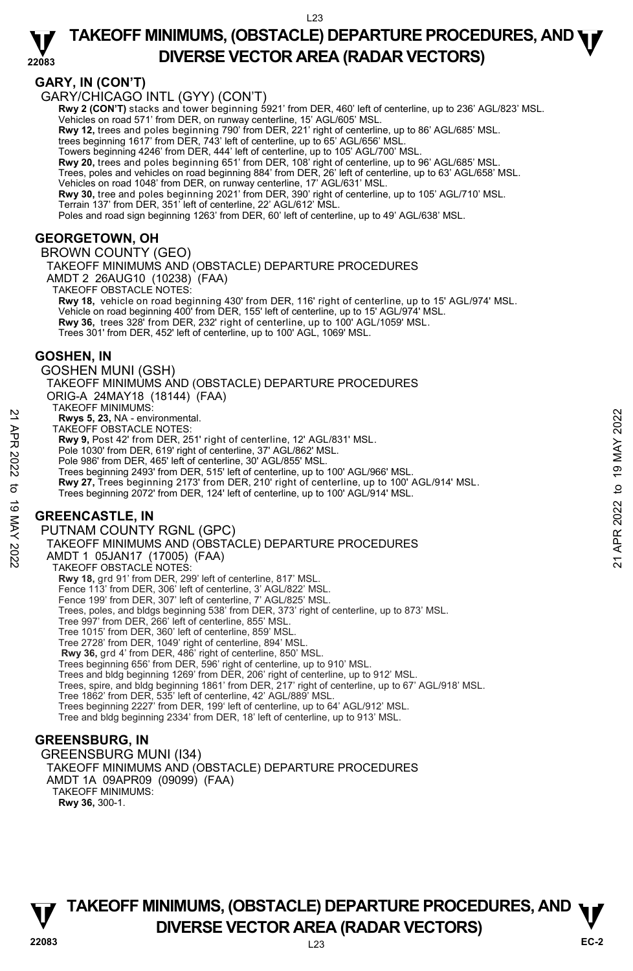#### **22083 TAKEOFF MINIMUMS, (OBSTACLE) DEPARTURE PROCEDURES, AND <b>WE**<br>DREBSE VECTOR AREA (BADAR VECTORS) **DIVERSE VECTOR AREA (RADAR VECTORS)**

### **GARY, IN (CON'T)**

GARY/CHICAGO INTL (GYY) (CON'T)

**Rwy 2 (CON'T)** stacks and tower beginning 5921' from DER, 460' left of centerline, up to 236' AGL/823' MSL. Vehicles on road 571' from DER, on runway centerline, 15' AGL/605' MSL.

**Rwy 12,** trees and poles beginning 790' from DER, 221' right of centerline, up to 86' AGL/685' MSL. trees beginning 1617' from DER, 743' left of centerline, up to 65' AGL/656' MSL.

Towers beginning 4246' from DER, 444' left of centerline, up to 105' AGL/700' MSL.

**Rwy 20,** trees and poles beginning 651' from DER, 108' right of centerline, up to 96' AGL/685' MSL.

Trees, poles and vehicles on road beginning 884' from DER, 26' left of centerline, up to 63' AGL/658' MSL. Vehicles on road 1048' from DER, on runway centerline, 17' AGL/631' MSL.

**Rwy 30,** tree and poles beginning 2021' from DER, 390' right of centerline, up to 105' AGL/710' MSL. Terrain 137' from DER, 351' left of centerline, 22' AGL/612' MSL.

Poles and road sign beginning 1263' from DER, 60' left of centerline, up to 49' AGL/638' MSL.

### **GEORGETOWN, OH**

BROWN COUNTY (GEO) TAKEOFF MINIMUMS AND (OBSTACLE) DEPARTURE PROCEDURES AMDT 2 26AUG10 (10238) (FAA) TAKEOFF OBSTACLE NOTES: **Rwy 18,** vehicle on road beginning 430' from DER, 116' right of centerline, up to 15' AGL/974' MSL. Vehicle on road beginning 400' from DER, 155' left of centerline, up to 15' AGL/974' MSL. **Rwy 36,** trees 328' from DER, 232' right of centerline, up to 100' AGL/1059' MSL. Trees 301' from DER, 452' left of centerline, up to 100' AGL, 1069' MSL.

### **GOSHEN, IN**

GOSHEN MUNI (GSH) TAKEOFF MINIMUMS AND (OBSTACLE) DEPARTURE PROCEDURES ORIG-A 24MAY18 (18144) (FAA) TAKEOFF MINIMUMS: **Rwys 5, 23,** NA - environmental. TAKEOFF OBSTACLE NOTES: **Rwy 9,** Post 42' from DER, 251' right of centerline, 12' AGL/831' MSL. Pole 1030' from DER, 619' right of centerline, 37' AGL/862' MSL. Pole 986' from DER, 465' left of centerline, 30' AGL/855' MSL. Trees beginning 2493' from DER, 515' left of centerline, up to 100' AGL/966' MSL.<br>**Rwy 27,** Trees beginning 2173' from DER, 210' right of centerline, up to 100' AGL/914' MSL. Trees beginning 2072' from DER, 124' left of centerline, up to 100' AGL/914' MSL. **GREENCASTLE, IN**  PUTNAM COUNTY RGNL (GPC) TAKEOFF MINIMUMS AND (OBSTACLE) DEPARTURE PROCEDURES AMDT 1 05JAN17 (17005) (FAA) TAKEOFF OBSTACLE NOTES: **Rwy 18,** grd 91' from DER, 299' left of centerline, 817' MSL.<br>Fence 113' from DER, 306' left of centerline, 3' AGL/822' MSL.<br>Fence 199' from DER, 307' left of centerline, 7' AGL/825' MSL. Trees, poles, and bldgs beginning 538' from DER, 373' right of centerline, up to 873' MSL. Tree 997' from DER, 266' left of centerline, 855' MSL. Tree 1015' from DER, 360' left of centerline, 859' MSL. Tree 2728' from DER, 1049' right of centerline, 894' MSL. **Rwy 36,** grd 4' from DER, 486' right of centerline, 850' MSL. Trees beginning 656' from DER, 596' right of centerline, up to 910' MSL. Princes From Sales The Control of Control of Control of Control of Control of Control of Control of Control of Control of Control of Control of Control of Control of Control of Control of Control of Control of Control of

Trees and bldg beginning 1269' from DER, 206' right of centerline, up to 912' MSL. Trees, spire, and bldg beginning 1861' from DER, 217' right of centerline, up to 67' AGL/918' MSL. Tree 1862' from DER, 535' left of centerline, 42' AGL/889' MSL. Trees beginning 2227' from DER, 199' left of centerline, up to 64' AGL/912' MSL. Tree and bldg beginning 2334' from DER, 18' left of centerline, up to 913' MSL.

### **GREENSBURG, IN**

GREENSBURG MUNI (I34) TAKEOFF MINIMUMS AND (OBSTACLE) DEPARTURE PROCEDURES AMDT 1A 09APR09 (09099) (FAA) TAKEOFF MINIMUMS: **Rwy 36,** 300-1.

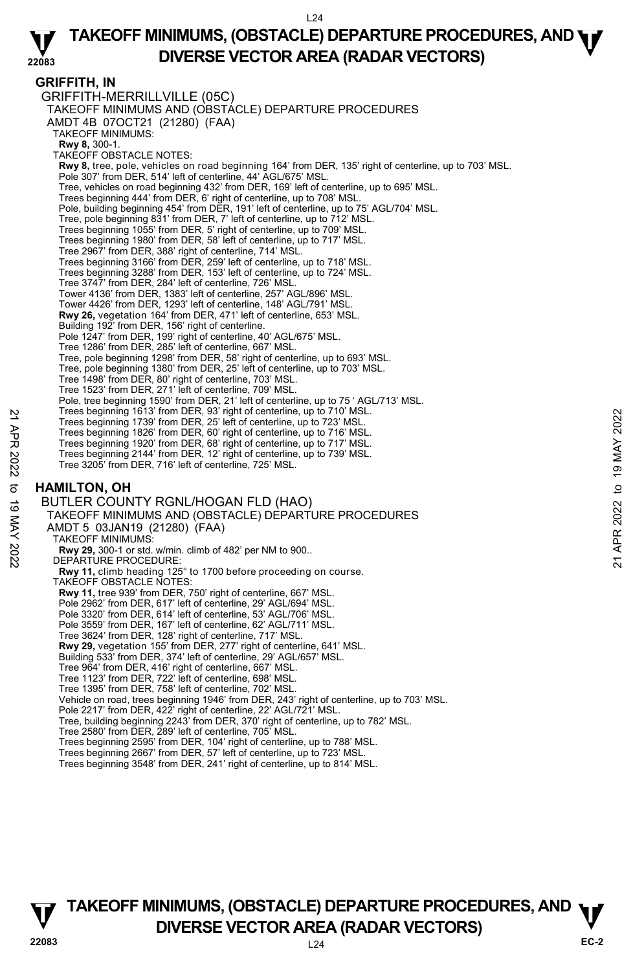#### **22083 TAKEOFF MINIMUMS, (OBSTACLE) DEPARTURE PROCEDURES, AND <b>WE**<br>DREBSE VECTOR AREA (BADAR VECTORS) **DIVERSE VECTOR AREA (RADAR VECTORS)**

### **GRIFFITH, IN**

GRIFFITH-MERRILLVILLE (05C) TAKEOFF MINIMUMS AND (OBSTACLE) DEPARTURE PROCEDURES AMDT 4B 07OCT21 (21280) (FAA) TAKEOFF MINIMUMS: **Rwy 8,** 300-1. TAKEOFF OBSTACLE NOTES: **Rwy 8,** tree, pole, vehicles on road beginning 164' from DER, 135' right of centerline, up to 703' MSL. Pole 307' from DER, 514' left of centerline, 44' AGL/675' MSL. Tree, vehicles on road beginning 432' from DER, 169' left of centerline, up to 695' MSL. Trees beginning 444' from DER, 6' right of centerline, up to 708' MSL. Pole, building beginning 454' from DER, 191' left of centerline, up to 75' AGL/704' MSL. Tree, pole beginning 831' from DER, 7' left of centerline, up to 712' MSL. Trees beginning 1055' from DER, 5' right of centerline, up to 709' MSL. Trees beginning 1980' from DER, 58' left of centerline, up to 717' MSL. Tree 2967' from DER, 388' right of centerline, 714' MSL. Trees beginning 3166' from DER, 259' left of centerline, up to 718' MSL. Trees beginning 3288' from DER, 153' left of centerline, up to 724' MSL. Tree 3747' from DER, 284' left of centerline, 726' MSL. Tower 4136' from DER, 1383' left of centerline, 257' AGL/896' MSL. Tower 4426' from DER, 1293' left of centerline, 148' AGL/791' MSL. **Rwy 26,** vegetation 164' from DER, 471' left of centerline, 653' MSL. Building 192' from DER, 156' right of centerline. Pole 1247' from DER, 199' right of centerline, 40' AGL/675' MSL. Tree 1286' from DER, 285' left of centerline, 667' MSL. Tree, pole beginning 1298' from DER, 58' right of centerline, up to 693' MSL. Tree, pole beginning 1380' from DER, 25' left of centerline, up to 703' MSL. Tree 1498' from DER, 80' right of centerline, 703' MSL. Tree 1523' from DER, 271' left of centerline, 709' MSL. Pole, tree beginning 1590' from DER, 21' left of centerline, up to 75 ' AGL/713' MSL. Trees beginning 1613' from DER, 93' right of centerline, up to 710' MSL. Trees beginning 1739' from DER, 25' left of centerline, up to 723' MSL. Trees beginning 1826' from DER, 60' right of centerline, up to 716' MSL. Trees beginning 1920' from DER, 68' right of centerline, up to 717' MSL. Trees beginning 2144' from DER, 12' right of centerline, up to 739' MSL. Tree 3205' from DER, 716' left of centerline, 725' MSL. **HAMILTON, OH**  BUTLER COUNTY RGNL/HOGAN FLD (HAO) TAKEOFF MINIMUMS AND (OBSTACLE) DEPARTURE PROCEDURES AMDT 5 03JAN19 (21280) (FAA) TAKEOFF MINIMUMS: **Rwy 29,** 300-1 or std. w/min. climb of 482' per NM to 900.. DEPARTURE PROCEDURE: **Rwy 11,** climb heading 125° to 1700 before proceeding on course. TAKEOFF OBSTACLE NOTES: **Rwy 11,** tree 939' from DER, 750' right of centerline, 667' MSL. Pole 2962' from DER, 617' left of centerline, 29' AGL/694' MSL. Pole 3320' from DER, 614' left of centerline, 53' AGL/706' MSL. Pole 3559' from DER, 167' left of centerline, 62' AGL/711' MSL. Tree 3624' from DER, 128' right of centerline, 717' MSL. **Rwy 29,** vegetation 155' from DER, 277' right of centerline, 641' MSL. Building 533' from DER, 374' left of centerline, 29' AGL/657' MSL. Tree 964' from DER, 416' right of centerline, 667' MSL. Tree 1123' from DER, 722' left of centerline, 698' MSL. Tree 1395' from DER, 758' left of centerline, 702' MSL. Vehicle on road, trees beginning 1946' from DER, 243' right of centerline, up to 703' MSL. Pole 2217' from DER, 422' right of centerline, 22' AGL/721' MSL. Tree, building beginning 2243' from DER, 370' right of centerline, up to 782' MSL. Tree 2580' from DER, 289' left of centerline, 705' MSL. Trees beginning 2595' from DER, 104' right of centerline, up to 788' MSL. Trees beginning 1737 from DER, 35' light of centerline, up to 713' MSL.<br>
Trees beginning 1739 from DER, 86' right of centerline, up to 723' MSL.<br>
Trees beginning 1826' from DER, 66' right of centerline, up to 716' MSL.<br>
T

- Trees beginning 2667' from DER, 57' left of centerline, up to 723' MSL.
- Trees beginning 3548' from DER, 241' right of centerline, up to 814' MSL.

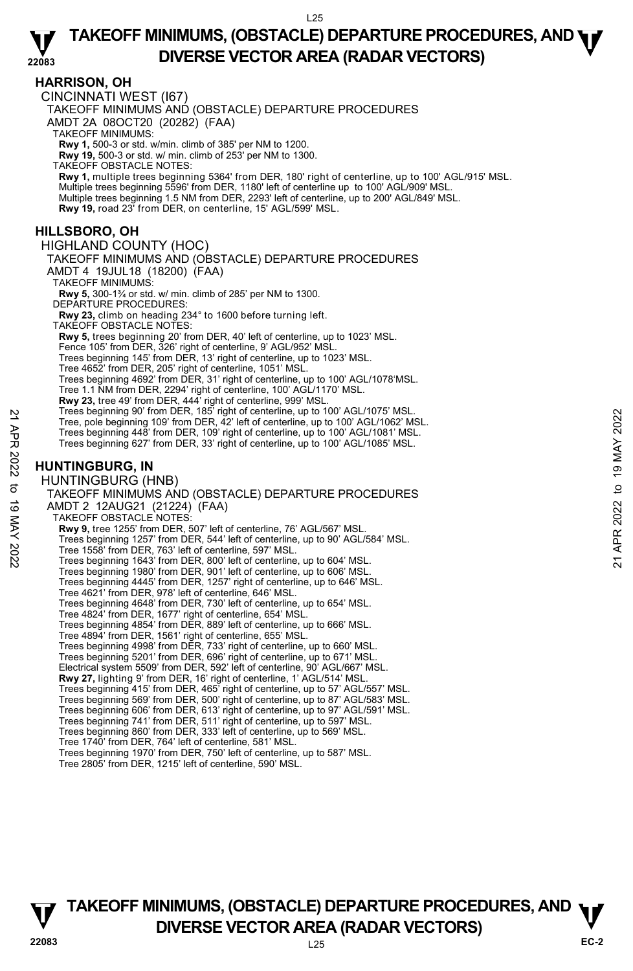### **HARRISON, OH**

CINCINNATI WEST (I67)

TAKEOFF MINIMUMS AND (OBSTACLE) DEPARTURE PROCEDURES

AMDT 2A 08OCT20 (20282) (FAA)

TAKEOFF MINIMUMS:

**Rwy 1,** 500-3 or std. w/min. climb of 385' per NM to 1200. **Rwy 19,** 500-3 or std. w/ min. climb of 253' per NM to 1300.

TAKEOFF OBSTACLE NOTES:

**Rwy 1,** multiple trees beginning 5364' from DER, 180' right of centerline, up to 100' AGL/915' MSL. Multiple trees beginning 5596' from DER, 1180' left of centerline up to 100' AGL/909' MSL. Multiple trees beginning 1.5 NM from DER, 2293' left of centerline, up to 200' AGL/849' MSL. **Rwy 19,** road 23' from DER, on centerline, 15' AGL/599' MSL.

### **HILLSBORO, OH**

HIGHLAND COUNTY (HOC)

TAKEOFF MINIMUMS AND (OBSTACLE) DEPARTURE PROCEDURES

AMDT 4 19JUL18 (18200) (FAA)

TAKEOFF MINIMUMS:

**Rwy 5,** 300-1¾ or std. w/ min. climb of 285' per NM to 1300. DEPARTURE PROCEDURES:

**Rwy 23,** climb on heading 234° to 1600 before turning left.

TAKEOFF OBSTACLE NOTES:

**Rwy 5,** trees beginning 20' from DER, 40' left of centerline, up to 1023' MSL.

Fence 105' from DER, 326' right of centerline, 9' AGL/952' MSL.

Trees beginning 145' from DER, 13' right of centerline, up to 1023' MSL.

Tree 4652' from DER, 205' right of centerline, 1051' MSL. Trees beginning 4692' from DER, 31' right of centerline, up to 100' AGL/1078'MSL.

Tree 1.1 NM from DER, 2294' right of centerline, 100' AGL/1170' MSL.

**Rwy 23,** tree 49' from DER, 444' right of centerline, 999' MSL. Trees beginning 90' from DER, 185' right of centerline, up to 100' AGL/1075' MSL.

Tree, pole beginning 109' from DER, 42' left of centerline, up to 100' AGL/1062' MSL.

Trees beginning 448' from DER, 109' right of centerline, up to 100' AGL/1081' MSL. Trees beginning 627' from DER, 33' right of centerline, up to 100' AGL/1085' MSL.

### **HUNTINGBURG, IN**

HUNTINGBURG (HNB) TAKEOFF MINIMUMS AND (OBSTACLE) DEPARTURE PROCEDURES AMDT 2 12AUG21 (21224) (FAA) TAKEOFF OBSTACLE NOTES: **Rwy 9,** tree 1255' from DER, 507' left of centerline, 76' AGL/567' MSL. Trees beginning 1257' from DER, 544' left of centerline, up to 90' AGL/584' MSL. Tree 1558' from DER, 763' left of centerline, 597' MSL. Trees beginning 1643' from DER, 800' left of centerline, up to 604' MSL. Trees beginning 1980' from DER, 901' left of centerline, up to 606' MSL. Trees beginning 4445' from DER, 1257' right of centerline, up to 646' MSL. Tree 4621' from DER, 978' left of centerline, 646' MSL. Trees beginning 4648' from DER, 730' left of centerline, up to 654' MSL. Tree 4824' from DER, 1677' right of centerline, 654' MSL. Trees beginning 4854' from DER, 889' left of centerline, up to 666' MSL. Tree 4894' from DER, 1561' right of centerline, 655' MSL. Trees beginning 4998' from DER, 733' right of centerline, up to 660' MSL. Trees beginning 5201' from DER, 696' right of centerline, up to 671' MSL. Electrical system 5509' from DER, 592' left of centerline, 90' AGL/667' MSL.<br>**Rwy 27,** lighting 9' from DER, 16' right of centerline, 1' AGL/514' MSL. Trees beginning 415' from DER, 465' right of centerline, up to 57' AGL/557' MSL. Trees beginning 569' from DER, 500' right of centerline, up to 87' AGL/583' MSL. Trees beginning 606' from DER, 613' right of centerline, up to 97' AGL/591' MSL. Trees beginning 741' from DER, 511' right of centerline, up to 597' MSL. Trees beginning 860' from DER, 333' left of centerline, up to 569' MSL. Tree 1740' from DER, 764' left of centerline, 581' MSL. Tree beginning 90 'from DER, 78' and of centerline, up to 100' AGL/1003' MSL.<br>
Tree, pole beginning 109' from DER, 42' left of centerline, up to 100' AGL/1003' MSL.<br>
Trees beginning 448' from DER, 109' right of centerline,

Trees beginning 1970' from DER, 750' left of centerline, up to 587' MSL. Tree 2805' from DER, 1215' left of centerline, 590' MSL.

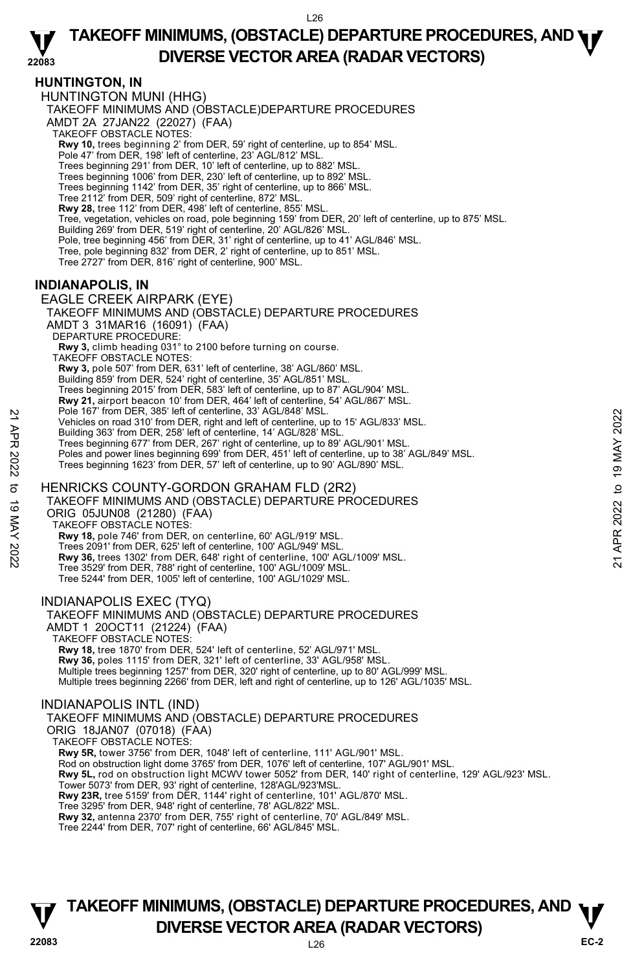### **HUNTINGTON, IN**

HUNTINGTON MUNI (HHG) TAKEOFF MINIMUMS AND (OBSTACLE)DEPARTURE PROCEDURES AMDT 2A 27JAN22 (22027) (FAA) TAKEOFF OBSTACLE NOTES: **Rwy 10,** trees beginning 2' from DER, 59' right of centerline, up to 854' MSL.<br>Pole 47' from DER, 198' left of centerline, 23' AGL/812' MSL. Trees beginning 291' from DER, 10' left of centerline, up to 882' MSL. Trees beginning 1006' from DER, 230' left of centerline, up to 892' MSL. Trees beginning 1142' from DER, 35' right of centerline, up to 866' MSL. Tree 2112' from DER, 509' right of centerline, 872' MSL. **Rwy 28,** tree 112' from DER, 498' left of centerline, 855' MSL. Tree, vegetation, vehicles on road, pole beginning 159' from DER, 20' left of centerline, up to 875' MSL.<br>Building 269' from DER, 519' right of centerline, 20' AGL/826' MSL. Pole, tree beginning 456' from DER, 31' right of centerline, up to 41' AGL/846' MSL. Tree, pole beginning 832' from DER, 2' right of centerline, up to 851' MSL. Tree 2727' from DER, 816' right of centerline, 900' MSL.

### **INDIANAPOLIS, IN**

EAGLE CREEK AIRPARK (EYE) TAKEOFF MINIMUMS AND (OBSTACLE) DEPARTURE PROCEDURES AMDT 3 31MAR16 (16091) (FAA) DEPARTURE PROCEDURE **Rwy 3,** climb heading 031° to 2100 before turning on course. TAKEOFF OBSTACLE NOTES: **Rwy 3,** pole 507' from DER, 631' left of centerline, 38' AGL/860' MSL.<br>Building 859' from DER, 524' right of centerline, 35' AGL/851' MSL. Trees beginning 2015' from DER, 583' left of centerline, up to 87' AGL/904' MSL. **Rwy 21,** airport beacon 10' from DER, 464' left of centerline, 54' AGL/867' MSL. Pole 167' from DER, 385' left of centerline, 33' AGL/848' MSL. Vehicles on road 310' from DER, right and left of centerline, up to 15' AGL/833' MSL. Building 363' from DER, 258' left of centerline, 14' AGL/828' MSL. Trees beginning 677' from DER, 267' right of centerline, up to 89' AGL/901' MSL. Poles and power lines beginning 699' from DER, 451' left of centerline, up to 38' AGL/849' MSL. Trees beginning 1623' from DER, 57' left of centerline, up to 90' AGL/890' MSL. HENRICKS COUNTY-GORDON GRAHAM FLD (2R2) TAKEOFF MINIMUMS AND (OBSTACLE) DEPARTURE PROCEDURES ORIG 05JUN08 (21280) (FAA) TAKEOFF OBSTACLE NOTES: **Rwy 18,** pole 746' from DER, on centerline, 60' AGL/919' MSL. Trees 2091' from DER, 625' left of centerline, 100' AGL/949' MSL. **Rwy 36,** trees 1302' from DER, 648' right of centerline, 100' AGL/1009' MSL. Tree 3529' from DER, 788' right of centerline, 100' AGL/1009' MSL. Tree 5244' from DER, 1005' left of centerline, 100' AGL/1029' MSL. INDIANAPOLIS EXEC (TYQ) TAKEOFF MINIMUMS AND (OBSTACLE) DEPARTURE PROCEDURES AMDT 1 20OCT11 (21224) (FAA) TAKEOFF OBSTACLE NOTES: **Rwy 18,** tree 1870' from DER, 524' left of centerline, 52' AGL/971' MSL. **Rwy 36,** poles 1115' from DER, 321' left of centerline, 33' AGL/958' MSL.<br>Multiple trees beginning 1257' from DER, 320' right of centerline, up to 80' AGL/999' MSL. Multiple trees beginning 2266' from DER, left and right of centerline, up to 126' AGL/1035' MSL. Pole 16/ Trom DER, 35' left of centerline, as AGL/848' MSL.<br>
21 Vehicles on road 310' from DER, right and left of centerline, up to 15' AGL/823' MSL.<br>
22 Building 363' from DER, 258' left of centerline, up to 15' AGL/901'

#### INDIANAPOLIS INTL (IND)

TAKEOFF MINIMUMS AND (OBSTACLE) DEPARTURE PROCEDURES

ORIG 18JAN07 (07018) (FAA)

TAKEOFF OBSTACLE NOTES:

**Rwy 5R,** tower 3756' from DER, 1048' left of centerline, 111' AGL/901' MSL.

Rod on obstruction light dome 3765' from DER, 1076' left of centerline, 107' AGL/901' MSL.

**Rwy 5L,** rod on obstruction light MCWV tower 5052' from DER, 140' right of centerline, 129' AGL/923' MSL.

Tower 5073' from DER, 93' right of centerline, 128'AGL/923'MSL.

**Rwy 23R,** tree 5159' from DER, 1144' right of centerline, 101' AGL/870' MSL.

Tree 3295' from DER, 948' right of centerline, 78' AGL/822' MSL.

**Rwy 32,** antenna 2370' from DER, 755' right of centerline, 70' AGL/849' MSL.

Tree 2244' from DER, 707' right of centerline, 66' AGL/845' MSL.

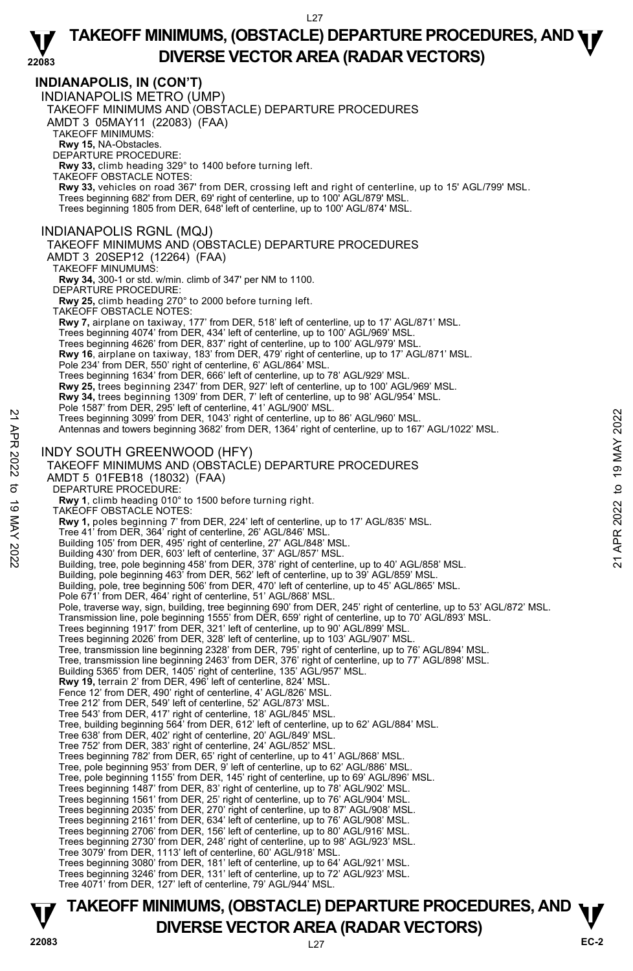**22083 INDIANAPOLIS, IN (CON'T)**  INDIANAPOLIS METRO (UMP) TAKEOFF MINIMUMS AND (OBSTACLE) DEPARTURE PROCEDURES AMDT 3 05MAY11 (22083) (FAA) TAKEOFF MINIMUMS: **Rwy 15,** NA-Obstacles. DEPARTURE PROCEDURE: **Rwy 33,** climb heading 329° to 1400 before turning left. TAKEOFF OBSTACLE NOTES: **Rwy 33,** vehicles on road 367' from DER, crossing left and right of centerline, up to 15' AGL/799' MSL.<br>Trees beginning 682' from DER, 69' right of centerline, up to 100' AGL/879' MSL. Trees beginning 1805 from DER, 648' left of centerline, up to 100' AGL/874' MSL. INDIANAPOLIS RGNL (MQJ) TAKEOFF MINIMUMS AND (OBSTACLE) DEPARTURE PROCEDURES AMDT 3 20SEP12 (12264) (FAA) TAKEOFF MINUMUMS: **Rwy 34,** 300-1 or std. w/min. climb of 347' per NM to 1100. DEPARTURE PROCEDURE: **Rwy 25,** climb heading 270° to 2000 before turning left. TAKEOFF OBSTACLE NOTES: **Rwy 7,** airplane on taxiway, 177' from DER, 518' left of centerline, up to 17' AGL/871' MSL.<br>Trees beginning 4074' from DER, 434' left of centerline, up to 100' AGL/969' MSL. Trees beginning 4626' from DER, 837' right of centerline, up to 100' AGL/979' MSL. **Rwy 16**, airplane on taxiway, 183' from DER, 479' right of centerline, up to 17' AGL/871' MSL. Pole 234' from DER, 550' right of centerline, 6' AGL/864' MSL Trees beginning 1634' from DER, 666' left of centerline, up to 78' AGL/929' MSL. **Rwy 25,** trees beginning 2347' from DER, 927' left of centerline, up to 100' AGL/969' MSL. **Rwy 34,** trees beginning 1309' from DER, 7' left of centerline, up to 98' AGL/954' MSL.<br>Pole 1587' from DER, 295' left of centerline, 41' AGL/900' MSL. Trees beginning 3099' from DER, 1043' right of centerline, up to 86' AGL/960' MSL. Antennas and towers beginning 3682' from DER, 1364' right of centerline, up to 167' AGL/1022' MSL. INDY SOUTH GREENWOOD (HFY) TAKEOFF MINIMUMS AND (OBSTACLE) DEPARTURE PROCEDURES AMDT 5 01FEB18 (18032) (FAA) DEPARTURE PROCEDURE: **Rwy 1**, climb heading 010° to 1500 before turning right. TAKEOFF OBSTACLE NOTES: **Rwy 1,** poles beginning 7' from DER, 224' left of centerline, up to 17' AGL/835' MSL. Tree 41' from DER, 364' right of centerline, 26' AGL/846' MSL. Building 105' from DER, 495' right of centerline, 27' AGL/848' MSL. Building 430' from DER, 603' left of centerline, 37' AGL/857' MSL. Building, tree, pole beginning 458' from DER, 378' right of centerline, up to 40' AGL/858' MSL. Building, pole beginning 463' from DER, 562' left of centerline, up to 39' AGL/859' MSL. Building, pole, tree beginning 506' from DER, 470' left of centerline, up to 45' AGL/865' MSL. Pole 671' from DER, 464' right of centerline, 51' AGL/868' MSL. Pole, traverse way, sign, building, tree beginning 690' from DER, 245' right of centerline, up to 53' AGL/872' MSL. Transmission line, pole beginning 1555' from DER, 659' right of centerline, up to 70' AGL/893' MSL.<br>Trees beginning 1917' from DER, 321' left of centerline, up to 90' AGL/899' MSL.<br>Trees beginning 2026' from DER, 328' left Tree, transmission line beginning 2328' from DER, 795' right of centerline, up to 76' AGL/894' MSL. Tree, transmission line beginning 2463' from DER, 376' right of centerline, up to 77' AGL/898' MSL.<br>Building 5365' from DER, 1405' right of centerline, 135' AGL/957' MSL. **Rwy 19,** terrain 2' from DER, 496' left of centerline, 824' MSL. Fence 12' from DER, 490' right of centerline, 4' AGL/826' MSL. Tree 212' from DER, 549' left of centerline, 52' AGL/873' MSL. Tree 543' from DER, 417' right of centerline, 18' AGL/845' MSL. Tree, building beginning 564' from DER, 612' left of centerline, up to 62' AGL/884' MSL. Tree 638' from DER, 402' right of centerline, 20' AGL/849' MSL. Tree 752' from DER, 383' right of centerline, 24' AGL/852' MSL. Trees beginning 782' from DER, 65' right of centerline, up to 41' AGL/868' MSL. Tree, pole beginning 953' from DER, 9' left of centerline, up to 62' AGL/886' MSL. Tree, pole beginning 1155' from DER, 145' right of centerline, up to 69' AGL/896' MSL. Trees beginning 1487' from DER, 83' right of centerline, up to 78' AGL/902' MSL. Trees beginning 1561' from DER, 25' right of centerline, up to 76' AGL/904' MSL. Trees beginning 2035' from DER, 270' right of centerline, up to 87' AGL/908' MSL. Trees beginning 2161' from DER, 634' left of centerline, up to 76' AGL/908' MSL. Trees beginning 2706' from DER, 156' left of centerline, up to 80' AGL/916' MSL. Trees beginning 2730' from DER, 248' right of centerline, up to 98' AGL/923' MSL. Tree 3079' from DER, 1113' left of centerline, 60' AGL/918' MSL. Trees beginning 3080' from DER, 181' left of centerline, up to 64' AGL/921' MSL. Trees beginning 3246' from DER, 131' left of centerline, up to 72' AGL/923' MSL. Tree 4071' from DER, 127' left of centerline, 79' AGL/944' MSL. Trees beginning 3099' from DER, 1043' right of centerline, up to 86' AGL/960' MSL.<br>
Antennas and towers beginning 3682' from DER, 1364' right of centerline, up to 167' AGL/1022' MSL.<br>
Antennas and towers beginning 3682' fr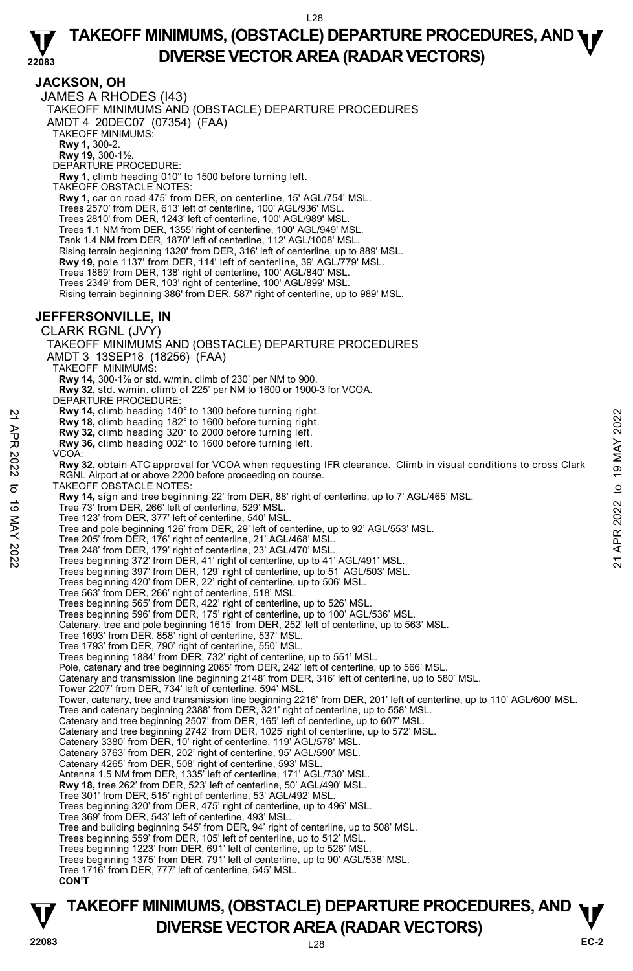### **JACKSON, OH**

JAMES A RHODES (I43) TAKEOFF MINIMUMS AND (OBSTACLE) DEPARTURE PROCEDURES AMDT 4 20DEC07 (07354) (FAA) TAKEOFF MINIMUMS: **Rwy 1,** 300-2. **Rwy 19,** 300-1½. DEPARTURE PROCEDURE: **Rwy 1,** climb heading 010° to 1500 before turning left. TAKEOFF OBSTACLE NOTES: **Rwy 1,** car on road 475' from DER, on centerline, 15' AGL/754' MSL. Trees 2570' from DER, 613' left of centerline, 100' AGL/936' MSL. Trees 2810' from DER, 1243' left of centerline, 100' AGL/989' MSL. Trees 1.1 NM from DER, 1355' right of centerline, 100' AGL/949' MSL. Tank 1.4 NM from DER, 1870' left of centerline, 112' AGL/1008' MSL. Rising terrain beginning 1320' from DER, 316' left of centerline, up to 889' MSL. **Rwy 19,** pole 1137' from DER, 114' left of centerline, 39' AGL/779' MSL. Trees 1869' from DER, 138' right of centerline, 100' AGL/840' MSL. Trees 2349' from DER, 103' right of centerline, 100' AGL/899' MSL. Rising terrain beginning 386' from DER, 587' right of centerline, up to 989' MSL. **JEFFERSONVILLE, IN**  CLARK RGNL (JVY) TAKEOFF MINIMUMS AND (OBSTACLE) DEPARTURE PROCEDURES AMDT 3 13SEP18 (18256) (FAA) TAKEOFF MINIMUMS: **Rwy 14,** 300-1⅞ or std. w/min. climb of 230' per NM to 900. **Rwy 32,** std. w/min. climb of 225' per NM to 1600 or 1900-3 for VCOA. DEPARTURE PROCEDURE: **Rwy 14,** climb heading 140° to 1300 before turning right. **Rwy 18,** climb heading 182° to 1600 before turning right. **Rwy 32,** climb heading 320° to 2000 before turning left. **Rwy 36,** climb heading 002° to 1600 before turning left. VCOA: **Rwy 32,** obtain ATC approval for VCOA when requesting IFR clearance. Climb in visual conditions to cross Clark RGNL Airport at or above 2200 before proceeding on course. TAKEOFF OBSTACLE NOTES: **Rwy 14,** sign and tree beginning 22' from DER, 88' right of centerline, up to 7' AGL/465' MSL. Tree 73' from DER, 266' left of centerline, 529' MSL. Tree 123' from DER, 377' left of centerline, 540' MSL. Tree and pole beginning 126' from DER, 29' left of centerline, up to 92' AGL/553' MSL. Tree 205' from DER, 176' right of centerline, 21' AGL/468' MSL. Tree 248' from DER, 179' right of centerline, 23' AGL/470' MSL. Trees beginning 372' from DER, 41' right of centerline, up to 41' AGL/491' MSL. Trees beginning 397' from DER, 129' right of centerline, up to 51' AGL/503' MSL. Trees beginning 420' from DER, 22' right of centerline, up to 506' MSL. Tree 563' from DER, 266' right of centerline, 518' MSL. Trees beginning 565' from DER, 422' right of centerline, up to 526' MSL. Trees beginning 596' from DER, 175' right of centerline, up to 100' AGL/536' MSL. Catenary, tree and pole beginning 1615' from DER, 252' left of centerline, up to 563' MSL. Tree 1693' from DER, 858' right of centerline, 537' MSL. Tree 1793' from DER, 790' right of centerline, 550' MSL. Trees beginning 1884' from DER, 732' right of centerline, up to 551' MSL. Pole, catenary and tree beginning 2085' from DER, 242' left of centerline, up to 566' MSL. Catenary and transmission line beginning 2148' from DER, 316' left of centerline, up to 580' MSL. Tower 2207' from DER, 734' left of centerline, 594' MSL. Tower, catenary, tree and transmission line beginning 2216' from DER, 201' left of centerline, up to 110' AGL/600' MSL. Tree and catenary beginning 2388' from DER, 321' right of centerline, up to 558' MSL. Catenary and tree beginning 2507' from DER, 165' left of centerline, up to 607' MSL. Catenary and tree beginning 2742' from DER, 1025' right of centerline, up to 572' MSL. Catenary 3380' from DER, 10' right of centerline, 119' AGL/578' MSL. Catenary 3763' from DER, 202' right of centerline, 95' AGL/590' MSL. Catenary 4265' from DER, 508' right of centerline, 593' MSL. Antenna 1.5 NM from DER, 1335' left of centerline, 171' AGL/730' MSL. **Rwy 18,** tree 262' from DER, 523' left of centerline, 50' AGL/490' MSL. Tree 301' from DER, 515' right of centerline, 53' AGL/492' MSL. Trees beginning 320' from DER, 475' right of centerline, up to 496' MSL. **EVALUAT CONSTRANT THAN THE SET AND THE SET AND THE SET AND THE SET AND THE SET AND A COALL THE SET AND AND THE SET AND A SUMPLE SET AND A SUMPLE SET AND A SUMPLE SET AND A SUMPLE SET AND RESPONSED THAN A SUMPLE SET AND T** 

Tree 369' from DER, 543' left of centerline, 493' MSL.

Tree and building beginning 545' from DER, 94' right of centerline, up to 508' MSL.

- Trees beginning 559' from DER, 105' left of centerline, up to 512' MSL. Trees beginning 1223' from DER, 691' left of centerline, up to 526' MSL.
- 
- Trees beginning 1375' from DER, 791' left of centerline, up to 90' AGL/538' MSL.
- Tree 1716' from DER, 777' left of centerline, 545' MSL.
- **CON'T**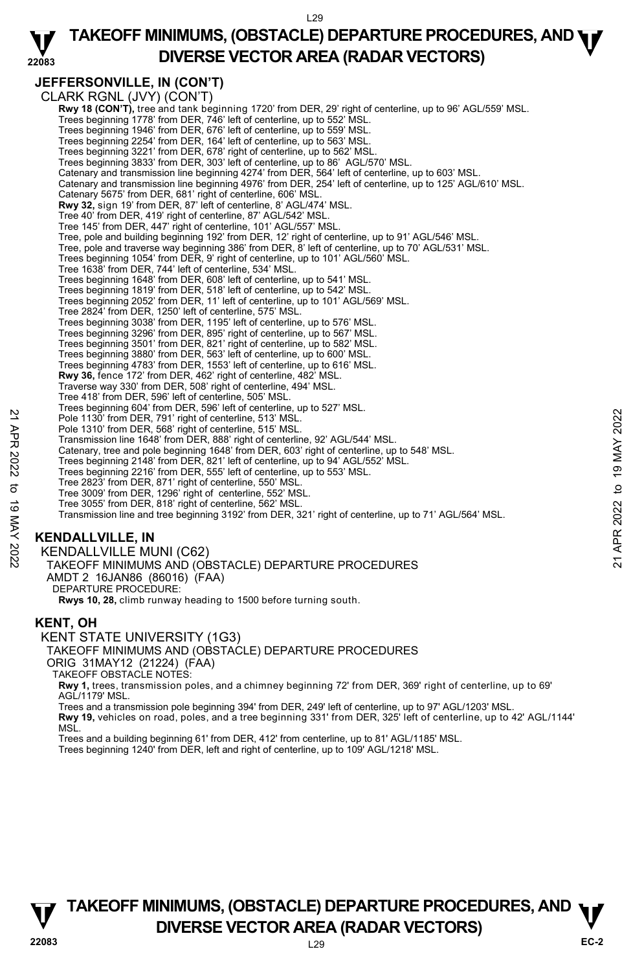#### **22083 TAKEOFF MINIMUMS, (OBSTACLE) DEPARTURE PROCEDURES, AND <b>WE**<br>DREBSE VECTOR AREA (BADAR VECTORS) **DIVERSE VECTOR AREA (RADAR VECTORS)**

# **JEFFERSONVILLE, IN (CON'T)**

CLARK RGNL (JVY) (CON'T) **Rwy 18 (CON'T)**, tree and tank beginning 1720' from DER, 29' right of centerline, up to 96' AGL/559' MSL.<br>Trees beginning 1778' from DER, 746' left of centerline, up to 552' MSL. Trees beginning 1946' from DER, 676' left of centerline, up to 559' MSL. Trees beginning 2254' from DER, 164' left of centerline, up to 563' MSL. Trees beginning 3221' from DER, 678' right of centerline, up to 562' MSL. Trees beginning 3833' from DER, 303' left of centerline, up to 86' AGL/570' MSL. Catenary and transmission line beginning 4274' from DER, 564' left of centerline, up to 603' MSL. Catenary and transmission line beginning 4976' from DER, 254' left of centerline, up to 125' AGL/610' MSL. Catenary 5675' from DER, 681' right of centerline, 606' MSL. **Rwy 32,** sign 19' from DER, 87' left of centerline, 8' AGL/474' MSL. Tree 40' from DER, 419' right of centerline, 87' AGL/542' MSL. Tree 145' from DER, 447' right of centerline, 101' AGL/557' MSL. Tree, pole and building beginning 192' from DER, 12' right of centerline, up to 91' AGL/546' MSL. Tree, pole and traverse way beginning 386' from DER, 8' left of centerline, up to 70' AGL/531' MSL. Trees beginning 1054' from DER, 9' right of centerline, up to 101' AGL/560' MSL. Tree 1638' from DER, 744' left of centerline, 534' MSL. Trees beginning 1648' from DER, 608' left of centerline, up to 541' MSL. Trees beginning 1819' from DER, 518' left of centerline, up to 542' MSL. Trees beginning 2052' from DER, 11' left of centerline, up to 101' AGL/569' MSL. Tree 2824' from DER, 1250' left of centerline, 575' MSL. Trees beginning 3038' from DER, 1195' left of centerline, up to 576' MSL. Trees beginning 3296' from DER, 895' right of centerline, up to 567' MSL. Trees beginning 3501' from DER, 821' right of centerline, up to 582' MSL. Trees beginning 3880' from DER, 563' left of centerline, up to 600' MSL. Trees beginning 4783' from DER, 1553' left of centerline, up to 616' MSL. **Rwy 36,** fence 172' from DER, 462' right of centerline, 482' MSL. Traverse way 330' from DER, 508' right of centerline, 494' MSL. Tree 418' from DER, 596' left of centerline, 505' MSL. Trees beginning 604' from DER, 596' left of centerline, up to 527' MSL. Pole 1130' from DER, 791' right of centerline, 513' MSL. Pole 1310' from DER, 568' right of centerline, 515' MSL. Transmission line 1648' from DER, 888' right of centerline, 92' AGL/544' MSL. Catenary, tree and pole beginning 1648' from DER, 603' right of centerline, up to 548' MSL. Trees beginning 2148' from DER, 821' left of centerline, up to 94' AGL/552' MSL. Trees beginning 2216' from DER, 555' left of centerline, up to 553' MSL. Tree 2823' from DER, 871' right of centerline, 550' MSL. Tree 3009' from DER, 1296' right of centerline, 552' MSL. Tree 3055' from DER, 818' right of centerline, 562' MSL. Transmission line and tree beginning 3192' from DER, 321' right of centerline, up to 71' AGL/564' MSL. Pole 1130 from DER, 791 right of centerline, 513 MSL.<br>
Pole 1130 from DER, 791 right of centerline, 513 MSL.<br>
The 1310 from DER, 586 right of centerline, 513 MSL.<br>
Transmission line 1648 from DER, 603 right of centerline,

# **KENDALLVILLE, IN**

KENDALLVILLE MUNI (C62) TAKEOFF MINIMUMS AND (OBSTACLE) DEPARTURE PROCEDURES AMDT 2 16JAN86 (86016) (FAA) DEPARTURE PROCEDURE:

**Rwys 10, 28,** climb runway heading to 1500 before turning south.

## **KENT, OH**

KENT STATE UNIVERSITY (1G3) TAKEOFF MINIMUMS AND (OBSTACLE) DEPARTURE PROCEDURES ORIG 31MAY12 (21224) (FAA) TAKEOFF OBSTACLE NOTES:

**Rwy 1,** trees, transmission poles, and a chimney beginning 72' from DER, 369' right of centerline, up to 69' AGL/1179' MSL.

Trees and a transmission pole beginning 394' from DER, 249' left of centerline, up to 97' AGL/1203' MSL. **Rwy 19,** vehicles on road, poles, and a tree beginning 331' from DER, 325' left of centerline, up to 42' AGL/1144' MSL.

Trees and a building beginning 61' from DER, 412' from centerline, up to 81' AGL/1185' MSL.

Trees beginning 1240' from DER, left and right of centerline, up to 109' AGL/1218' MSL.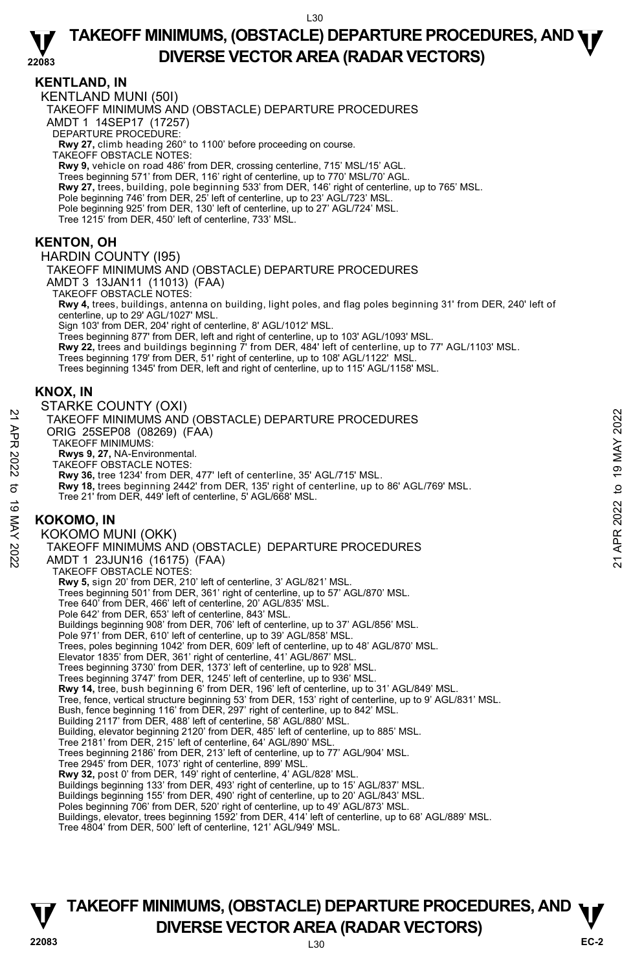#### **22083 TAKEOFF MINIMUMS, (OBSTACLE) DEPARTURE PROCEDURES, AND <b>WE**<br>DREBSE VECTOR AREA (BADAR VECTORS) **DIVERSE VECTOR AREA (RADAR VECTORS)**

### **KENTLAND, IN**

KENTLAND MUNI (50I) TAKEOFF MINIMUMS AND (OBSTACLE) DEPARTURE PROCEDURES

AMDT 1 14SEP17 (17257)

DEPARTURE PROCEDURE:

**Rwy 27,** climb heading 260° to 1100' before proceeding on course. TAKEOFF OBSTACLE NOTES:

**Rwy 9,** vehicle on road 486' from DER, crossing centerline, 715' MSL/15' AGL.

- Trees beginning 571' from DER, 116' right of centerline, up to 770' MSL/70' AGL.
- **Rwy 27,** trees, building, pole beginning 533' from DER, 146' right of centerline, up to 765' MSL.<br>Pole beginning 746' from DER, 25' left of centerline, up to 23' AGL/723' MSL.
- 
- Pole beginning 925' from DER, 130' left of centerline, up to 27' AGL/724' MSL.
- Tree 1215' from DER, 450' left of centerline, 733' MSL.

# **KENTON, OH**

HARDIN COUNTY (I95) TAKEOFF MINIMUMS AND (OBSTACLE) DEPARTURE PROCEDURES AMDT 3 13JAN11 (11013) (FAA) TAKEOFF OBSTACLE NOTES: **Rwy 4,** trees, buildings, antenna on building, light poles, and flag poles beginning 31' from DER, 240' left of centerline, up to 29' AGL/1027' MSL. Sign 103' from DER, 204' right of centerline, 8' AGL/1012' MSL. Trees beginning 877' from DER, left and right of centerline, up to 103' AGL/1093' MSL. **Rwy 22,** trees and buildings beginning 7' from DER, 484' left of centerline, up to 77' AGL/1103' MSL. Trees beginning 179' from DER, 51' right of centerline, up to 108' AGL/1122' MSL. Trees beginning 1345' from DER, left and right of centerline, up to 115' AGL/1158' MSL.

# **KNOX, IN**

#### STARKE COUNTY (OXI) TAKEOFF MINIMUMS AND (OBSTACLE) DEPARTURE PROCEDURES ORIG 25SEP08 (08269) (FAA) TAKEOFF MINIMUMS: **Rwys 9, 27,** NA-Environmental. TAKEOFF OBSTACLE NOTES: **Rwy 36,** tree 1234' from DER, 477' left of centerline, 35' AGL/715' MSL. **Rwy 18,** trees beginning 2442' from DER, 135' right of centerline, up to 86' AGL/769' MSL. Tree 21' from DER, 449' left of centerline, 5' AGL/668' MSL. **KOKOMO, IN**  KOKOMO MUNI (OKK) TAKEOFF MINIMUMS AND (OBSTACLE) DEPARTURE PROCEDURES AMDT 1 23JUN16 (16175) (FAA) TAKEOFF OBSTACLE NOTES: **Rwy 5,** sign 20' from DER, 210' left of centerline, 3' AGL/821' MSL. Trees beginning 501' from DER, 361' right of centerline, up to 57' AGL/870' MSL. Tree 640' from DER, 466' left of centerline, 20' AGL/835' MSL. Pole 642' from DER, 653' left of centerline, 843' MSL. Buildings beginning 908' from DER, 706' left of centerline, up to 37' AGL/856' MSL. Pole 971' from DER, 610' left of centerline, up to 39' AGL/858' MSL. Trees, poles beginning 1042' from DER, 609' left of centerline, up to 48' AGL/870' MSL. Elevator 1835' from DER, 361' right of centerline, 41' AGL/867' MSL.<br>Trees beginning 3730' from DER, 1373' left of centerline, up to 928' MSL.<br>Trees beginning 3747' from DER, 1245' left of centerline, up to 936' MSL. **Rwy 14,** tree, bush beginning 6' from DER, 196' left of centerline, up to 31' AGL/849' MSL. Tree, fence, vertical structure beginning 53' from DER, 153' right of centerline, up to 9' AGL/831' MSL. Bush, fence beginning 116' from DER, 297' right of centerline, up to 842' MSL. Building 2117' from DER, 488' left of centerline, 58' AGL/880' MSL. Building, elevator beginning 2120' from DER, 485' left of centerline, up to 885' MSL.<br>Tree 2181' from DER, 215' left of centerline, 64' AGL/890' MSL. Trees beginning 2186' from DER, 213' left of centerline, up to 77' AGL/904' MSL. Tree 2945' from DER, 1073' right of centerline, 899' MSL. **Rwy 32,** post 0' from DER, 149' right of centerline, 4' AGL/828' MSL. Buildings beginning 133' from DER, 493' right of centerline, up to 15' AGL/837' MSL. Buildings beginning 155' from DER, 490' right of centerline, up to 20' AGL/843' MSL. Poles beginning 706' from DER, 520' right of centerline, up to 49' AGL/873' MSL. X<br>
TAKEOFF MINIMUMS AND (OBSTACLE) DEPARTURE PROCEDURES<br>
ORIG 25SEP08 (08269) (FAA)<br>
TAKEOFF MINIMUMS:<br>
NOW 36, tree 1234 from DER, 477' left of centerline, 35' AGL/715' MSL.<br>
TAKEOFF OBSTACLE NOTES:<br>
RW 36, tree 19 May 1

Tree 4804' from DER, 500' left of centerline, 121' AGL/949' MSL.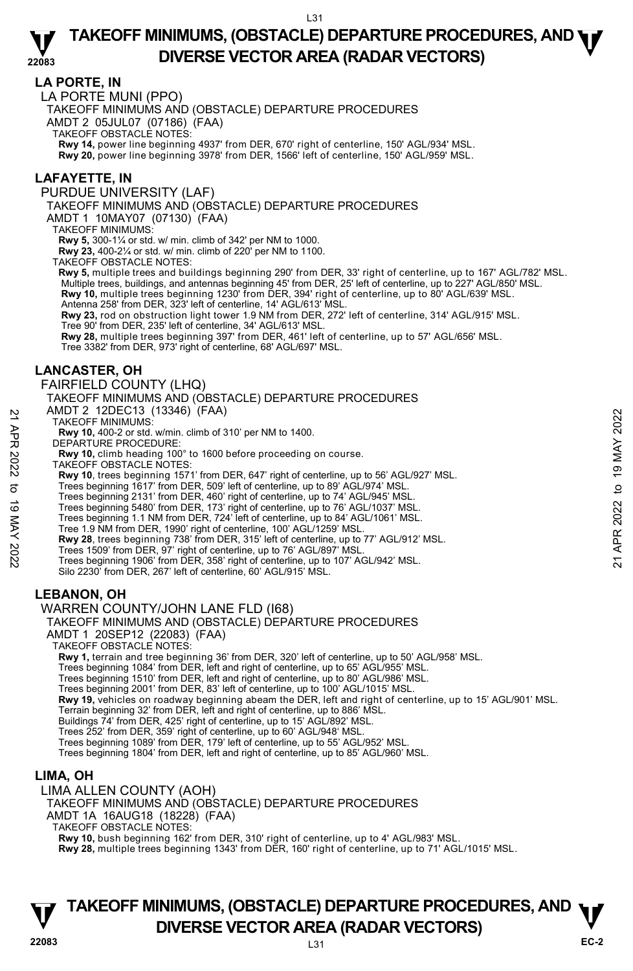### **LA PORTE, IN**

LA PORTE MUNI (PPO)

TAKEOFF MINIMUMS AND (OBSTACLE) DEPARTURE PROCEDURES

AMDT 2 05JUL07 (07186) (FAA)

TAKEOFF OBSTACLE NOTES:

**Rwy 14,** power line beginning 4937' from DER, 670' right of centerline, 150' AGL/934' MSL.<br>**Rwy 20,** power line beginning 3978' from DER, 1566' left of centerline, 150' AGL/959' MSL.

### **LAFAYETTE, IN**

PURDUE UNIVERSITY (LAF)

TAKEOFF MINIMUMS AND (OBSTACLE) DEPARTURE PROCEDURES

AMDT 1 10MAY07 (07130) (FAA)

TAKEOFF MINIMUMS:

**Rwy 5,** 300-1¼ or std. w/ min. climb of 342' per NM to 1000.

**Rwy 23,** 400-2¼ or std. w/ min. climb of 220' per NM to 1100. TAKEOFF OBSTACLE NOTES:

**Rwy 5,** multiple trees and buildings beginning 290' from DER, 33' right of centerline, up to 167' AGL/782' MSL. Multiple trees, buildings, and antennas beginning 45' from DER, 25' left of centerline, up to 227' AGL/850' MSL. **Rwy 10,** multiple trees beginning 1230' from DER, 394' right of centerline, up to 80' AGL/639' MSL. Antenna 258' from DER, 323' left of centerline, 14' AGL/613' MSL.

**Rwy 23,** rod on obstruction light tower 1.9 NM from DER, 272' left of centerline, 314' AGL/915' MSL.

Tree 90' from DER, 235' left of centerline, 34' AGL/613' MSL. **Rwy 28,** multiple trees beginning 397' from DER, 461' left of centerline, up to 57' AGL/656' MSL.

Tree 3382' from DER, 973' right of centerline, 68' AGL/697' MSL.

### **LANCASTER, OH**

FAIRFIELD COUNTY (LHQ)

TAKEOFF MINIMUMS AND (OBSTACLE) DEPARTURE PROCEDURES

AMDT 2 12DEC13 (13346) (FAA)

TAKEOFF MINIMUMS:

**Rwy 10,** 400-2 or std. w/min. climb of 310' per NM to 1400.

DEPARTURE PROCEDURE:

**Rwy 10,** climb heading 100° to 1600 before proceeding on course.

TAKEOFF OBSTACLE NOTES:

AND T 2 12DEC 13 (13340) (FAA)<br>
22 TAKEOFF MINIMUMS:<br>
22 TAKEOFF MINIMUMS:<br>
22 DEPARTURE PROCEDURE:<br>
23 DEPARTURE PROCEDURE:<br>
23 NAV 10, climb heading 100° to 1600 before proceeding on course.<br>
74 AKEOFF OBSTACLE NOTES:<br>

**Rwy 10**, trees beginning 1571' from DER, 647' right of centerline, up to 56' AGL/927' MSL.<br>Trees beginning 1617' from DER, 509' left of centerline, up to 89' AGL/974' MSL.<br>Trees beginning 2131' from DER, 460' right of cen

Trees beginning 5480' from DER, 173' right of centerline, up to 76' AGL/1037' MSL. Trees beginning 1.1 NM from DER, 724' left of centerline, up to 84' AGL/1061' MSL.

Tree 1.9 NM from DER, 1990' right of centerline, 100' AGL/1259' MSL.

**Rwy 28**, trees beginning 738' from DER, 315' left of centerline, up to 77' AGL/912' MSL.

Trees 1509' from DER, 97' right of centerline, up to 76' AGL/897' MSL.

Trees beginning 1906' from DER, 358' right of centerline, up to 107' AGL/942' MSL.

Silo 2230' from DER, 267' left of centerline, 60' AGL/915' MSL.

# **LEBANON, OH**

WARREN COUNTY/JOHN LANE FLD (I68)

#### TAKEOFF MINIMUMS AND (OBSTACLE) DEPARTURE PROCEDURES

AMDT 1 20SEP12 (22083) (FAA)

TAKEOFF OBSTACLE NOTES:

**Rwy 1,** terrain and tree beginning 36' from DER, 320' left of centerline, up to 50' AGL/958' MSL.<br>Trees beginning 1084' from DER, left and right of centerline, up to 65' AGL/955' MSL.

Trees beginning 1510' from DER, left and right of centerline, up to 80' AGL/986' MSL.

Trees beginning 2001' from DER, 83' left of centerline, up to 100' AGL/1015' MSL.

**Rwy 19,** vehicles on roadway beginning abeam the DER, left and right of centerline, up to 15' AGL/901' MSL.

Terrain beginning 32' from DER, left and right of centerline, up to 886' MSL.

Buildings 74' from DER, 425' right of centerline, up to 15' AGL/892' MSL.

Trees 252' from DER, 359' right of centerline, up to 60' AGL/948' MSL. Trees beginning 1089' from DER, 179' left of centerline, up to 55' AGL/952' MSL.

Trees beginning 1804' from DER, left and right of centerline, up to 85' AGL/960' MSL.

# **LIMA, OH**

LIMA ALLEN COUNTY (AOH)

TAKEOFF MINIMUMS AND (OBSTACLE) DEPARTURE PROCEDURES

AMDT 1A 16AUG18 (18228) (FAA)

TAKEOFF OBSTACLE NOTES:

**Rwy 10,** bush beginning 162' from DER, 310' right of centerline, up to 4' AGL/983' MSL.

**Rwy 28,** multiple trees beginning 1343' from DER, 160' right of centerline, up to 71' AGL/1015' MSL.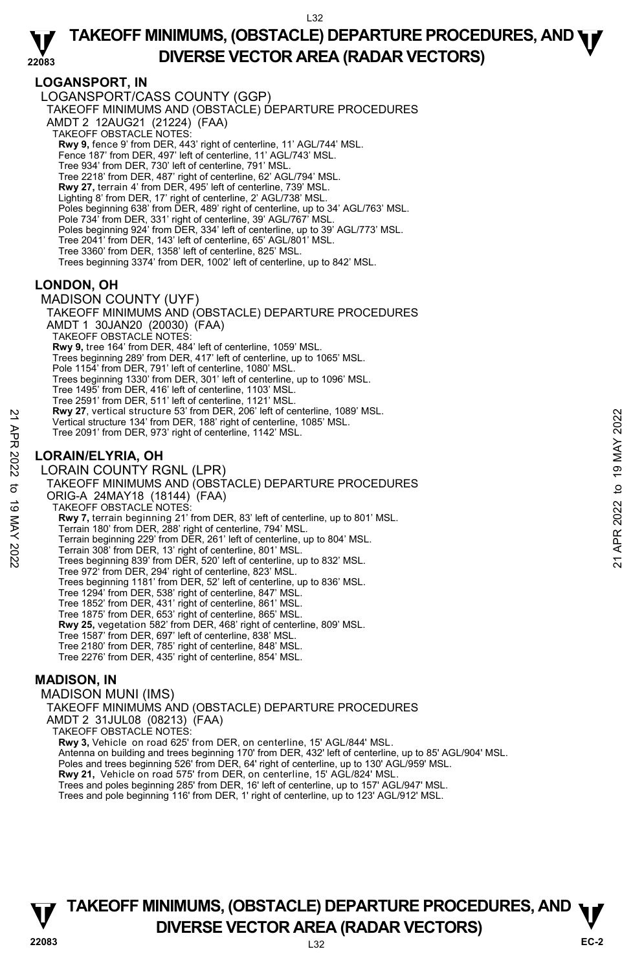### **LOGANSPORT, IN**

LOGANSPORT/CASS COUNTY (GGP) TAKEOFF MINIMUMS AND (OBSTACLE) DEPARTURE PROCEDURES AMDT 2 12AUG21 (21224) (FAA) TAKEOFF OBSTACLE NOTES: **Rwy 9,** fence 9' from DER, 443' right of centerline, 11' AGL/744' MSL.<br>Fence 187' from DER, 497' left of centerline, 11' AGL/743' MSL. Tree 934' from DER, 730' left of centerline, 791' MSL. Tree 2218' from DER, 487' right of centerline, 62' AGL/794' MSL. **Rwy 27,** terrain 4' from DER, 495' left of centerline, 739' MSL. Lighting 8' from DER, 17' right of centerline, 2' AGL/738' MSL. Poles beginning 638' from DER, 489' right of centerline, up to 34' AGL/763' MSL. Pole 734' from DER, 331' right of centerline, 39' AGL/767' MSL. Poles beginning 924' from DER, 334' left of centerline, up to 39' AGL/773' MSL. Tree 2041' from DER, 143' left of centerline, 65' AGL/801' MSL. Tree 3360' from DER, 1358' left of centerline, 825' MSL. Trees beginning 3374' from DER, 1002' left of centerline, up to 842' MSL.

### **LONDON, OH**

MADISON COUNTY (UYF) TAKEOFF MINIMUMS AND (OBSTACLE) DEPARTURE PROCEDURES AMDT 1 30JAN20 (20030) (FAA) TAKEOFF OBSTACLE NOTES: **Rwy 9,** tree 164' from DER, 484' left of centerline, 1059' MSL. Trees beginning 289' from DER, 417' left of centerline, up to 1065' MSL. Pole 1154' from DER, 791' left of centerline, 1080' MSL. Trees beginning 1330' from DER, 301' left of centerline, up to 1096' MSL. Tree 1495' from DER, 416' left of centerline, 1103' MSL. Tree 2591' from DER, 511' left of centerline, 1121' MSL. **Rwy 27**, vertical structure 53' from DER, 206' left of centerline, 1089' MSL. Vertical structure 134' from DER, 188' right of centerline, 1085' MSL. Tree 2091' from DER, 973' right of centerline, 1142' MSL. **LORAIN/ELYRIA, OH**  LORAIN COUNTY RGNL (LPR) TAKEOFF MINIMUMS AND (OBSTACLE) DEPARTURE PROCEDURES ORIG-A 24MAY18 (18144) (FAA) TAKEOFF OBSTACLE NOTES: **Rwy 7,** terrain beginning 21' from DER, 83' left of centerline, up to 801' MSL. Terrain 180' from DER, 288' right of centerline, 794' MSL. Terrain beginning 229' from DER, 261' left of centerline, up to 804' MSL. Terrain 308' from DER, 13' right of centerline, 801' MSL. Trees beginning 839' from DER, 520' left of centerline, up to 832' MSL. Tree 972' from DER, 294' right of centerline, 823' MSL. Trees beginning 1181' from DER, 52' left of centerline, up to 836' MSL. Tree 1294' from DER, 538' right of centerline, 847' MSL. Tree 1852' from DER, 431' right of centerline, 861' MSL. Tree 1875' from DER, 653' right of centerline, 865' MSL. **Rwy 25,** vegetation 582' from DER, 468' right of centerline, 809' MSL. Tree 1587' from DER, 697' left of centerline, 838' MSL. Tree 2180' from DER, 785' right of centerline, 848' MSL. Tree 2276' from DER, 435' right of centerline, 854' MSL. 22 **Example 121** Werlical structure 53<sup>4</sup> from DER, 188<sup>7</sup> iglorical structure for one of the contentine, 1085' MSL.<br>
Tree 2091' from DER, 973' right of centerline, 1142' MSL.<br>
22 **LORAIN/ELYRIA, OH**<br>
22 **LORAIN COUNTY RG** 

### **MADISON, IN**

MADISON MUNI (IMS) TAKEOFF MINIMUMS AND (OBSTACLE) DEPARTURE PROCEDURES AMDT 2 31JUL08 (08213) (FAA) TAKEOFF OBSTACLE NOTES: **Rwy 3,** Vehicle on road 625' from DER, on centerline, 15' AGL/844' MSL. Antenna on building and trees beginning 170' from DER, 432' left of centerline, up to 85' AGL/904' MSL. Poles and trees beginning 526' from DER, 64' right of centerline, up to 130' AGL/959' MSL.<br>**Rwy 21,** Vehicle on road 575' from DER, on centerline, 15' AGL/824' MSL. Trees and poles beginning 285' from DER, 16' left of centerline, up to 157' AGL/947' MSL. Trees and pole beginning 116' from DER, 1' right of centerline, up to 123' AGL/912' MSL.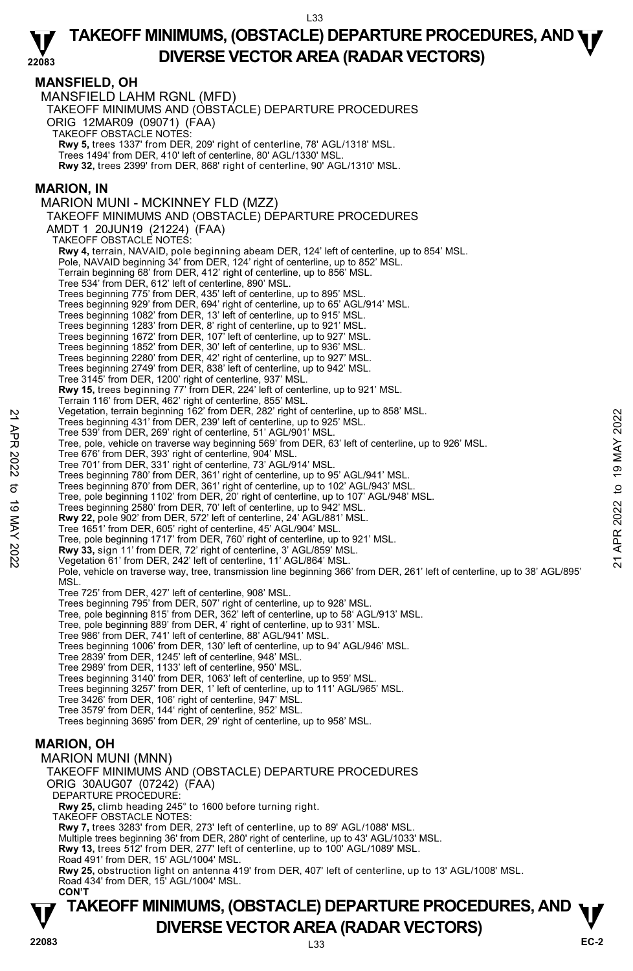### **MANSFIELD, OH**

MANSFIELD LAHM RGNL (MFD) TAKEOFF MINIMUMS AND (OBSTACLE) DEPARTURE PROCEDURES ORIG 12MAR09 (09071) (FAA) TAKEOFF OBSTACLE NOTES: **Rwy 5,** trees 1337' from DER, 209' right of centerline, 78' AGL/1318' MSL. Trees 1494' from DER, 410' left of centerline, 80' AGL/1330' MSL. **Rwy 32,** trees 2399' from DER, 868' right of centerline, 90' AGL/1310' MSL. **MARION, IN**  MARION MUNI - MCKINNEY FLD (MZZ) TAKEOFF MINIMUMS AND (OBSTACLE) DEPARTURE PROCEDURES AMDT 1 20JUN19 (21224) (FAA) TAKEOFF OBSTACLE NOTES: **Rwy 4,** terrain, NAVAID, pole beginning abeam DER, 124' left of centerline, up to 854' MSL. Pole, NAVAID beginning 34' from DER, 124' right of centerline, up to 852' MSL. Terrain beginning 68' from DER, 412' right of centerline, up to 856' MSL. Tree 534' from DER, 612' left of centerline, 890' MSL. Trees beginning 775' from DER, 435' left of centerline, up to 895' MSL. Trees beginning 929' from DER, 694' right of centerline, up to 65' AGL/914' MSL. Trees beginning 1082' from DER, 13' left of centerline, up to 915' MSL. Trees beginning 1283' from DER, 8' right of centerline, up to 921' MSL. Trees beginning 1672' from DER, 107' left of centerline, up to 927' MSL. Trees beginning 1852' from DER, 30' left of centerline, up to 936' MSL. Trees beginning 2280' from DER, 42' right of centerline, up to 927' MSL. Trees beginning 2749' from DER, 838' left of centerline, up to 942' MSL. Tree 3145' from DER, 1200' right of centerline, 937' MSL. **Rwy 15,** trees beginning 77' from DER, 224' left of centerline, up to 921' MSL. Terrain 116' from DER, 462' right of centerline, 855' MSL. Vegetation, terrain beginning 162' from DER, 282' right of centerline, up to 858' MSL. Trees beginning 431' from DER, 239' left of centerline, up to 925' MSL. Tree 539' from DER, 269' right of centerline, 51' AGL/901' MSL. Tree, pole, vehicle on traverse way beginning 569' from DER, 63' left of centerline, up to 926' MSL. Tree 676' from DER, 393' right of centerline, 904' MSL. Tree 701' from DER, 331' right of centerline, 73' AGL/914' MSL. Trees beginning 780' from DER, 361' right of centerline, up to 95' AGL/941' MSL. Trees beginning 870' from DER, 361' right of centerline, up to 102' AGL/943' MSL. Tree, pole beginning 1102' from DER, 20' right of centerline, up to 107' AGL/948' MSL. Trees beginning 2580' from DER, 70' left of centerline, up to 942' MSL. **Rwy 22,** pole 902' from DER, 572' left of centerline, 24' AGL/881' MSL. Tree 1651' from DER, 605' right of centerline, 45' AGL/904' MSL. Tree, pole beginning 1717' from DER, 760' right of centerline, up to 921' MSL. **Rwy 33,** sign 11' from DER, 72' right of centerline, 3' AGL/859' MSL. Vegetation 61' from DER, 242' left of centerline, 11' AGL/864' MSL. Pole, vehicle on traverse way, tree, transmission line beginning 366' from DER, 261' left of centerline, up to 38' AGL/895' **MSL** Tree 725' from DER, 427' left of centerline, 908' MSL. Trees beginning 795' from DER, 507' right of centerline, up to 928' MSL. Tree, pole beginning 815' from DER, 362' left of centerline, up to 58' AGL/913' MSL. Tree, pole beginning 889' from DER, 4' right of centerline, up to 931' MSL. Tree 986' from DER, 741' left of centerline, 88' AGL/941' MSL. Trees beginning 1006' from DER, 130' left of centerline, up to 94' AGL/946' MSL. Tree 2839' from DER, 1245' left of centerline, 948' MSL.<br>Tree 2989' from DER, 1133' left of centerline, 950' MSL.<br>Trees beginning 3140' from DER, 1063' left of centerline, up to 959' MSL. Trees beginning 3257' from DER, 1' left of centerline, up to 111' AGL/965' MSL. Tree 3426' from DER, 106' right of centerline, 947' MSL. Tree 3579' from DER, 144' right of centerline, 952' MSL. Trees beginning 3695' from DER, 29' right of centerline, up to 958' MSL. **MARION, OH**  MARION MUNI (MNN) TAKEOFF MINIMUMS AND (OBSTACLE) DEPARTURE PROCEDURES ORIG 30AUG07 (07242) (FAA) DEPARTURE PROCEDURE **Rwy 25,** climb heading 245° to 1600 before turning right. TAKEOFF OBSTACLE NOTES: **Rwy 7,** trees 3283' from DER, 273' left of centerline, up to 89' AGL/1088' MSL. Multiple trees beginning 36' from DER, 280' right of centerline, up to 43' AGL/1033' MSL. **Rwy 13,** trees 512' from DER, 277' left of centerline, up to 100' AGL/1089' MSL. Road 491' from DER, 15' AGL/1004' MSL. Trees beginning and the mark and the state of centerline, up to 858' MSL.<br>
Trees beginning 431' from DER, 239' left of centerline, up to 925' MSL.<br>
Tree 539' from DER, 269' right of centerline, 51' AGL/901' MSL.<br>
Tree 676

**Rwy 25,** obstruction light on antenna 419' from DER, 407' left of centerline, up to 13' AGL/1008' MSL. Road 434' from DER, 15' AGL/1004' MSL.  **CON'T**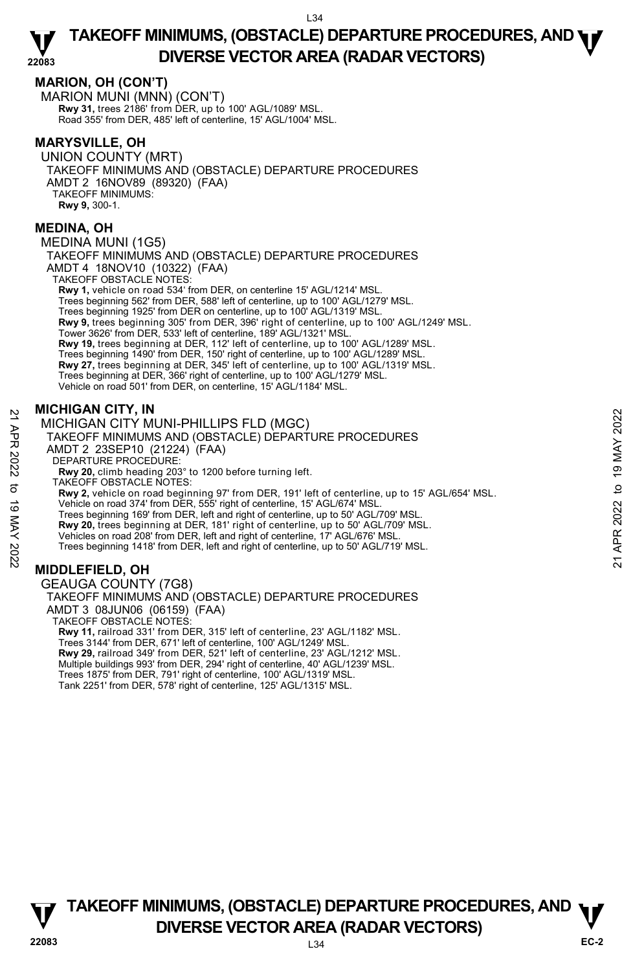### **MARION, OH (CON'T)**

MARION MUNI (MNN) (CON'T) **Rwy 31,** trees 2186' from DER, up to 100' AGL/1089' MSL. Road 355' from DER, 485' left of centerline, 15' AGL/1004' MSL.

### **MARYSVILLE, OH**

UNION COUNTY (MRT) TAKEOFF MINIMUMS AND (OBSTACLE) DEPARTURE PROCEDURES AMDT 2 16NOV89 (89320) (FAA) TAKEOFF MINIMUMS: **Rwy 9,** 300-1.

### **MEDINA, OH**

MEDINA MUNI (1G5)

TAKEOFF MINIMUMS AND (OBSTACLE) DEPARTURE PROCEDURES AMDT 4 18NOV10 (10322) (FAA) TAKEOFF OBSTACLE NOTES:

**Rwy 1,** vehicle on road 534' from DER, on centerline 15' AGL/1214' MSL. Trees beginning 562' from DER, 588' left of centerline, up to 100' AGL/1279' MSL. Trees beginning 1925' from DER on centerline, up to 100' AGL/1319' MSL. **Rwy 9,** trees beginning 305' from DER, 396' right of centerline, up to 100' AGL/1249' MSL. Tower 3626' from DER, 533' left of centerline, 189' AGL/1321' MSL. **Rwy 19,** trees beginning at DER, 112' left of centerline, up to 100' AGL/1289' MSL. Trees beginning 1490' from DER, 150' right of centerline, up to 100' AGL/1289' MSL. **Rwy 27,** trees beginning at DER, 345' left of centerline, up to 100' AGL/1319' MSL.<br>Trees beginning at DER, 366' right of centerline, up to 100' AGL/1279' MSL. Vehicle on road 501' from DER, on centerline, 15' AGL/1184' MSL.

### **MICHIGAN CITY, IN**

MICHIGAN CITY MUNI-PHILLIPS FLD (MGC) TAKEOFF MINIMUMS AND (OBSTACLE) DEPARTURE PROCEDURES AMDT 2 23SEP10 (21224) (FAA) DEPARTURE PROCEDURE: **Rwy 20,** climb heading 203° to 1200 before turning left. TAKEOFF OBSTACLE NOTES: **Rwy 2,** vehicle on road beginning 97' from DER, 191' left of centerline, up to 15' AGL/654' MSL. Vehicle on road 374' from DER, 555' right of centerline, 15' AGL/674' MSL. Trees beginning 169' from DER, left and right of centerline, up to 50' AGL/709' MSL. **Rwy 20,** trees beginning at DER, 181' right of centerline, up to 50' AGL/709' MSL. Vehicles on road 208' from DER, left and right of centerline, 17' AGL/676' MSL. Trees beginning 1418' from DER, left and right of centerline, up to 50' AGL/719' MSL. MICHIGAN CITY MUNI-PHILLIPS FLD (MGC)<br>
TAKEOFF MINIMUMS AND (OBSTACLE) DEPARTURE PROCEDURES<br>
22 TAKEOFF MINIMUMS AND (OBSTACLE) DEPARTURE PROCEDURES<br>
22 AMDT 2 23SEP10 (21224) (FAA)<br>
DEPARTURE PROCEDURE:<br>
23 AW2 (climb hea

# **MIDDLEFIELD, OH**

GEAUGA COUNTY (7G8) TAKEOFF MINIMUMS AND (OBSTACLE) DEPARTURE PROCEDURES AMDT 3 08JUN06 (06159) (FAA) TAKEOFF OBSTACLE NOTES: **Rwy 11,** railroad 331' from DER, 315' left of centerline, 23' AGL/1182' MSL. Trees 3144' from DER, 671' left of centerline, 100' AGL/1249' MSL. **Rwy 29,** railroad 349' from DER, 521' left of centerline, 23' AGL/1212' MSL. Multiple buildings 993' from DER, 294' right of centerline, 40' AGL/1239' MSL. Trees 1875' from DER, 791' right of centerline, 100' AGL/1319' MSL. Tank 2251' from DER, 578' right of centerline, 125' AGL/1315' MSL.

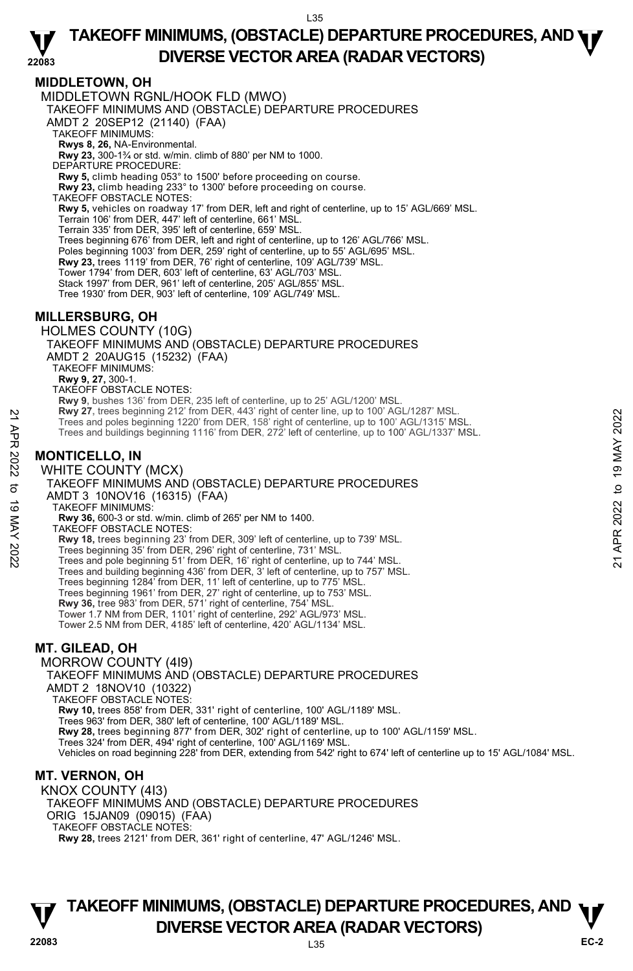### **MIDDLETOWN, OH**

MIDDLETOWN RGNL/HOOK FLD (MWO) TAKEOFF MINIMUMS AND (OBSTACLE) DEPARTURE PROCEDURES AMDT 2 20SEP12 (21140) (FAA) TAKEOFF MINIMUMS: **Rwys 8, 26,** NA-Environmental.<br>**Rwy 23,** 300-1¾ or std. w/min. climb of 880' per NM to 1000. DEPARTURE PROCEDURE: **Rwy 5,** climb heading 053° to 1500' before proceeding on course. **Rwy 23,** climb heading 233° to 1300' before proceeding on course. TAKEOFF OBSTACLE NOTES: **Rwy 5,** vehicles on roadway 17' from DER, left and right of centerline, up to 15' AGL/669' MSL. Terrain 106' from DER, 447' left of centerline, 661' MSL. Terrain 335' from DER, 395' left of centerline, 659' MSL. Trees beginning 676' from DER, left and right of centerline, up to 126' AGL/766' MSL. Poles beginning 1003' from DER, 259' right of centerline, up to 55' AGL/695' MSL. **Rwy 23,** trees 1119' from DER, 76' right of centerline, 109' AGL/739' MSL. Tower 1794' from DER, 603' left of centerline, 63' AGL/703' MSL. Stack 1997' from DER, 961' left of centerline, 205' AGL/855' MSL. Tree 1930' from DER, 903' left of centerline, 109' AGL/749' MSL. **MILLERSBURG, OH**  HOLMES COUNTY (10G) TAKEOFF MINIMUMS AND (OBSTACLE) DEPARTURE PROCEDURES AMDT 2 20AUG15 (15232) (FAA) TAKEOFF MINIMUMS: **Rwy 9, 27,** 300-1. TAKEOFF OBSTACLE NOTES: **Rwy 9,** bushes 136' from DER, 235 left of centerline, up to 25' AGL/1200' MSL. **Rwy 27,** trees beginning 212' from DER, 443' right of center line, up to 100' AGL/1287' MSL. Trees and poles beginning 1220' from DER, 158' right of centerline, up to 100' AGL/1315' MSL. Trees and buildings beginning 1116' from DER, 272' left of centerline, up to 100' AGL/1337' MSL. **MONTICELLO, IN**  WHITE COUNTY (MCX) TAKEOFF MINIMUMS AND (OBSTACLE) DEPARTURE PROCEDURES AMDT 3 10NOV16 (16315) (FAA) TAKEOFF MINIMUMS: **Rwy 36,** 600-3 or std. w/min. climb of 265' per NM to 1400. TAKEOFF OBSTACLE NOTES: **Rwy 18,** trees beginning 23' from DER, 309' left of centerline, up to 739' MSL. Trees beginning 35' from DER, 296' right of centerline, 731' MSL. Trees and pole beginning 51' from DER, 16' right of centerline, up to 744' MSL. Trees and building beginning 436' from DER, 3' left of centerline, up to 757' MSL. Trees beginning 1284' from DER, 11' left of centerline, up to 775' MSL. Trees beginning 1961' from DER, 27' right of centerline, up to 753' MSL. **Rwy 36,** tree 983' from DER, 571' right of centerline, 754' MSL. Tower 1.7 NM from DER, 1101' right of centerline, 292' AGL/973' MSL. Tower 2.5 NM from DER, 4185' left of centerline, 420' AGL/1134' MSL. **MT. GILEAD, OH**  MORROW COUNTY (4I9) TAKEOFF MINIMUMS AND (OBSTACLE) DEPARTURE PROCEDURES AMDT 2 18NOV10 (10322) TAKEOFF OBSTACLE NOTES: **Rwy 10,** trees 858' from DER, 331' right of centerline, 100' AGL/1189' MSL. Trees 963' from DER, 380' left of centerline, 100' AGL/1189' MSL. Press and poles beginning 2122 from DER, 433 right of center line, up to 100' AGL/1315' MSL.<br>
Trees and buildings beginning 1116' from DER, 272' left of centerline, up to 100' AGL/1315' MSL.<br>
Trees and buildings beginning

**Rwy 28,** trees beginning 877' from DER, 302' right of centerline, up to 100' AGL/1159' MSL.<br>Trees 324' from DER, 494' right of centerline, 100' AGL/1169' MSL.

Vehicles on road beginning 228' from DER, extending from 542' right to 674' left of centerline up to 15' AGL/1084' MSL.

# **MT. VERNON, OH**

KNOX COUNTY (4I3) TAKEOFF MINIMUMS AND (OBSTACLE) DEPARTURE PROCEDURES ORIG 15JAN09 (09015) (FAA) TAKEOFF OBSTACLE NOTES: **Rwy 28,** trees 2121' from DER, 361' right of centerline, 47' AGL/1246' MSL.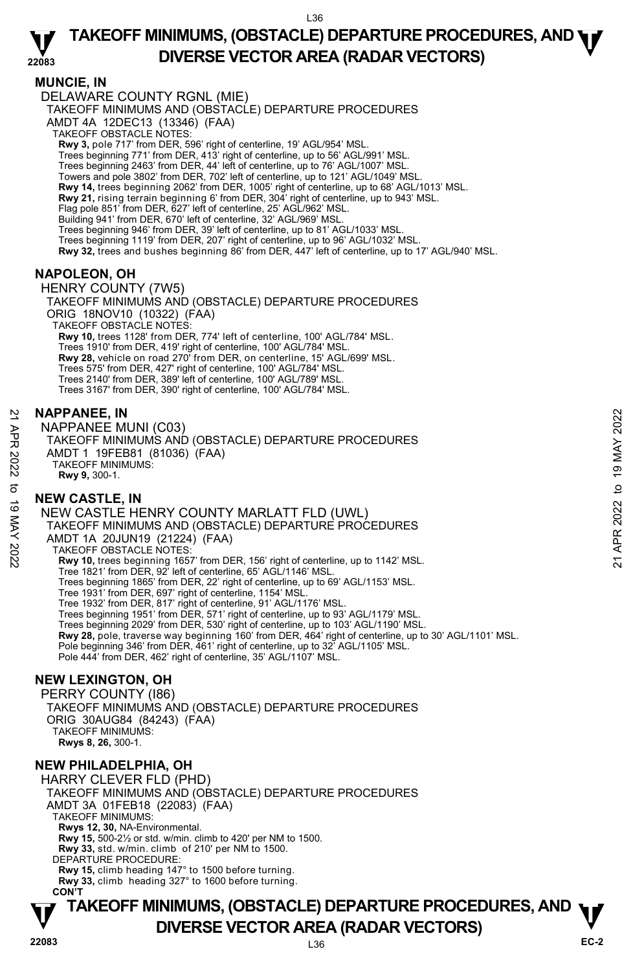#### **22083 TAKEOFF MINIMUMS, (OBSTACLE) DEPARTURE PROCEDURES, AND <b>WE**<br>DREBSE VECTOR AREA (BADAR VECTORS) **DIVERSE VECTOR AREA (RADAR VECTORS)**

### **MUNCIE, IN**

DELAWARE COUNTY RGNL (MIE)

TAKEOFF MINIMUMS AND (OBSTACLE) DEPARTURE PROCEDURES

AMDT 4A 12DEC13 (13346) (FAA)

TAKEOFF OBSTACLE NOTES:

**Rwy 3,** pole 717' from DER, 596' right of centerline, 19' AGL/954' MSL.<br>Trees beginning 771' from DER, 413' right of centerline, up to 56' AGL/991' MSL.

Trees beginning 2463' from DER, 44' left of centerline, up to 76' AGL/1007' MSL.

Towers and pole 3802' from DER, 702' left of centerline, up to 121' AGL/1049' MSL.

**Rwy 14,** trees beginning 2062' from DER, 1005' right of centerline, up to 68' AGL/1013' MSL.<br>**Rwy 21,** rising terrain beginning 6' from DER, 304' right of centerline, up to 943' MSL.

Flag pole 851' from DER, 627' left of centerline, 25' AGL/962' MSL.

Building 941' from DER, 670' left of centerline, 32' AGL/969' MSL. Trees beginning 946' from DER, 39' left of centerline, up to 81' AGL/1033' MSL.

Trees beginning 1119' from DER, 207' right of centerline, up to 96' AGL/1032' MSL.

**Rwy 32,** trees and bushes beginning 86' from DER, 447' left of centerline, up to 17' AGL/940' MSL.

### **NAPOLEON, OH**

HENRY COUNTY (7W5) TAKEOFF MINIMUMS AND (OBSTACLE) DEPARTURE PROCEDURES ORIG 18NOV10 (10322) (FAA) TAKEOFF OBSTACLE NOTES: **Rwy 10,** trees 1128' from DER, 774' left of centerline, 100' AGL/784' MSL. Trees 1910' from DER, 419' right of centerline, 100' AGL/784' MSL. **Rwy 28,** vehicle on road 270' from DER, on centerline, 15' AGL/699' MSL. Trees 575' from DER, 427' right of centerline, 100' AGL/784' MSL. Trees 2140' from DER, 389' left of centerline, 100' AGL/789' MSL. Trees 3167' from DER, 390' right of centerline, 100' AGL/784' MSL.

#### **NAPPANEE, IN**

NAPPANEE MUNI (C03) TAKEOFF MINIMUMS AND (OBSTACLE) DEPARTURE PROCEDURES AMDT 1 19FEB81 (81036) (FAA) TAKEOFF MINIMUMS: **Rwy 9,** 300-1.

### **NEW CASTLE, IN**

NEW CASTLE HENRY COUNTY MARLATT FLD (UWL) TAKEOFF MINIMUMS AND (OBSTACLE) DEPARTURE PROCEDURES AMDT 1A 20JUN19 (21224) (FAA) TAKEOFF OBSTACLE NOTES: **Rwy 10,** trees beginning 1657' from DER, 156' right of centerline, up to 1142' MSL. Tree 1821' from DER, 92' left of centerline, 65' AGL/1146' MSL. Trees beginning 1865' from DER, 22' right of centerline, up to 69' AGL/1153' MSL. Tree 1931' from DER, 697' right of centerline, 1154' MSL. Tree 1932' from DER, 817' right of centerline, 91' AGL/1176' MSL. Trees beginning 1951' from DER, 571' right of centerline, up to 93' AGL/1179' MSL. Trees beginning 2029' from DER, 530' right of centerline, up to 103' AGL/1190' MSL.<br>**Rwy 28,** pole, traverse way beginning 160' from DER, 464' right of centerline, up to 30' AGL/1101' MSL. Pole beginning 346' from DER, 461' right of centerline, up to 32' AGL/1105' MSL. Pole 444' from DER, 462' right of centerline, 35' AGL/1107' MSL. NAPPANEE, IN<br>
APPANEE MUNI (C03)<br>
TAKEOFF MINIMUMS AND (OBSTACLE) DEPARTURE PROCEDURES<br>
ANDT 1 19FEB81 (81036) (FAA)<br>
TAKEOFF MINIMUMS:<br>
TAKEOFF MINIMUMS:<br>
TAKEOFF MINIMUMS AND (OBSTACLE) DEPARTURE PROCEDURES<br>
TREW CASTLE

### **NEW LEXINGTON, OH**

PERRY COUNTY (I86) TAKEOFF MINIMUMS AND (OBSTACLE) DEPARTURE PROCEDURES ORIG 30AUG84 (84243) (FAA) TAKEOFF MINIMUMS: **Rwys 8, 26,** 300-1.

### **NEW PHILADELPHIA, OH**

HARRY CLEVER FLD (PHD) TAKEOFF MINIMUMS AND (OBSTACLE) DEPARTURE PROCEDURES AMDT 3A 01FEB18 (22083) (FAA) TAKEOFF MINIMUMS: **Rwys 12, 30,** NA-Environmental. **Rwy 15,** 500-2½ or std. w/min. climb to 420' per NM to 1500. **Rwy 33,** std. w/min. climb of 210' per NM to 1500. DEPARTURE PROCEDURE: **Rwy 15,** climb heading 147° to 1500 before turning. **Rwy 33,** climb heading 327° to 1600 before turning. **CON'T**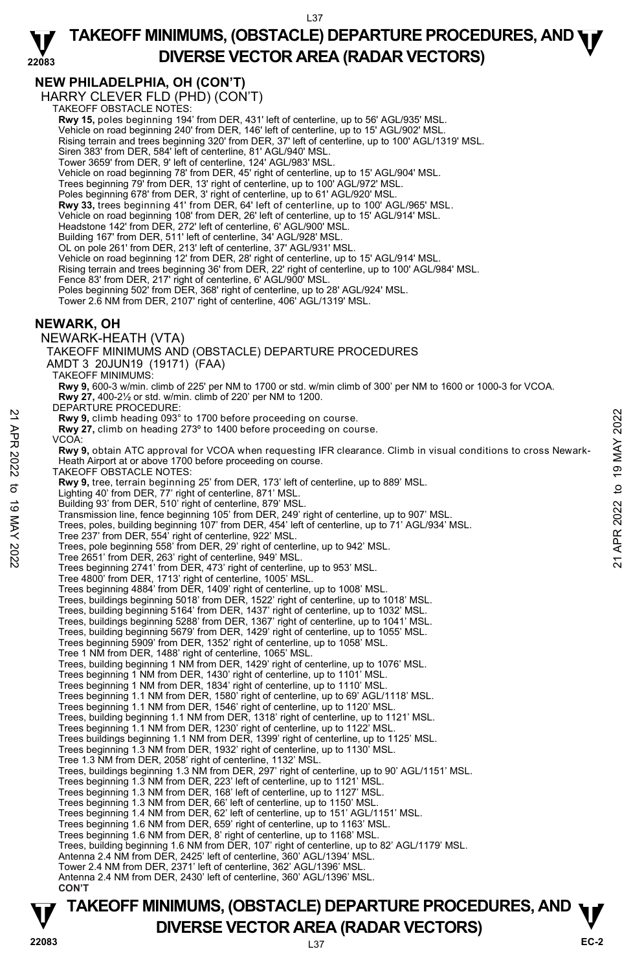#### **22083 TAKEOFF MINIMUMS, (OBSTACLE) DEPARTURE PROCEDURES, AND <b>WE**<br>DREBSE VECTOR AREA (BADAR VECTORS) **DIVERSE VECTOR AREA (RADAR VECTORS)**

# **NEW PHILADELPHIA, OH (CON'T)**

HARRY CLEVER FLD (PHD) (CON'T) TAKEOFF OBSTACLE NOTES:

**Rwy 15,** poles beginning 194' from DER, 431' left of centerline, up to 56' AGL/935' MSL. Vehicle on road beginning 240' from DER, 146' left of centerline, up to 15' AGL/902' MSL. Rising terrain and trees beginning 320' from DER, 37' left of centerline, up to 100' AGL/1319' MSL. Siren 383' from DER, 584' left of centerline, 81' AGL/940' MSL. Tower 3659' from DER, 9' left of centerline, 124' AGL/983' MSL. Vehicle on road beginning 78' from DER, 45' right of centerline, up to 15' AGL/904' MSL. Trees beginning 79' from DER, 13' right of centerline, up to 100' AGL/972' MSL. Poles beginning 678' from DER, 3' right of centerline, up to 61' AGL/920' MSL. **Rwy 33,** trees beginning 41' from DER, 64' left of centerline, up to 100' AGL/965' MSL. Vehicle on road beginning 108' from DER, 26' left of centerline, up to 15' AGL/914' MSL. Headstone 142' from DER, 272' left of centerline, 6' AGL/900' MSL. Building 167' from DER, 511' left of centerline, 34' AGL/928' MSL. OL on pole 261' from DER, 213' left of centerline, 37' AGL/931' MSL. Vehicle on road beginning 12' from DER, 28' right of centerline, up to 15' AGL/914' MSL. Rising terrain and trees beginning 36' from DER, 22' right of centerline, up to 100' AGL/984' MSL. Fence 83' from DER, 217' right of centerline, 6' AGL/900' MSL Poles beginning 502' from DER, 368' right of centerline, up to 28' AGL/924' MSL. Tower 2.6 NM from DER, 2107' right of centerline, 406' AGL/1319' MSL. **NEWARK, OH**  NEWARK-HEATH (VTA) TAKEOFF MINIMUMS AND (OBSTACLE) DEPARTURE PROCEDURES AMDT 3 20JUN19 (19171) (FAA) TAKEOFF MINIMUMS: **Rwy 9,** 600-3 w/min. climb of 225' per NM to 1700 or std. w/min climb of 300' per NM to 1600 or 1000-3 for VCOA. **Rwy 27,** 400-2½ or std. w/min. climb of 220' per NM to 1200. DEPARTURE PROCEDURE: **Rwy 9,** climb heading 093° to 1700 before proceeding on course. **Rwy 27,** climb on heading 273º to 1400 before proceeding on course. VCOA: **Rwy 9,** obtain ATC approval for VCOA when requesting IFR clearance. Climb in visual conditions to cross Newark-Heath Airport at or above 1700 before proceeding on course. TAKEOFF OBSTACLE NOTES: **Rwy 9,** tree, terrain beginning 25' from DER, 173' left of centerline, up to 889' MSL. Lighting 40' from DER, 77' right of centerline, 871' MSL. Building 93' from DER, 510' right of centerline, 879' MSL. Transmission line, fence beginning 105' from DER, 249' right of centerline, up to 907' MSL. Trees, poles, building beginning 107' from DER, 454' left of centerline, up to 71' AGL/934' MSL. Tree 237' from DER, 554' right of centerline, 922' MSL. Trees, pole beginning 558' from DER, 29' right of centerline, up to 942' MSL. Tree 2651' from DER, 263' right of centerline, 949' MSL. Trees beginning 2741' from DER, 473' right of centerline, up to 953' MSL. Tree 4800' from DER, 1713' right of centerline, 1005' MSL. Trees beginning 4884' from DER, 1409' right of centerline, up to 1008' MSL. Trees, buildings beginning 5018' from DER, 1522' right of centerline, up to 1018' MSL. Trees, building beginning 5164' from DER, 1437' right of centerline, up to 1032' MSL. Trees, buildings beginning 5288' from DER, 1367' right of centerline, up to 1041' MSL. Trees, building beginning 5679' from DER, 1429' right of centerline, up to 1055' MSL. Trees beginning 5909' from DER, 1352' right of centerline, up to 1058' MSL. Tree 1 NM from DER, 1488' right of centerline, 1065' MSL. Trees, building beginning 1 NM from DER, 1429' right of centerline, up to 1076' MSL. Trees beginning 1 NM from DER, 1430' right of centerline, up to 1101' MSL. Trees beginning 1 NM from DER, 1834' right of centerline, up to 1110' MSL. Trees beginning 1.1 NM from DER, 1580' right of centerline, up to 69' AGL/1118' MSL. Trees beginning 1.1 NM from DER, 1546' right of centerline, up to 1120' MSL. Trees, building beginning 1.1 NM from DER, 1318' right of centerline, up to 1121' MSL. Trees beginning 1.1 NM from DER, 1230' right of centerline, up to 1122' MSL.<br>Trees buildings beginning 1.1 NM from DER, 1399' right of centerline, up to 1125' MSL. Trees beginning 1.3 NM from DER, 1932' right of centerline, up to 1130' MSL. Tree 1.3 NM from DER, 2058' right of centerline, 1132' MSL. Trees, buildings beginning 1.3 NM from DER, 297' right of centerline, up to 90' AGL/1151' MSL.<br>Trees beginning 1.3 NM from DER, 223' left of centerline, up to 1121' MSL. Trees beginning 1.3 NM from DER, 168' left of centerline, up to 1127' MSL. Trees beginning 1.3 NM from DER, 66' left of centerline, up to 1150' MSL. Trees beginning 1.4 NM from DER, 62' left of centerline, up to 151' AGL/1151' MSL. Trees beginning 1.6 NM from DER, 659' right of centerline, up to 1163' MSL. Trees beginning 1.6 NM from DER, 8' right of centerline, up to 1168' MSL. Trees, building beginning 1.6 NM from DER, 107' right of centerline, up to 82' AGL/1179' MSL. Antenna 2.4 NM from DER, 2425' left of centerline, 360' AGL/1394' MSL. Tower 2.4 NM from DER, 2371' left of centerline, 362' AGL/1396' MSL. Antenna 2.4 NM from DER, 2430' left of centerline, 360' AGL/1396' MSL.  **CON'T EVALUAT SET ASSET ASSET ASSET ASSET AND ASSET ASSET ASSET AND DEPENDENCING THE ASSET AND A PROPORT AND AND AND A PROPORT AND A PROPORT AND A PROPORT AND A PROPORT AND A PROPORT AND A PROPORT AND A PROPORT AND A PROPORT A**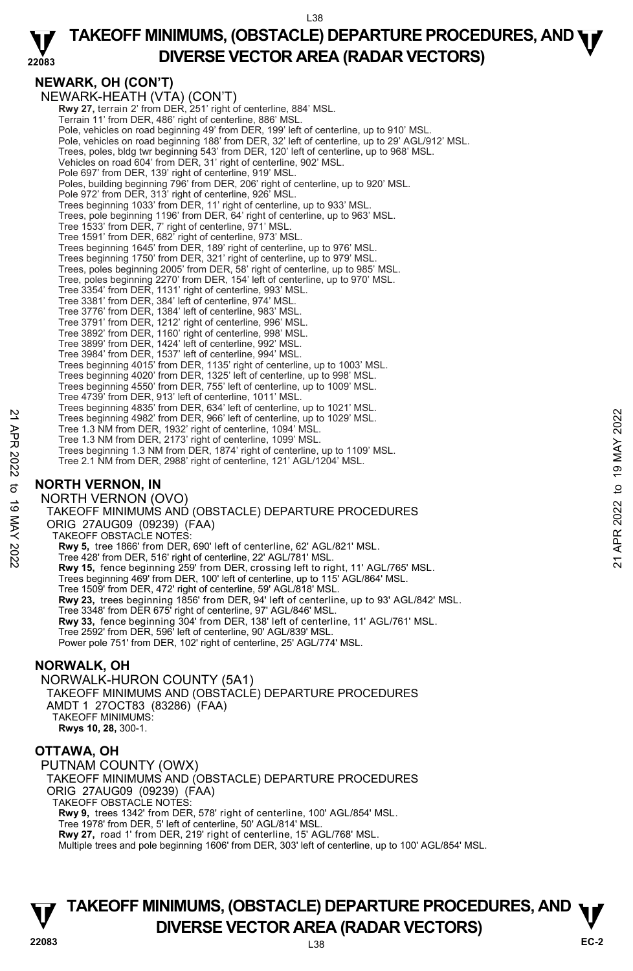#### **22083 TAKEOFF MINIMUMS, (OBSTACLE) DEPARTURE PROCEDURES, AND <b>WE**<br>DREBSE VECTOR AREA (BADAR VECTORS) **DIVERSE VECTOR AREA (RADAR VECTORS)**

# **NEWARK, OH (CON'T)**

NEWARK-HEATH (VTA) (CON'T) **Rwy 27,** terrain 2' from DER, 251' right of centerline, 884' MSL. Terrain 11' from DER, 486' right of centerline, 886' MSL. Pole, vehicles on road beginning 49' from DER, 199' left of centerline, up to 910' MSL. Pole, vehicles on road beginning 188' from DER, 32' left of centerline, up to 29' AGL/912' MSL. Trees, poles, bldg twr beginning 543' from DER, 120' left of centerline, up to 968' MSL. Vehicles on road 604' from DER, 31' right of centerline, 902' MSL. Pole 697' from DER, 139' right of centerline, 919' MSL. Poles, building beginning 796' from DER, 206' right of centerline, up to 920' MSL. Pole 972' from DER, 313' right of centerline, 926' MSL. Trees beginning 1033' from DER, 11' right of centerline, up to 933' MSL. Trees, pole beginning 1196' from DER, 64' right of centerline, up to 963' MSL. Tree 1533' from DER, 7' right of centerline, 971' MSL. Tree 1591' from DER, 682' right of centerline, 973' MSL. Trees beginning 1645' from DER, 189' right of centerline, up to 976' MSL. Trees beginning 1750' from DER, 321' right of centerline, up to 979' MSL. Trees, poles beginning 2005' from DER, 58' right of centerline, up to 985' MSL. Tree, poles beginning 2270' from DER, 154' left of centerline, up to 970' MSL. Tree 3354' from DER, 1131' right of centerline, 993' MSL. Tree 3381' from DER, 384' left of centerline, 974' MSL. Tree 3776' from DER, 1384' left of centerline, 983' MSL. Tree 3791' from DER, 1212' right of centerline, 996' MSL. Tree 3892' from DER, 1160' right of centerline, 998' MSL. Tree 3899' from DER, 1424' left of centerline, 992' MSL. Tree 3984' from DER, 1537' left of centerline, 994' MSL. Trees beginning 4015' from DER, 1135' right of centerline, up to 1003' MSL. Trees beginning 4020' from DER, 1325' left of centerline, up to 998' MSL. Trees beginning 4550' from DER, 755' left of centerline, up to 1009' MSL. Tree 4739' from DER, 913' left of centerline, 1011' MSL. Trees beginning 4835' from DER, 634' left of centerline, up to 1021' MSL. Trees beginning 4982' from DER, 966' left of centerline, up to 1029' MSL. Tree 1.3 NM from DER, 1932' right of centerline, 1094' MSL. Tree 1.3 NM from DER, 2173' right of centerline, 1099' MSL. Trees beginning 1.3 NM from DER, 1874' right of centerline, up to 1109' MSL. Tree 2.1 NM from DER, 2988' right of centerline, 121' AGL/1204' MSL. **NORTH VERNON, IN**  NORTH VERNON (OVO) TAKEOFF MINIMUMS AND (OBSTACLE) DEPARTURE PROCEDURES ORIG 27AUG09 (09239) (FAA) TAKEOFF OBSTACLE NOTES: **Rwy 5,** tree 1866' from DER, 690' left of centerline, 62' AGL/821' MSL. Tree 428' from DER, 516' right of centerline, 22' AGL/781' MSL. **Rwy 15,** fence beginning 259' from DER, crossing left to right, 11' AGL/765' MSL. Trees beginning 469' from DER, 100' left of centerline, up to 115' AGL/864' MSL. Tree 1509' from DER, 472' right of centerline, 59' AGL/818' MSL. **Rwy 23,** trees beginning 1856' from DER, 94' left of centerline, up to 93' AGL/842' MSL. Tree 3348' from DER 675' right of centerline, 97' AGL/846' MSL. **Rwy 33,** fence beginning 304' from DER, 138' left of centerline, 11' AGL/761' MSL.<br>Tree 2592' from DER, 596' left of centerline, 90' AGL/839' MSL. Power pole 751' from DER, 102' right of centerline, 25' AGL/774' MSL. 22 Trees beginning 4982' from DER, 966' left of centerline, up to 1029 MSL.<br>
Tree 1.3 NM from DER, 1932' right of centerline, 1099' MSL.<br>
Tree 1.3 NM from DER, 1973' right of centerline, 1099' MSL.<br>
Trees beginning 1.3 NM

# **NORWALK, OH**

NORWALK-HURON COUNTY (5A1) TAKEOFF MINIMUMS AND (OBSTACLE) DEPARTURE PROCEDURES AMDT 1 27OCT83 (83286) (FAA) TAKEOFF MINIMUMS: **Rwys 10, 28,** 300-1.

## **OTTAWA, OH**

PUTNAM COUNTY (OWX) TAKEOFF MINIMUMS AND (OBSTACLE) DEPARTURE PROCEDURES ORIG 27AUG09 (09239) (FAA) TAKEOFF OBSTACLE NOTES: **Rwy 9,** trees 1342' from DER, 578' right of centerline, 100' AGL/854' MSL. Tree 1978' from DER, 5' left of centerline, 50' AGL/814' MSL. **Rwy 27,** road 1' from DER, 219' right of centerline, 15' AGL/768' MSL. Multiple trees and pole beginning 1606' from DER, 303' left of centerline, up to 100' AGL/854' MSL.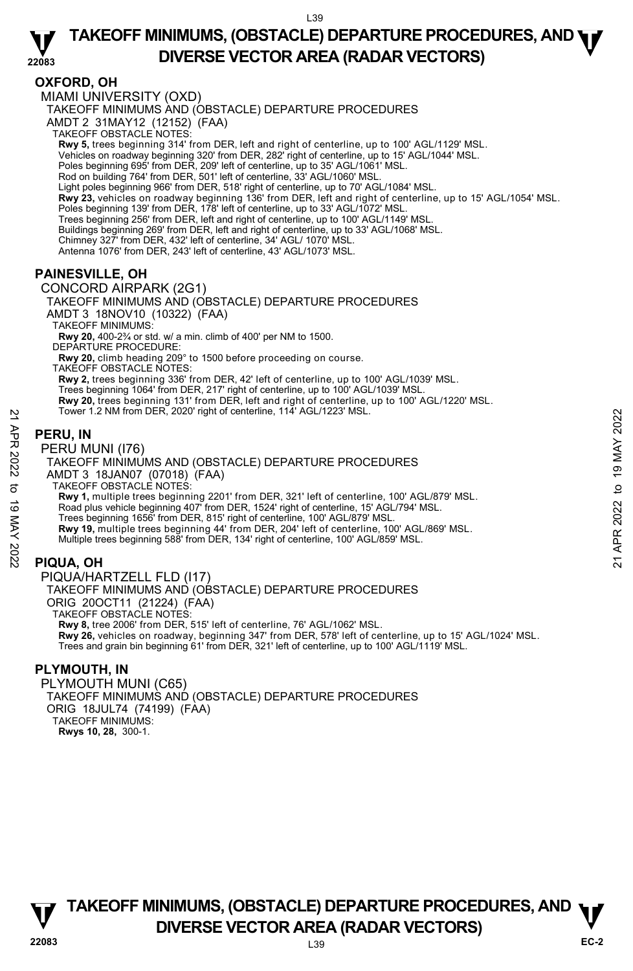### **OXFORD, OH**

MIAMI UNIVERSITY (OXD) TAKEOFF MINIMUMS AND (OBSTACLE) DEPARTURE PROCEDURES AMDT 2 31MAY12 (12152) (FAA) TAKEOFF OBSTACLE NOTES: **Rwy 5,** trees beginning 314' from DER, left and right of centerline, up to 100' AGL/1129' MSL. Vehicles on roadway beginning 320' from DER, 282' right of centerline, up to 15' AGL/1044' MSL. Poles beginning 695' from DER, 209' left of centerline, up to 35' AGL/1061' MSL. Rod on building 764' from DER, 501' left of centerline, 33' AGL/1060' MSL. Light poles beginning 966' from DER, 518' right of centerline, up to 70' AGL/1084' MSL.<br>**Rwy 23,** vehicles on roadway beginning 136' from DER, left and right of centerline, up to 15' AGL/1054' MSL. Poles beginning 139' from DER, 178' left of centerline, up to 33' AGL/1072' MSL. Trees beginning 256' from DER, left and right of centerline, up to 100' AGL/1149' MSL. Buildings beginning 269' from DER, left and right of centerline, up to 33' AGL/1068' MSL. Chimney 327' from DER, 432' left of centerline, 34' AGL/ 1070' MSL. Antenna 1076' from DER, 243' left of centerline, 43' AGL/1073' MSL. **PAINESVILLE, OH** 

CONCORD AIRPARK (2G1)

TAKEOFF MINIMUMS AND (OBSTACLE) DEPARTURE PROCEDURES AMDT 3 18NOV10 (10322) (FAA)

TAKEOFF MINIMUMS:

**Rwy 20,** 400-2¾ or std. w/ a min. climb of 400' per NM to 1500.

DEPARTURE PROCEDURE:

**Rwy 20,** climb heading 209° to 1500 before proceeding on course.

TAKEOFF OBSTACLE NOTES:

**Rwy 2,** trees beginning 336' from DER, 42' left of centerline, up to 100' AGL/1039' MSL.

Trees beginning 1064' from DER, 217' right of centerline, up to 100' AGL/1039' MSL.

**Rwy 20,** trees beginning 131' from DER, left and right of centerline, up to 100' AGL/1220' MSL.<br>Tower 1.2 NM from DER, 2020' right of centerline, 114' AGL/1223' MSL.

## **PERU, IN**

#### PERU MUNI (I76)

TAKEOFF MINIMUMS AND (OBSTACLE) DEPARTURE PROCEDURES AMDT 3 18JAN07 (07018) (FAA) TAKEOFF OBSTACLE NOTES: **Rwy 1,** multiple trees beginning 2201' from DER, 321' left of centerline, 100' AGL/879' MSL. Road plus vehicle beginning 407' from DER, 1524' right of centerline, 15' AGL/794' MSL. Trees beginning 1656' from DER, 815' right of centerline, 100' AGL/879' MSL. **Rwy 19,** multiple trees beginning 44' from DER, 204' left of centerline, 100' AGL/869' MSL. Multiple trees beginning 588' from DER, 134' right of centerline, 100' AGL/859' MSL. FORD THE MATTEN UNITED THE RELATION OF SURVEY THE RELATION OF THE RELATION OF THE RELATIONS AND CONSTACLE DEPARTURE PROCEDURES<br>
TAKEOFF MINIMUMS AND (OBSTACLE) DEPARTURE PROCEDURES<br>
AND TAKEOFF MINIMUMS AND (OBSTACLE) DEP

### **PIQUA, OH**

PIQUA/HARTZELL FLD (I17) TAKEOFF MINIMUMS AND (OBSTACLE) DEPARTURE PROCEDURES ORIG 20OCT11 (21224) (FAA) TAKEOFF OBSTACLE NOTES: **Rwy 8,** tree 2006' from DER, 515' left of centerline, 76' AGL/1062' MSL. **Rwy 26,** vehicles on roadway, beginning 347' from DER, 578' left of centerline, up to 15' AGL/1024' MSL. Trees and grain bin beginning 61' from DER, 321' left of centerline, up to 100' AGL/1119' MSL.

## **PLYMOUTH, IN**

PLYMOUTH MUNI (C65) TAKEOFF MINIMUMS AND (OBSTACLE) DEPARTURE PROCEDURES ORIG 18JUL74 (74199) (FAA) TAKEOFF MINIMUMS: **Rwys 10, 28,** 300-1.

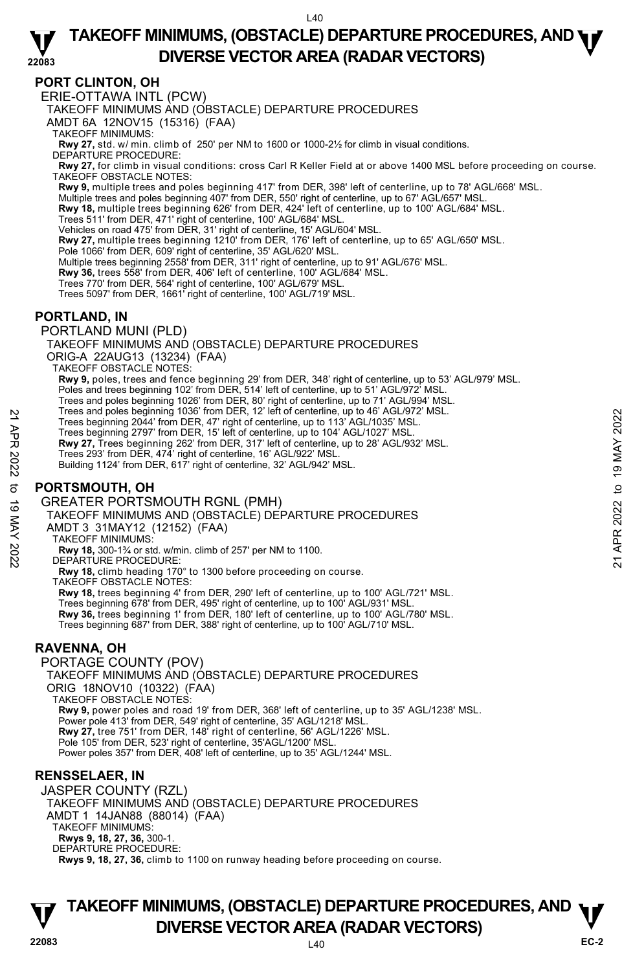#### **22083 TAKEOFF MINIMUMS, (OBSTACLE) DEPARTURE PROCEDURES, AND <b>WE**<br>DREBSE VECTOR AREA (BADAR VECTORS) **DIVERSE VECTOR AREA (RADAR VECTORS)**

### **PORT CLINTON, OH**

ERIE-OTTAWA INTL (PCW)

TAKEOFF MINIMUMS AND (OBSTACLE) DEPARTURE PROCEDURES

AMDT 6A 12NOV15 (15316) (FAA)

TAKEOFF MINIMUMS:

**Rwy 27,** std. w/ min. climb of 250' per NM to 1600 or 1000-2½ for climb in visual conditions. DEPARTURE PROCEDURE:

**Rwy 27,** for climb in visual conditions: cross Carl R Keller Field at or above 1400 MSL before proceeding on course. TAKEOFF OBSTACLE NOTES:

**Rwy 9,** multiple trees and poles beginning 417' from DER, 398' left of centerline, up to 78' AGL/668' MSL.<br>Multiple trees and poles beginning 407' from DER, 550' right of centerline, up to 67' AGL/657' MSL.

**Rwy 18,** multiple trees beginning 626' from DER, 424' left of centerline, up to 100' AGL/684' MSL.

Trees 511' from DER, 471' right of centerline, 100' AGL/684' MSL.

Vehicles on road 475' from DER, 31' right of centerline, 15' AGL/604' MSL.

**Rwy 27,** multiple trees beginning 1210' from DER, 176' left of centerline, up to 65' AGL/650' MSL.

Pole 1066' from DER, 609' right of centerline, 35' AGL/620' MSL. Multiple trees beginning 2558' from DER, 311' right of centerline, up to 91' AGL/676' MSL.

**Rwy 36,** trees 558' from DER, 406' left of centerline, 100' AGL/684' MSL.

Trees 770' from DER, 564' right of centerline, 100' AGL/679' MSL.

Trees 5097' from DER, 1661' right of centerline, 100' AGL/719' MSL.

### **PORTLAND, IN**

PORTLAND MUNI (PLD)

TAKEOFF MINIMUMS AND (OBSTACLE) DEPARTURE PROCEDURES

ORIG-A 22AUG13 (13234) (FAA)

TAKEOFF OBSTACLE NOTES:

**Rwy 9,** poles, trees and fence beginning 29' from DER, 348' right of centerline, up to 53' AGL/979' MSL.

Poles and trees beginning 102' from DER, 514' left of centerline, up to 51' AGL/972' MSL.

Trees and poles beginning 1026' from DER, 80' right of centerline, up to 71' AGL/994' MSL. Trees and poles beginning 1036' from DER, 12' left of centerline, up to 46' AGL/972' MSL.

Trees beginning 2044' from DER, 47' right of centerline, up to 113' AGL/1035' MSL.

Trees beginning 2797' from DER, 15' left of centerline, up to 104' AGL/1027' MSL.

**Rwy 27,** Trees beginning 262' from DER, 317' left of centerline, up to 28' AGL/932' MSL.

Trees 293' from DER, 474' right of centerline, 16' AGL/922' MSL.

Building 1124' from DER, 617' right of centerline, 32' AGL/942' MSL.

### **PORTSMOUTH, OH**

GREATER PORTSMOUTH RGNL (PMH)

TAKEOFF MINIMUMS AND (OBSTACLE) DEPARTURE PROCEDURES Trees and poles beginning 1036 Torm DER, 47' right of center line, up to 46' AGU/972' MSL.<br>
Trees beginning 2044' from DER, 47' right of centerline, up to 113' AGU/1035' MSL.<br>
Trees beginning 2797' from DER, 15' left of ce

AMDT 3 31MAY12 (12152) (FAA)

TAKEOFF MINIMUMS:

**Rwy 18,** 300-1¾ or std. w/min. climb of 257' per NM to 1100. DEPARTURE PROCEDURE:

**Rwy 18,** climb heading 170° to 1300 before proceeding on course.

TAKEOFF OBSTACLE NOTES:

**Rwy 18,** trees beginning 4' from DER, 290' left of centerline, up to 100' AGL/721' MSL.

Trees beginning 678' from DER, 495' right of centerline, up to 100' AGL/931' MSL. **Rwy 36,** trees beginning 1' from DER, 180' left of centerline, up to 100' AGL/780' MSL. Trees beginning 687' from DER, 388' right of centerline, up to 100' AGL/710' MSL.

### **RAVENNA, OH**

PORTAGE COUNTY (POV) TAKEOFF MINIMUMS AND (OBSTACLE) DEPARTURE PROCEDURES ORIG 18NOV10 (10322) (FAA) TAKEOFF OBSTACLE NOTES: **Rwy 9,** power poles and road 19' from DER, 368' left of centerline, up to 35' AGL/1238' MSL. Power pole 413' from DER, 549' right of centerline, 35' AGL/1218' MSL. **Rwy 27,** tree 751' from DER, 148' right of centerline, 56' AGL/1226' MSL. Pole 105' from DER, 523' right of centerline, 35'AGL/1200' MSL. Power poles 357' from DER, 408' left of centerline, up to 35' AGL/1244' MSL.

### **RENSSELAER, IN**

JASPER COUNTY (RZL) TAKEOFF MINIMUMS AND (OBSTACLE) DEPARTURE PROCEDURES AMDT 1 14JAN88 (88014) (FAA) TAKEOFF MINIMUMS: **Rwys 9, 18, 27, 36,** 300-1. DEPARTURE PROCEDURE: **Rwys 9, 18, 27, 36,** climb to 1100 on runway heading before proceeding on course.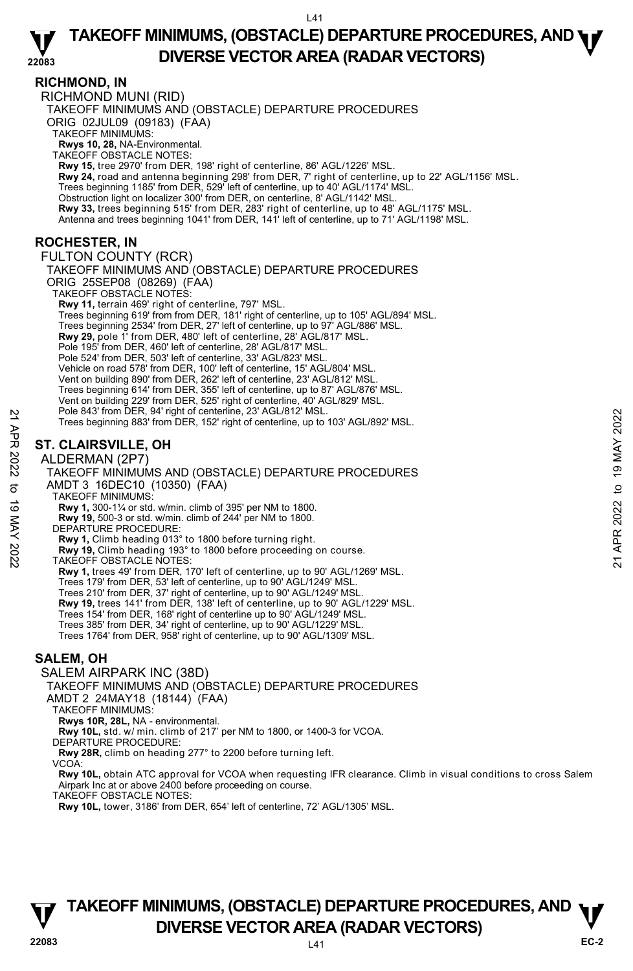**RICHMOND, IN**  RICHMOND MUNI (RID) TAKEOFF MINIMUMS AND (OBSTACLE) DEPARTURE PROCEDURES ORIG 02JUL09 (09183) (FAA) TAKEOFF MINIMUMS: **Rwys 10, 28,** NA-Environmental. TAKEOFF OBSTACLE NOTES: **Rwy 15,** tree 2970' from DER, 198' right of centerline, 86' AGL/1226' MSL. **Rwy 24,** road and antenna beginning 298' from DER, 7' right of centerline, up to 22' AGL/1156' MSL. Trees beginning 1185' from DER, 529' left of centerline, up to 40' AGL/1174' MSL. Obstruction light on localizer 300' from DER, on centerline, 8' AGL/1142' MSL. **Rwy 33,** trees beginning 515' from DER, 283' right of centerline, up to 48' AGL/1175' MSL. Antenna and trees beginning 1041' from DER, 141' left of centerline, up to 71' AGL/1198' MSL. **ROCHESTER, IN**  FULTON COUNTY (RCR) TAKEOFF MINIMUMS AND (OBSTACLE) DEPARTURE PROCEDURES ORIG 25SEP08 (08269) (FAA) TAKEOFF OBSTACLE NOTES: **Rwy 11,** terrain 469' right of centerline, 797' MSL. Trees beginning 619' from from DER, 181' right of centerline, up to 105' AGL/894' MSL. Trees beginning 2534' from DER, 27' left of centerline, up to 97' AGL/886' MSL. **Rwy 29,** pole 1' from DER, 480' left of centerline, 28' AGL/817' MSL. Pole 195' from DER, 460' left of centerline, 28' AGL/817' MSL. Pole 524' from DER, 503' left of centerline, 33' AGL/823' MSL. Vehicle on road 578' from DER, 100' left of centerline, 15' AGL/804' MSL. Vent on building 890' from DER, 262' left of centerline, 23' AGL/812' MSL. Trees beginning 614' from DER, 355' left of centerline, up to 87' AGL/876' MSL. Vent on building 229' from DER, 525' right of centerline, 40' AGL/829' MSL. Pole 843' from DER, 94' right of centerline, 23' AGL/812' MSL. Trees beginning 883' from DER, 152' right of centerline, up to 103' AGL/892' MSL. **ST. CLAIRSVILLE, OH**  ALDERMAN (2P7) TAKEOFF MINIMUMS AND (OBSTACLE) DEPARTURE PROCEDURES AMDT 3 16DEC10 (10350) (FAA) TAKEOFF MINIMUMS: **Rwy 1,** 300-1¼ or std. w/min. climb of 395' per NM to 1800. **Rwy 19,** 500-3 or std. w/min. climb of 244' per NM to 1800. DEPARTURE PROCEDURE: **Rwy 1,** Climb heading 013° to 1800 before turning right. **Rwy 19,** Climb heading 193° to 1800 before proceeding on course. TAKEOFF OBSTACLE NOTES: **Rwy 1,** trees 49' from DER, 170' left of centerline, up to 90' AGL/1269' MSL. Trees 179' from DER, 53' left of centerline, up to 90' AGL/1249' MSL. Trees 210' from DER, 37' right of centerline, up to 90' AGL/1249' MSL. **Rwy 19,** trees 141' from DER, 138' left of centerline, up to 90' AGL/1229' MSL. Trees 154' from DER, 168' right of centerline up to 90' AGL/1249' MSL. Trees 385' from DER, 34' right of centerline, up to 90' AGL/1229' MSL. Trees 1764' from DER, 958' right of centerline, up to 90' AGL/1309' MSL. Pole 843 rom DER, 94 right of centerline, 23' AGL/812' MSL.<br>
21 Thes beginning 883' from DER, 152' right of centerline, up to 103' AGL/892' MSL.<br>
21 **ST. CLAIRSVILLE, OH**<br>
22 **ALDERMAN (2P7)**<br>
22 **ALDERMAN (2P7)**<br>
23 **TAKE** 

## **SALEM, OH**

SALEM AIRPARK INC (38D)

TAKEOFF MINIMUMS AND (OBSTACLE) DEPARTURE PROCEDURES

AMDT 2 24MAY18 (18144) (FAA)

TAKEOFF MINIMUMS:

**Rwys 10R, 28L,** NA - environmental.

**Rwy 10L,** std. w/ min. climb of 217' per NM to 1800, or 1400-3 for VCOA. DEPARTURE PROCEDURE:

**Rwy 28R,** climb on heading 277° to 2200 before turning left.

VCOA:

**Rwy 10L,** obtain ATC approval for VCOA when requesting IFR clearance. Climb in visual conditions to cross Salem Airpark Inc at or above 2400 before proceeding on course.

TAKEOFF OBSTACLE NOTES:

**Rwy 10L,** tower, 3186' from DER, 654' left of centerline, 72' AGL/1305' MSL.

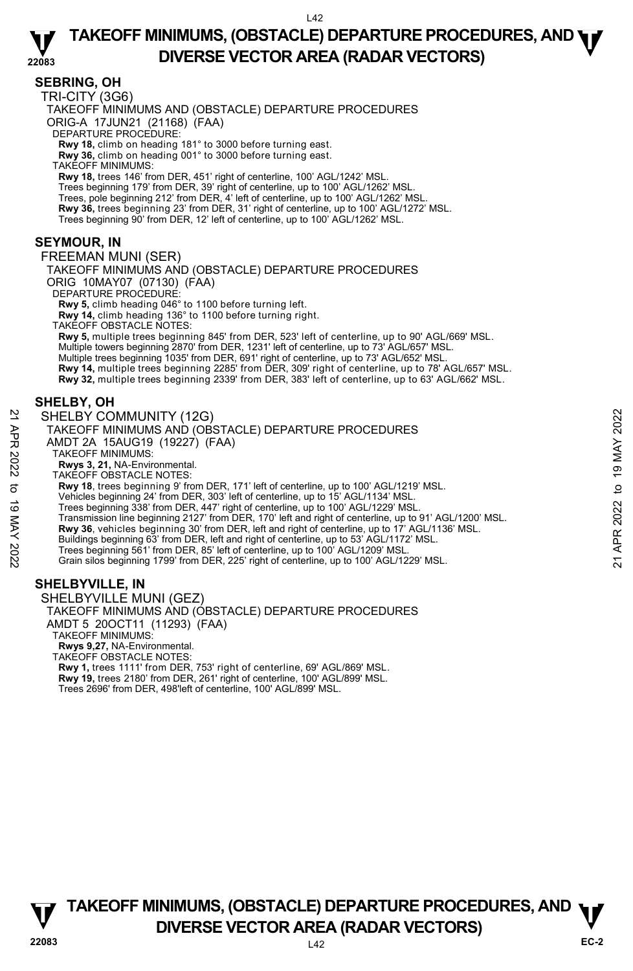### **SEBRING, OH**

TRI-CITY (3G6)

TAKEOFF MINIMUMS AND (OBSTACLE) DEPARTURE PROCEDURES

ORIG-A 17JUN21 (21168) (FAA)

DEPARTURE PROCEDURE:

**Rwy 18,** climb on heading 181° to 3000 before turning east.  **Rwy 36,** climb on heading 001° to 3000 before turning east.

TAKEOFF MINIMUMS:

 **Rwy 18,** trees 146' from DER, 451' right of centerline, 100' AGL/1242' MSL. Trees beginning 179' from DER, 39' right of centerline, up to 100' AGL/1262' MSL.<br>Trees, pole beginning 212' from DER, 4' left of centerline, up to 100' AGL/1262' MSL. **Rwy 36,** trees beginning 23' from DER, 31' right of centerline, up to 100' AGL/1272' MSL. Trees beginning 90' from DER, 12' left of centerline, up to 100' AGL/1262' MSL.

### **SEYMOUR, IN**

FREEMAN MUNI (SER)

TAKEOFF MINIMUMS AND (OBSTACLE) DEPARTURE PROCEDURES

ORIG 10MAY07 (07130) (FAA)

DEPARTURE PROCEDURE

**Rwy 5,** climb heading 046° to 1100 before turning left.

**Rwy 14,** climb heading 136° to 1100 before turning right.

TAKEOFF OBSTACLE NOTES: **Rwy 5,** multiple trees beginning 845' from DER, 523' left of centerline, up to 90' AGL/669' MSL. Multiple towers beginning 2870' from DER, 1231' left of centerline, up to 73' AGL/657' MSL. Multiple trees beginning 1035' from DER, 691' right of centerline, up to 73' AGL/652' MSL. **Rwy 14,** multiple trees beginning 2285' from DER, 309' right of centerline, up to 78' AGL/657' MSL.<br>**Rwy 32,** multiple trees beginning 2339' from DER, 383' left of centerline, up to 63' AGL/662' MSL.

### **SHELBY, OH**

### SHELBY COMMUNITY (12G)

- TAKEOFF MINIMUMS AND (OBSTACLE) DEPARTURE PROCEDURES
- AMDT 2A 15AUG19 (19227) (FAA)
- TAKEOFF MINIMUMS:
- **Rwys 3, 21,** NA-Environmental. TAKEOFF OBSTACLE NOTES:

**Rwy 18**, trees beginning 9' from DER, 171' left of centerline, up to 100' AGL/1219' MSL.

- Vehicles beginning 24' from DER, 303' left of centerline, up to 15' AGL/1134' MSL.
- 
- Trees beginning 338' from DER, 447' right of centerline, up to 100' AGL/1229' MSL.<br>Transmission line beginning 2127' from DER, 170' left and right of centerline, up to 91' AGL/1200' MSL. SHELBY COMMUNITY (12G)<br>
TAKEOFF MINIMUMS AND (OBSTACLE) DEPARTURE PROCEDURES<br>
AND T 2A 1564UG19 (19227) (FAA)<br>
NATION TO 2A 1564UG19 (19227) (FAA)<br>
TAKEOFF MINIMUMS:<br>
TAKEOFF MINIMUMS:<br>
TAKEOFF MINIMUMS:<br>
TAKEOFF MINIMUMS
	- **Rwy 36**, vehicles beginning 30' from DER, left and right of centerline, up to 17' AGL/1136' MSL. Buildings beginning 63' from DER, left and right of centerline, up to 53' AGL/1172' MSL.
	- Trees beginning 561' from DER, 85' left of centerline, up to 100' AGL/1209' MSL.

Grain silos beginning 1799' from DER, 225' right of centerline, up to 100' AGL/1229' MSL.

# **SHELBYVILLE, IN**

SHELBYVILLE MUNI (GEZ) TAKEOFF MINIMUMS AND (OBSTACLE) DEPARTURE PROCEDURES AMDT 5 20OCT11 (11293) (FAA) TAKEOFF MINIMUMS: **Rwys 9,27,** NA-Environmental. TAKEOFF OBSTACLE NOTES: **Rwy 1,** trees 1111' from DER, 753' right of centerline, 69' AGL/869' MSL. **Rwy 19,** trees 2180' from DER, 261' right of centerline, 100' AGL/899' MSL.

Trees 2696' from DER, 498'left of centerline, 100' AGL/899' MSL.

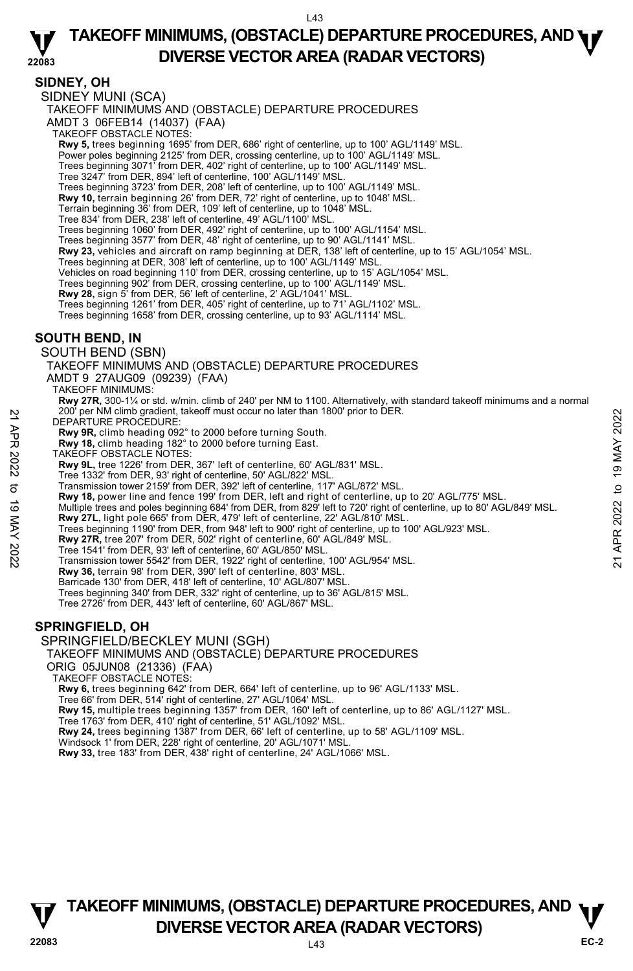#### **22083 TAKEOFF MINIMUMS, (OBSTACLE) DEPARTURE PROCEDURES, AND <b>WE**<br>DREBSE VECTOR AREA (BADAR VECTORS) **DIVERSE VECTOR AREA (RADAR VECTORS)**

### **SIDNEY, OH**

SIDNEY MUNI (SCA)

TAKEOFF MINIMUMS AND (OBSTACLE) DEPARTURE PROCEDURES

AMDT 3 06FEB14 (14037) (FAA)

TAKEOFF OBSTACLE NOTES:

**Rwy 5,** trees beginning 1695' from DER, 686' right of centerline, up to 100' AGL/1149' MSL.<br>Power poles beginning 2125' from DER, crossing centerline, up to 100' AGL/1149' MSL.

Trees beginning 3071' from DER, 402' right of centerline, up to 100' AGL/1149' MSL.

Tree 3247' from DER, 894' left of centerline, 100' AGL/1149' MSL.

Trees beginning 3723' from DER, 208' left of centerline, up to 100' AGL/1149' MSL.

**Rwy 10,** terrain beginning 26' from DER, 72' right of centerline, up to 1048' MSL.

Terrain beginning 36' from DER, 109' left of centerline, up to 1048' MSL.

Tree 834' from DER, 238' left of centerline, 49' AGL/1100' MSL.

Trees beginning 1060' from DER, 492' right of centerline, up to 100' AGL/1154' MSL.

Trees beginning 3577' from DER, 48' right of centerline, up to 90' AGL/1141' MSL.

**Rwy 23,** vehicles and aircraft on ramp beginning at DER, 138' left of centerline, up to 15' AGL/1054' MSL.

Trees beginning at DER, 308' left of centerline, up to 100' AGL/1149' MSL.

Vehicles on road beginning 110' from DER, crossing centerline, up to 15' AGL/1054' MSL.

Trees beginning 902' from DER, crossing centerline, up to 100' AGL/1149' MSL.

**Rwy 28,** sign 5' from DER, 56' left of centerline, 2' AGL/1041' MSL.

Trees beginning 1261' from DER, 405' right of centerline, up to 71' AGL/1102' MSL.

Trees beginning 1658' from DER, crossing centerline, up to 93' AGL/1114' MSL.

### **SOUTH BEND, IN**

SOUTH BEND (SBN)

TAKEOFF MINIMUMS AND (OBSTACLE) DEPARTURE PROCEDURES

AMDT 9 27AUG09 (09239) (FAA)

TAKEOFF MINIMUMS:

**Rwy 27R,** 300-1¼ or std. w/min. climb of 240' per NM to 1100. Alternatively, with standard takeoff minimums and a normal per NM climb gradient, takeoff must occur no later than 1800' prior to DER.

DEPARTURE PROCEDURE:

**Rwy 9R,** climb heading 092° to 2000 before turning South. **Rwy 18,** climb heading 182° to 2000 before turning East.

TAKEOFF OBSTACLE NOTES:

**Rwy 9L,** tree 1226' from DER, 367' left of centerline, 60' AGL/831' MSL.

Tree 1332' from DER, 93' right of centerline, 50' AGL/822' MSL.

Transmission tower 2159' from DER, 392' left of centerline, 117' AGL/872' MSL.

**Rwy 18,** power line and fence 199' from DER, left and right of centerline, up to 20' AGL/775' MSL.

Multiple trees and poles beginning 684' from DER, from 829' left to 720' right of centerline, up to 80' AGL/849' MSL. **Rwy 27L,** light pole 665' from DER, 479' left of centerline, 22' AGL/810' MSL. DEPARTURE PROCEDURE:<br>
2022 THE TAN climp gradient, takeoff must occur no later than 1800 prior to DER.<br> **Rwy 9R**, climb heading 192° to 2000 before turning South.<br> **Rwy 9R**, climb heading 192° to 2000 before turning East.

Trees beginning 1190' from DER, from 948' left to 900' right of centerline, up to 100' AGL/923' MSL.

**Rwy 27R,** tree 207' from DER, 502' right of centerline, 60' AGL/849' MSL.

Tree 1541' from DER, 93' left of centerline, 60' AGL/850' MSL. Transmission tower 5542' from DER, 1922' right of centerline, 100' AGL/954' MSL.

**Rwy 36,** terrain 98' from DER, 390' left of centerline, 803' MSL.

Barricade 130' from DER, 418' left of centerline, 10' AGL/807' MSL.

Trees beginning 340' from DER, 332' right of centerline, up to 36' AGL/815' MSL.

Tree 2726' from DER, 443' left of centerline, 60' AGL/867' MSL.

## **SPRINGFIELD, OH**

SPRINGFIELD/BECKLEY MUNI (SGH)

TAKEOFF MINIMUMS AND (OBSTACLE) DEPARTURE PROCEDURES

ORIG 05JUN08 (21336) (FAA)

TAKEOFF OBSTACLE NOTES:

**Rwy 6,** trees beginning 642' from DER, 664' left of centerline, up to 96' AGL/1133' MSL. Tree 66' from DER, 514' right of centerline, 27' AGL/1064' MSL.

**Rwy 15,** multiple trees beginning 1357' from DER, 160' left of centerline, up to 86' AGL/1127' MSL.

Tree 1763' from DER, 410' right of centerline, 51' AGL/1092' MSL.

**Rwy 24,** trees beginning 1387' from DER, 66' left of centerline, up to 58' AGL/1109' MSL.<br>Windsock 1' from DER, 228' right of centerline, 20' AGL/1071' MSL.

**Rwy 33,** tree 183' from DER, 438' right of centerline, 24' AGL/1066' MSL.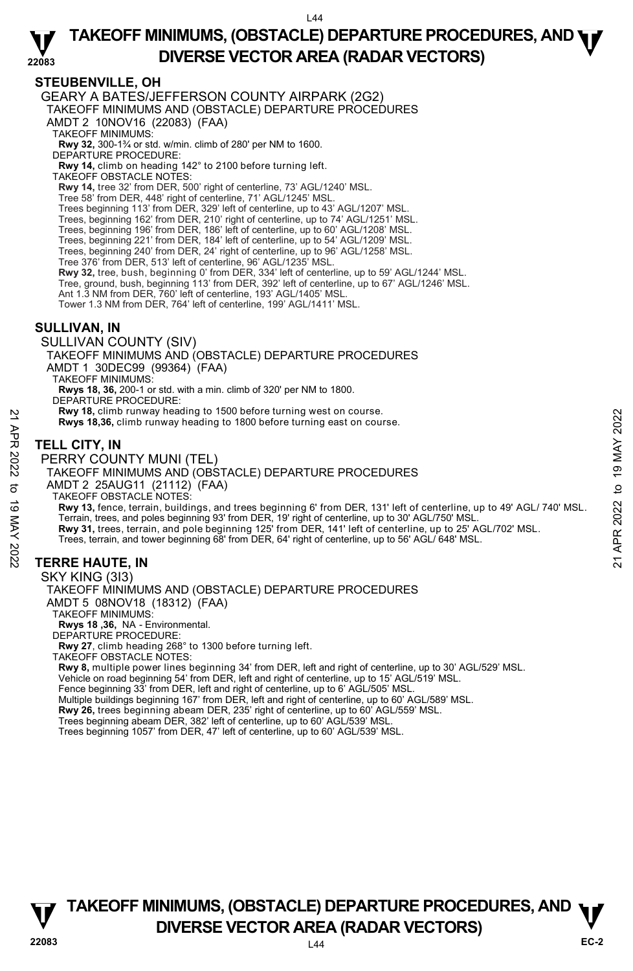#### **22083 TAKEOFF MINIMUMS, (OBSTACLE) DEPARTURE PROCEDURES, AND <b>WE**<br>DREBSE VECTOR AREA (BADAR VECTORS) **DIVERSE VECTOR AREA (RADAR VECTORS)**

# **STEUBENVILLE, OH**

GEARY A BATES/JEFFERSON COUNTY AIRPARK (2G2) TAKEOFF MINIMUMS AND (OBSTACLE) DEPARTURE PROCEDURES AMDT 2 10NOV16 (22083) (FAA) TAKEOFF MINIMUMS: **Rwy 32,** 300-1¾ or std. w/min. climb of 280' per NM to 1600. DEPARTURE PROCEDURE: **Rwy 14,** climb on heading 142° to 2100 before turning left. TAKEOFF OBSTACLE NOTES: **Rwy 14,** tree 32' from DER, 500' right of centerline, 73' AGL/1240' MSL. Tree 58' from DER, 448' right of centerline, 71' AGL/1245' MSL. Trees beginning 113' from DER, 329' left of centerline, up to 43' AGL/1207' MSL. Trees, beginning 162' from DER, 210' right of centerline, up to 74' AGL/1251' MSL. Trees, beginning 196' from DER, 186' left of centerline, up to 60' AGL/1208' MSL. Trees, beginning 221' from DER, 184' left of centerline, up to 54' AGL/1209' MSL. Trees, beginning 240' from DER, 24' right of centerline, up to 96' AGL/1258' MSL. Tree 376' from DER, 513' left of centerline, 96' AGL/1235' MSL. **Rwy 32,** tree, bush, beginning 0' from DER, 334' left of centerline, up to 59' AGL/1244' MSL. Tree, ground, bush, beginning 113' from DER, 392' left of centerline, up to 67' AGL/1246' MSL. Ant 1.3 NM from DER, 760' left of centerline, 193' AGL/1405' MSL. Tower 1.3 NM from DER, 764' left of centerline, 199' AGL/1411' MSL. **SULLIVAN, IN**  SULLIVAN COUNTY (SIV) TAKEOFF MINIMUMS AND (OBSTACLE) DEPARTURE PROCEDURES AMDT 1 30DEC99 (99364) (FAA) TAKEOFF MINIMUMS: **Rwys 18, 36,** 200-1 or std. with a min. climb of 320' per NM to 1800. DEPARTURE PROCEDURE: **Rwy 18,** climb runway heading to 1500 before turning west on course. **Rwys 18,36,** climb runway heading to 1800 before turning east on course. **TELL CITY, IN**  PERRY COUNTY MUNI (TEL) TAKEOFF MINIMUMS AND (OBSTACLE) DEPARTURE PROCEDURES AMDT 2 25AUG11 (21112) (FAA) TAKEOFF OBSTACLE NOTES: **Rwy 13,** fence, terrain, buildings, and trees beginning 6' from DER, 131' left of centerline, up to 49' AGL/ 740' MSL.<br>Terrain, trees, and poles beginning 93' from DER, 19' right of centerline, up to 30' AGL/750' MSL.<br>**Rw** Trees, terrain, and tower beginning 68' from DER, 64' right of centerline, up to 56' AGL/ 648' MSL. **TERRE HAUTE, IN**  SKY KING (3I3) TAKEOFF MINIMUMS AND (OBSTACLE) DEPARTURE PROCEDURES AMDT 5 08NOV18 (18312) (FAA) **EXAMPLE 18, 19 THE SET AND THE SET AND THE SET AND THE SET AND THE SET AND THE SET AND THE SET AND THE SET AND THE SET AND THE SET AND THE SET AND THE SET AND THE SET AND THE SET AND THE SET AND THE SET AND THE SET AND T** 

TAKEOFF MINIMUMS:

**Rwys 18 ,36,** NA - Environmental. DEPARTURE PROCEDURE:

**Rwy 27**, climb heading 268° to 1300 before turning left.

TAKEOFF OBSTACLE NOTES:

**Rwy 8,** multiple power lines beginning 34' from DER, left and right of centerline, up to 30' AGL/529' MSL. Vehicle on road beginning 54' from DER, left and right of centerline, up to 15' AGL/519' MSL.

Fence beginning 33' from DER, left and right of centerline, up to 6' AGL/505' MSL. Multiple buildings beginning 167' from DER, left and right of centerline, up to 60' AGL/589' MSL.

**Rwy 26,** trees beginning abeam DER, 235' right of centerline, up to 60' AGL/559' MSL.

Trees beginning abeam DER, 382' left of centerline, up to 60' AGL/539' MSL.

Trees beginning 1057' from DER, 47' left of centerline, up to 60' AGL/539' MSL.

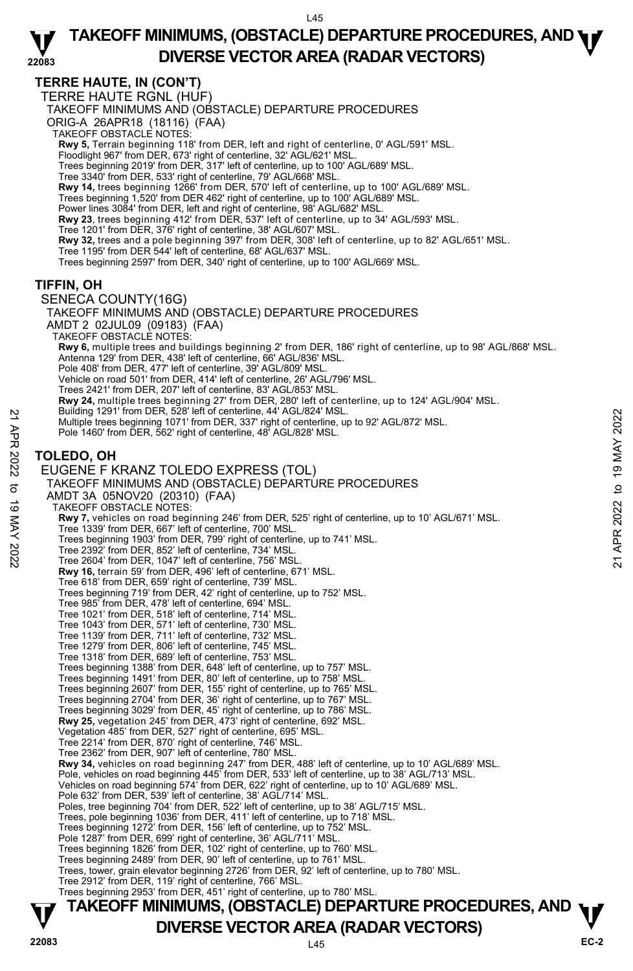# **TERRE HAUTE, IN (CON'T)**

TERRE HAUTE RGNL (HUF)

TAKEOFF MINIMUMS AND (OBSTACLE) DEPARTURE PROCEDURES

ORIG-A 26APR18 (18116) (FAA)

TAKEOFF OBSTACLE NOTES:

**Rwy 5,** Terrain beginning 118' from DER, left and right of centerline, 0' AGL/591' MSL.

Floodlight 967' from DER, 673' right of centerline, 32' AGL/621' MSL. Trees beginning 2019' from DER, 317' left of centerline, up to 100' AGL/689' MSL.

Tree 3340' from DER, 533' right of centerline, 79' AGL/668' MSL.

**Rwy 14,** trees beginning 1266' from DER, 570' left of centerline, up to 100' AGL/689' MSL.

Trees beginning 1,520' from DER 462' right of centerline, up to 100' AGL/689' MSL.

Power lines 3084' from DER, left and right of centerline, 98' AGL/682' MSL.

**Rwy 23**, trees beginning 412' from DER, 537' left of centerline, up to 34' AGL/593' MSL.<br>Tree 1201' from DER, 376' right of centerline, 38' AGL/607' MSL.

**Rwy 32,** trees and a pole beginning 397' from DER, 308' left of centerline, up to 82' AGL/651' MSL.

Tree 1195' from DER 544' left of centerline, 68' AGL/637' MSL.

Trees beginning 2597' from DER, 340' right of centerline, up to 100' AGL/669' MSL.

### **TIFFIN, OH**

SENECA COUNTY(16G) TAKEOFF MINIMUMS AND (OBSTACLE) DEPARTURE PROCEDURES AMDT 2 02JUL09 (09183) (FAA) TAKEOFF OBSTACLÈ NOTES: **Rwy 6,** multiple trees and buildings beginning 2' from DER, 186' right of centerline, up to 98' AGL/868' MSL. Antenna 129' from DER, 438' left of centerline, 66' AGL/836' MSL. Pole 408' from DER, 477' left of centerline, 39' AGL/809' MSL. Vehicle on road 501' from DER, 414' left of centerline, 26' AGL/796' MSL. Trees 2421' from DER, 207' left of centerline, 83' AGL/853' MSL. **Rwy 24,** multiple trees beginning 27' from DER, 280' left of centerline, up to 124' AGL/904' MSL.<br>Building 1291' from DER, 528' left of centerline, 44' AGL/824' MSL. Multiple trees beginning 1071' from DER, 337' right of centerline, up to 92' AGL/872' MSL. Pole 1460' from DER, 562' right of centerline, 48' AGL/828' MSL. **TOLEDO, OH**  EUGENE F KRANZ TOLEDO EXPRESS (TOL) TAKEOFF MINIMUMS AND (OBSTACLE) DEPARTURE PROCEDURES AMDT 3A 05NOV20 (20310) (FAA) TAKEOFF OBSTACLE NOTES: **Rwy 7,** vehicles on road beginning 246' from DER, 525' right of centerline, up to 10' AGL/671' MSL. Tree 1339' from DER, 667' left of centerline, 700' MSL. Trees beginning 1903' from DER, 799' right of centerline, up to 741' MSL. Tree 2392' from DER, 852' left of centerline, 734' MSL. Tree 2604' from DER, 1047' left of centerline, 756' MSL. **Rwy 16,** terrain 59' from DER, 496' left of centerline, 671' MSL. Tree 618' from DER, 659' right of centerline, 739' MSL. Trees beginning 719' from DER, 42' right of centerline, up to 752' MSL. Tree 985' from DER, 478' left of centerline, 694' MSL. Tree 1021' from DER, 518' left of centerline, 714' MSL. Tree 1043' from DER, 571' left of centerline, 730' MSL. Tree 1139' from DER, 711' left of centerline, 732' MSL. Tree 1279' from DER, 806' left of centerline, 745' MSL. Tree 1318' from DER, 689' left of centerline, 753' MSL. Trees beginning 1388' from DER, 648' left of centerline, up to 757' MSL. Trees beginning 1491' from DER, 80' left of centerline, up to 758' MSL. Trees beginning 2607' from DER, 155' right of centerline, up to 765' MSL. Trees beginning 2704' from DER, 36' right of centerline, up to 767' MSL. Trees beginning 3029' from DER, 45' right of centerline, up to 786' MSL. **Rwy 25,** vegetation 245' from DER, 473' right of centerline, 692' MSL. Vegetation 485' from DER, 527' right of centerline, 695' MSL. Tree 2214' from DER, 870' right of centerline, 746' MSL. Tree 2362' from DER, 907' left of centerline, 780' MSL. **Rwy 34,** vehicles on road beginning 247' from DER, 488' left of centerline, up to 10' AGL/689' MSL.<br>Pole, vehicles on road beginning 445' from DER, 533' left of centerline, up to 38' AGL/713' MSL. Vehicles on road beginning 574' from DER, 622' right of centerline, up to 10' AGL/689' MSL. Pole 632' from DER, 539' left of centerline, 38' AGL/714' MSL. Poles, tree beginning 704' from DER, 522' left of centerline, up to 38' AGL/715' MSL. Trees, pole beginning 1036' from DER, 411' left of centerline, up to 718' MSL. Trees beginning 1272' from DER, 156' left of centerline, up to 752' MSL. Pole 1287' from DER, 699' right of centerline, 36' AGL/711' MSL. Trees beginning 1826' from DER, 102' right of centerline, up to 760' MSL. Trees beginning 2489' from DER, 90' left of centerline, up to 761' MSL. Trees, tower, grain elevator beginning 2726' from DER, 92' left of centerline, up to 780' MSL. Tree 2912' from DER, 119' right of centerline, 766' MSL. Trees beginning 2953' from DER, 451' right of centerline, up to 780' MSL. Bullding 1291' from DER, 328' let of centerline, 48' AGL/824' MSL.<br>
Multiple trees beginning 1071' from DER, 337' right of centerline, up to 92' AGL/872' MSL.<br>
Pole 1460' from DER, 562' right of centerline, 48' AGL/828' M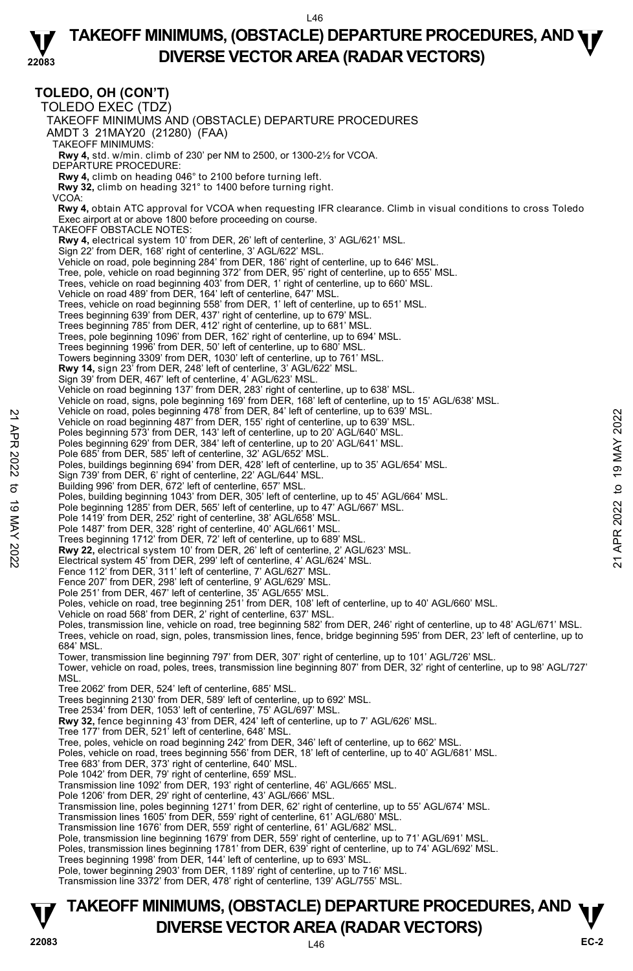#### **22083 TAKEOFF MINIMUMS, (OBSTACLE) DEPARTURE PROCEDURES, AND <b>WE**<br>DREBSE VECTOR AREA (BADAR VECTORS) **DIVERSE VECTOR AREA (RADAR VECTORS)**

# **TOLEDO, OH (CON'T)**

TOLEDO EXEC (TDZ) TAKEOFF MINIMUMS AND (OBSTACLE) DEPARTURE PROCEDURES AMDT 3 21MAY20 (21280) (FAA) TAKEOFF MINIMUMS: **Rwy 4,** std. w/min. climb of 230' per NM to 2500, or 1300-2½ for VCOA. DEPARTURE PROCEDURE: **Rwy 4,** climb on heading 046° to 2100 before turning left. **Rwy 32,** climb on heading 321° to 1400 before turning right. VCOA:  **Rwy 4,** obtain ATC approval for VCOA when requesting IFR clearance. Climb in visual conditions to cross Toledo Exec airport at or above 1800 before proceeding on course. TAKEOFF OBSTACLE NOTES: **Rwy 4,** electrical system 10' from DER, 26' left of centerline, 3' AGL/621' MSL. Sign 22' from DER, 168' right of centerline, 3' AGL/622' MSL. Vehicle on road, pole beginning 284' from DER, 186' right of centerline, up to 646' MSL. Tree, pole, vehicle on road beginning 372' from DER, 95' right of centerline, up to 655' MSL. Trees, vehicle on road beginning 403' from DER, 1' right of centerline, up to 660' MSL. Vehicle on road 489' from DER, 164' left of centerline, 647' MSL. Trees, vehicle on road beginning 558' from DER, 1' left of centerline, up to 651' MSL. Trees beginning 639' from DER, 437' right of centerline, up to 679' MSL. Trees beginning 785' from DER, 412' right of centerline, up to 681' MSL. Trees, pole beginning 1096' from DER, 162' right of centerline, up to 694' MSL. Trees beginning 1996' from DER, 50' left of centerline, up to 680' MSL. Towers beginning 3309' from DER, 1030' left of centerline, up to 761' MSL. **Rwy 14,** sign 23' from DER, 248' left of centerline, 3' AGL/622' MSL. Sign 39' from DER, 467' left of centerline, 4' AGL/623' MSL. Vehicle on road beginning 137' from DER, 283' right of centerline, up to 638' MSL. Vehicle on road, signs, pole beginning 169' from DER, 168' left of centerline, up to 15' AGL/638' MSL.<br>Vehicle on road, poles beginning 478' from DER, 84' left of centerline, up to 639' MSL. Vehicle on road beginning 487' from DER, 155' right of centerline, up to 639' MSL. Poles beginning 573' from DER, 143' left of centerline, up to 20' AGL/640' MSL. Poles beginning 629' from DER, 384' left of centerline, up to 20' AGL/641' MSL. Pole 685' from DER, 585' left of centerline, 32' AGL/652' MSL. Poles, buildings beginning 694' from DER, 428' left of centerline, up to 35' AGL/654' MSL. Sign 739' from DER, 6' right of centerline, 22' AGL/644' MSL. Building 996' from DER, 672' left of centerline, 657' MSL. Poles, building beginning 1043' from DER, 305' left of centerline, up to 45' AGL/664' MSL. Pole beginning 1285' from DER, 565' left of centerline, up to 47' AGL/667' MSL. Pole 1419' from DER, 252' right of centerline, 38' AGL/658' MSL. Pole 1487' from DER, 328' right of centerline, 40' AGL/661' MSL. Trees beginning 1712' from DER, 72' left of centerline, up to 689' MSL. **Rwy 22,** electrical system 10' from DER, 26' left of centerline, 2' AGL/623' MSL.<br>Electrical system 45' from DER, 299' left of centerline, 4' AGL/624' MSL. Fence 112' from DER, 311' left of centerline, 7' AGL/627' MSL. Fence 207' from DER, 298' left of centerline, 9' AGL/629' MSL. Pole 251' from DER, 467' left of centerline, 35' AGL/655' MSL. Poles, vehicle on road, tree beginning 251' from DER, 108' left of centerline, up to 40' AGL/660' MSL. Vehicle on road 568' from DER, 2' right of centerline, 637' MSL. Poles, transmission line, vehicle on road, tree beginning 582' from DER, 246' right of centerline, up to 48' AGL/671' MSL.<br>Trees, vehicle on road, sign, poles, transmission lines, fence, bridge beginning 595' from DER, 23' 684' MSL. Tower, transmission line beginning 797' from DER, 307' right of centerline, up to 101' AGL/726' MSL. Tower, vehicle on road, poles, trees, transmission line beginning 807' from DER, 32' right of centerline, up to 98' AGL/727' MSL. Tree 2062' from DER, 524' left of centerline, 685' MSL. Trees beginning 2130' from DER, 589' left of centerline, up to 692' MSL. Tree 2534' from DER, 1053' left of centerline, 75' AGL/697' MSL. **Rwy 32,** fence beginning 43' from DER, 424' left of centerline, up to 7' AGL/626' MSL. Tree 177' from DER, 521' left of centerline, 648' MSL. Tree, poles, vehicle on road beginning 242' from DER, 346' left of centerline, up to 662' MSL. Poles, vehicle on road, trees beginning 556' from DER, 18' left of centerline, up to 40' AGL/681' MSL. Tree 683' from DER, 373' right of centerline, 640' MSL. Pole 1042' from DER, 79' right of centerline, 659' MSL. Transmission line 1092' from DER, 193' right of centerline, 46' AGL/665' MSL. Pole 1206' from DER, 29' right of centerline, 43' AGL/666' MSL. Transmission line, poles beginning 1271' from DER, 62' right of centerline, up to 55' AGL/674' MSL.<br>Transmission lines 1605' from DER, 559' right of centerline, 61' AGL/680' MSL. Transmission line 1676' from DER, 559' right of centerline, 61' AGL/682' MSL. Pole, transmission line beginning 1679' from DER, 559' right of centerline, up to 71' AGL/691' MSL.<br>Poles, transmission lines beginning 1781' from DER, 639' right of centerline, up to 74' AGL/692' MSL. Trees beginning 1998' from DER, 144' left of centerline, up to 693' MSL. Pole, tower beginning 2903' from DER, 1189' right of centerline, up to 716' MSL. Transmission line 3372' from DER, 478' right of centerline, 139' AGL/755' MSL. Venicle on road, poies beginning 487 if and the traction between the to 639 MSL.<br>
Yehicle on road beginning 487 if om DER, 155 right of centerline, up to 639 MSL.<br>
Poles beginning 573 from DER, 143' left of centerline, up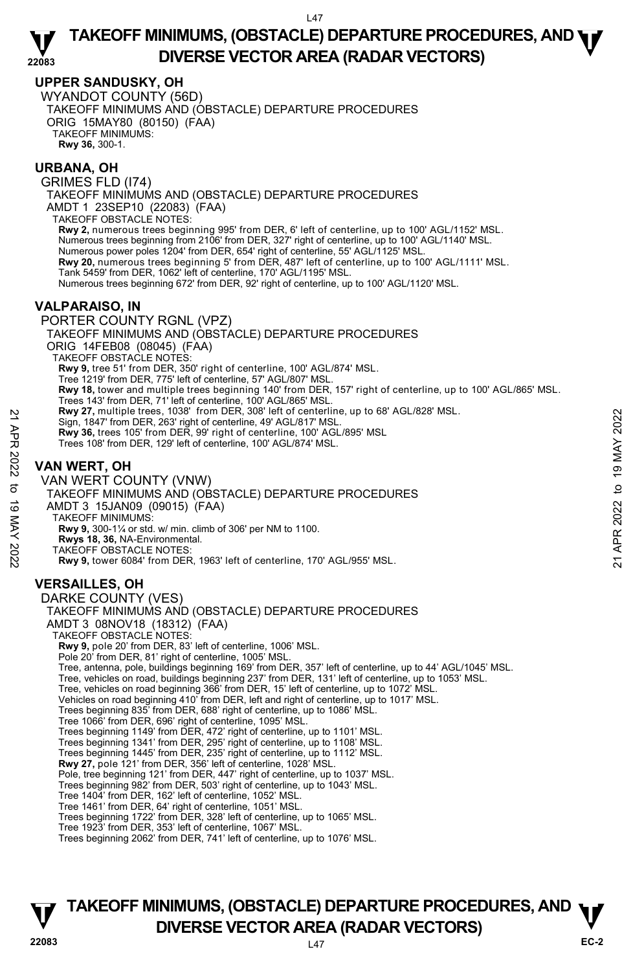### **UPPER SANDUSKY, OH**

WYANDOT COUNTY (56D) TAKEOFF MINIMUMS AND (OBSTACLE) DEPARTURE PROCEDURES ORIG 15MAY80 (80150) (FAA) TAKEOFF MINIMUMS: **Rwy 36,** 300-1.

### **URBANA, OH**

GRIMES FLD (I74) TAKEOFF MINIMUMS AND (OBSTACLE) DEPARTURE PROCEDURES AMDT 1 23SEP10 (22083) (FAA) TAKEOFF OBSTACLE NOTES: **Rwy 2,** numerous trees beginning 995' from DER, 6' left of centerline, up to 100' AGL/1152' MSL. Numerous trees beginning from 2106' from DER, 327' right of centerline, up to 100' AGL/1140' MSL. Numerous power poles 1204' from DER, 654' right of centerline, 55' AGL/1125' MSL. **Rwy 20,** numerous trees beginning 5' from DER, 487' left of centerline, up to 100' AGL/1111' MSL. Tank 5459' from DER, 1062' left of centerline, 170' AGL/1195' MSL. Numerous trees beginning 672' from DER, 92' right of centerline, up to 100' AGL/1120' MSL. **VALPARAISO, IN**  PORTER COUNTY RGNL (VPZ) TAKEOFF MINIMUMS AND (OBSTACLE) DEPARTURE PROCEDURES

ORIG 14FEB08 (08045) (FAA) TAKEOFF OBSTACLE NOTES:

**Rwy 9,** tree 51' from DER, 350' right of centerline, 100' AGL/874' MSL.

Tree 1219' from DER, 775' left of centerline, 57' AGL/807' MSL.

**Rwy 18,** tower and multiple trees beginning 140' from DER, 157' right of centerline, up to 100' AGL/865' MSL.

Trees 143' from DER, 71' left of centerline, 100' AGL/865' MSL.<br>**Rwy 27,** multiple trees, 1038' from DER, 308' left of centerline, up to 68' AGL/828' MSL.

Sign, 1847' from DER, 263' right of centerline, 49' AGL/817' MSL.

**Rwy 36,** trees 105' from DER, 99' right of centerline, 100' AGL/895' MSL

Trees 108' from DER, 129' left of centerline, 100' AGL/874' MSL.

# **VAN WERT, OH**

VAN WERT COUNTY (VNW) TAKEOFF MINIMUMS AND (OBSTACLE) DEPARTURE PROCEDURES AMDT 3 15JAN09 (09015) (FAA) TAKEOFF MINIMUMS: **Rwy 9,** 300-1¼ or std. w/ min. climb of 306' per NM to 1100. **Rwys 18, 36,** NA-Environmental. TAKEOFF OBSTACLE NOTES: **Rwy 9,** tower 6084' from DER, 1963' left of centerline, 170' AGL/955' MSL. Xey 27, multiple trees, 1038 Trom DER, 203 into the High and Sign, 1847 from DER, 263 right of centerline, 49' AGL/817' MSL.<br>
Res 108' from DER, 129' left of centerline, 100' AGL/895' MSL.<br>
Trees 108' from DER, 129' left

# **VERSAILLES, OH**

DARKE COUNTY (VES) TAKEOFF MINIMUMS AND (OBSTACLE) DEPARTURE PROCEDURES AMDT 3 08NOV18 (18312) (FAA) TAKEOFF OBSTACLE NOTES: **Rwy 9,** pole 20' from DER, 83' left of centerline, 1006' MSL. Pole 20' from DER, 81' right of centerline, 1005' MSL. Tree, antenna, pole, buildings beginning 169' from DER, 357' left of centerline, up to 44' AGL/1045' MSL. Tree, vehicles on road, buildings beginning 237' from DER, 131' left of centerline, up to 1053' MSL. Tree, vehicles on road beginning 366' from DER, 15' left of centerline, up to 1072' MSL. Vehicles on road beginning 410' from DER, left and right of centerline, up to 1017' MSL. Trees beginning 835' from DER, 688' right of centerline, up to 1086' MSL. Tree 1066' from DER, 696' right of centerline, 1095' MSL. Trees beginning 1149' from DER, 472' right of centerline, up to 1101' MSL. Trees beginning 1341' from DER, 295' right of centerline, up to 1108' MSL. Trees beginning 1445' from DER, 235' right of centerline, up to 1112' MSL. **Rwy 27,** pole 121' from DER, 356' left of centerline, 1028' MSL.<br>Pole, tree beginning 121' from DER, 447' right of centerline, up to 1037' MSL. Trees beginning 982' from DER, 503' right of centerline, up to 1043' MSL. Tree 1404' from DER, 162' left of centerline, 1052' MSL. Tree 1461' from DER, 64' right of centerline, 1051' MSL. Trees beginning 1722' from DER, 328' left of centerline, up to 1065' MSL. Tree 1923' from DER, 353' left of centerline, 1067' MSL. Trees beginning 2062' from DER, 741' left of centerline, up to 1076' MSL.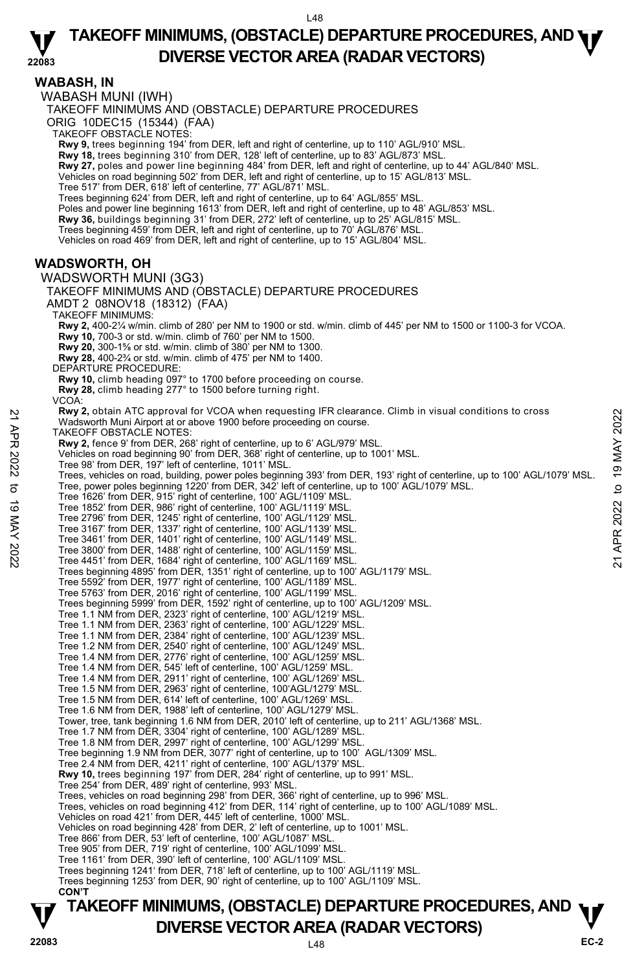**WABASH, IN**  WABASH MUNI (IWH) TAKEOFF MINIMUMS AND (OBSTACLE) DEPARTURE PROCEDURES ORIG 10DEC15 (15344) (FAA) TAKEOFF OBSTACLE NOTES: **Rwy 9,** trees beginning 194' from DER, left and right of centerline, up to 110' AGL/910' MSL. **Rwy 18,** trees beginning 310' from DER, 128' left of centerline, up to 83' AGL/873' MSL. **Rwy 27,** poles and power line beginning 484' from DER, left and right of centerline, up to 44' AGL/840' MSL. Vehicles on road beginning 502' from DER, left and right of centerline, up to 15' AGL/813' MSL. Tree 517' from DER, 618' left of centerline, 77' AGL/871' MSL. Trees beginning 624' from DER, left and right of centerline, up to 64' AGL/855' MSL. Poles and power line beginning 1613' from DER, left and right of centerline, up to 48' AGL/853' MSL. **Rwy 36,** buildings beginning 31' from DER, 272' left of centerline, up to 25' AGL/815' MSL. Trees beginning 459' from DER, left and right of centerline, up to 70' AGL/876' MSL. Vehicles on road 469' from DER, left and right of centerline, up to 15' AGL/804' MSL. **WADSWORTH, OH**  WADSWORTH MUNI (3G3) TAKEOFF MINIMUMS AND (OBSTACLE) DEPARTURE PROCEDURES AMDT 2 08NOV18 (18312) (FAA) TAKEOFF MINIMUMS: **Rwy 2,** 400-2¼ w/min. climb of 280' per NM to 1900 or std. w/min. climb of 445' per NM to 1500 or 1100-3 for VCOA. **Rwy 10,** 700-3 or std. w/min. climb of 760' per NM to 1500. **Rwy 20,** 300-1⅝ or std. w/min. climb of 380' per NM to 1300. **Rwy 28,** 400-2¾ or std. w/min. climb of 475' per NM to 1400. DEPARTURE PROCEDURE **Rwy 10,** climb heading 097° to 1700 before proceeding on course. **Rwy 28,** climb heading 277° to 1500 before turning right. VCOA: **Rwy 2,** obtain ATC approval for VCOA when requesting IFR clearance. Climb in visual conditions to cross Wadsworth Muni Airport at or above 1900 before proceeding on course. TAKEOFF OBSTACLE NOTES: **Rwy 2,** fence 9' from DER, 268' right of centerline, up to 6' AGL/979' MSL. Vehicles on road beginning 90' from DER, 368' right of centerline, up to 1001' MSL. Tree 98' from DER, 197' left of centerline, 1011' MSL. Trees, vehicles on road, building, power poles beginning 393' from DER, 193' right of centerline, up to 100' AGL/1079' MSL.<br>Tree, power poles beginning 1220' from DER, 342' left of centerline, up to 100' AGL/1079' MSL. Tree 1626' from DER, 915' right of centerline, 100' AGL/1109' MSL. Tree 1852' from DER, 986' right of centerline, 100' AGL/1119' MSL. Tree 2796' from DER, 1245' right of centerline, 100' AGL/1129' MSL. Tree 3167' from DER, 1337' right of centerline, 100' AGL/1139' MSL. Tree 3461' from DER, 1401' right of centerline, 100' AGL/1149' MSL. Tree 3800' from DER, 1488' right of centerline, 100' AGL/1159' MSL. Tree 4451' from DER, 1684' right of centerline, 100' AGL/1169' MSL. Trees beginning 4895' from DER, 1351' right of centerline, up to 100' AGL/1179' MSL. Tree 5592' from DER, 1977' right of centerline, 100' AGL/1189' MSL. Tree 5763' from DER, 2016' right of centerline, 100' AGL/1199' MSL. Trees beginning 5999' from DER, 1592' right of centerline, up to 100' AGL/1209' MSL. Tree 1.1 NM from DER, 2323' right of centerline, 100' AGL/1219' MSL. Tree 1.1 NM from DER, 2363' right of centerline, 100' AGL/1229' MSL. Tree 1.1 NM from DER, 2384' right of centerline, 100' AGL/1239' MSL. Tree 1.2 NM from DER, 2540' right of centerline, 100' AGL/1249' MSL. Tree 1.4 NM from DER, 2776' right of centerline, 100' AGL/1259' MSL. Tree 1.4 NM from DER, 545' left of centerline, 100' AGL/1259' MSL. Tree 1.4 NM from DER, 2911' right of centerline, 100' AGL/1269' MSL. Tree 1.5 NM from DER, 2963' right of centerline, 100'AGL/1279' MSL. Tree 1.5 NM from DER, 614' left of centerline, 100' AGL/1269' MSL. Tree 1.6 NM from DER, 1988' left of centerline, 100' AGL/1279' MSL. Tower, tree, tank beginning 1.6 NM from DER, 2010' left of centerline, up to 211' AGL/1368' MSL. Tree 1.7 NM from DER, 3304' right of centerline, 100' AGL/1289' MSL. Tree 1.8 NM from DER, 2997' right of centerline, 100' AGL/1299' MSL. Tree beginning 1.9 NM from DER, 3077' right of centerline, up to 100' AGL/1309' MSL. Tree 2.4 NM from DER, 4211' right of centerline, 100' AGL/1379' MSL.<br>**Rwy 10,** trees beginning 197' from DER, 284' right of centerline, up to 991' MSL. Tree 254' from DER, 489' right of centerline, 993' MSL. Trees, vehicles on road beginning 298' from DER, 366' right of centerline, up to 996' MSL. Trees, vehicles on road beginning 412' from DER, 114' right of centerline, up to 100' AGL/1089' MSL. Vehicles on road 421' from DER, 445' left of centerline, 1000' MSL. Vehicles on road beginning 428' from DER, 2' left of centerline, up to 1001' MSL. Tree 866' from DER, 53' left of centerline, 100' AGL/1087' MSL. Tree 905' from DER, 719' right of centerline, 100' AGL/1099' MSL. Tree 1161' from DER, 390' left of centerline, 100' AGL/1109' MSL. Trees beginning 1241' from DER, 718' left of centerline, up to 100' AGL/1119' MSL. Trees beginning 1253' from DER, 90' right of centerline, up to 100' AGL/1109' MSL.  **CON'T EXAMP 2020 to 19 AT AT 2020** for UCA when requesting IFR clearance. Climb in visual conditions to cross<br>
TAKEOFF OBSTACLE NOTES:<br> **Ray 2,** fence 9' from DER, 268' right of centerline, up to 1001' MSL.<br>
Yehicles on road b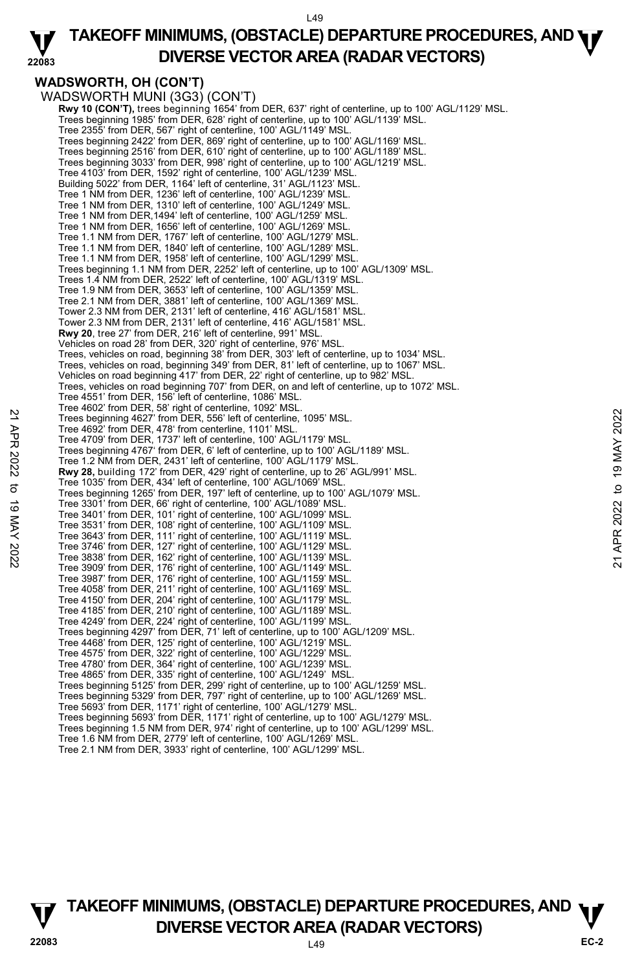

### **WADSWORTH, OH (CON'T)**

WADSWORTH MUNI (3G3) (CON'T) **Rwy 10 (CON'T),** trees beginning 1654' from DER, 637' right of centerline, up to 100' AGL/1129' MSL. Trees beginning 1985' from DER, 628' right of centerline, up to 100' AGL/1139' MSL. Tree 2355' from DER, 567' right of centerline, 100' AGL/1149' MSL. Trees beginning 2422' from DER, 869' right of centerline, up to 100' AGL/1169' MSL. Trees beginning 2516' from DER, 610' right of centerline, up to 100' AGL/1189' MSL. Trees beginning 3033' from DER, 998' right of centerline, up to 100' AGL/1219' MSL. Tree 4103' from DER, 1592' right of centerline, 100' AGL/1239' MSL. Building 5022' from DER, 1164' left of centerline, 31' AGL/1123' MSL. Tree 1 NM from DER, 1236' left of centerline, 100' AGL/1239' MSL. Tree 1 NM from DER, 1310' left of centerline, 100' AGL/1249' MSL. Tree 1 NM from DER,1494' left of centerline, 100' AGL/1259' MSL. Tree 1 NM from DER, 1656' left of centerline, 100' AGL/1269' MSL. Tree 1.1 NM from DER, 1767' left of centerline, 100' AGL/1279' MSL. Tree 1.1 NM from DER, 1840' left of centerline, 100' AGL/1289' MSL. Tree 1.1 NM from DER, 1958' left of centerline, 100' AGL/1299' MSL. Trees beginning 1.1 NM from DER, 2252' left of centerline, up to 100' AGL/1309' MSL. Trees 1.4 NM from DER, 2522' left of centerline, 100' AGL/1319' MSL. Tree 1.9 NM from DER, 3653' left of centerline, 100' AGL/1359' MSL. Tree 2.1 NM from DER, 3881' left of centerline, 100' AGL/1369' MSL. Tower 2.3 NM from DER, 2131' left of centerline, 416' AGL/1581' MSL. Tower 2.3 NM from DER, 2131' left of centerline, 416' AGL/1581' MSL. **Rwy 20**, tree 27' from DER, 216' left of centerline, 991' MSL. Vehicles on road 28' from DER, 320' right of centerline, 976' MSL. Trees, vehicles on road, beginning 38' from DER, 303' left of centerline, up to 1034' MSL. Trees, vehicles on road, beginning 349' from DER, 81' left of centerline, up to 1067' MSL. Vehicles on road beginning 417' from DER, 22' right of centerline, up to 982' MSL. Trees, vehicles on road beginning 707' from DER, on and left of centerline, up to 1072' MSL. Tree 4551' from DER, 156' left of centerline, 1086' MSL. Tree 4602' from DER, 58' right of centerline, 1092' MSL. Trees beginning 4627' from DER, 556' left of centerline, 1095' MSL. Tree 4692' from DER, 478' from centerline, 1101' MSL. Tree 4709' from DER, 1737' left of centerline, 100' AGL/1179' MSL. Trees beginning 4767' from DER, 6' left of centerline, up to 100' AGL/1189' MSL. Tree 1.2 NM from DER, 2431' left of centerline, 100' AGL/1179' MSL. **Rwy 28,** building 172' from DER, 429' right of centerline, up to 26' AGL/991' MSL. Tree 1035' from DER, 434' left of centerline, 100' AGL/1069' MSL. Trees beginning 1265' from DER, 197' left of centerline, up to 100' AGL/1079' MSL. Tree 3301' from DER, 66' right of centerline, 100' AGL/1089' MSL. Tree 3401' from DER, 101' right of centerline, 100' AGL/1099' MSL. Tree 3531' from DER, 108' right of centerline, 100' AGL/1109' MSL. Tree 3643' from DER, 111' right of centerline, 100' AGL/1119' MSL. Tree 3746' from DER, 127' right of centerline, 100' AGL/1129' MSL. Tree 3838' from DER, 162' right of centerline, 100' AGL/1139' MSL. Tree 3909' from DER, 176' right of centerline, 100' AGL/1149' MSL. Tree 3987' from DER, 176' right of centerline, 100' AGL/1159' MSL. Tree 4058' from DER, 211' right of centerline, 100' AGL/1169' MSL. Tree 4150' from DER, 204' right of centerline, 100' AGL/1179' MSL. Tree 4185' from DER, 210' right of centerline, 100' AGL/1189' MSL. Tree 4249' from DER, 224' right of centerline, 100' AGL/1199' MSL. Trees beginning 4297' from DER, 71' left of centerline, up to 100' AGL/1209' MSL. Tree 4468' from DER, 125' right of centerline, 100' AGL/1219' MSL. Tree 4575' from DER, 322' right of centerline, 100' AGL/1229' MSL. Tree 4780' from DER, 364' right of centerline, 100' AGL/1239' MSL. Tree 4865' from DER, 335' right of centerline, 100' AGL/1249' MSL. Trees beginning 5125' from DER, 299' right of centerline, up to 100' AGL/1259' MSL. Trees beginning 5329' from DER, 797' right of centerline, up to 100' AGL/1269' MSL. Tree 5693' from DER, 1171' right of centerline, 100' AGL/1279' MSL. Trees beginning 5693' from DER, 1171' right of centerline, up to 100' AGL/1279' MSL. Trees beginning 1.5 NM from DER, 974' right of centerline, up to 100' AGL/1299' MSL. Tree 1.6 NM from DER, 2779' left of centerline, 100' AGL/1269' MSL. Tree 2.1 NM from DER, 3933' right of centerline, 100' AGL/1299' MSL. Tree 4692' from DER, 478' increased to the three and the CNC and the 478' from DER, 478' from DER, 1966' increasing the 470 of centerline, 100' AGL/1179' MSL.<br>
Tree 4709' from DER, 478' from CHR (6' centerline, up to 100'

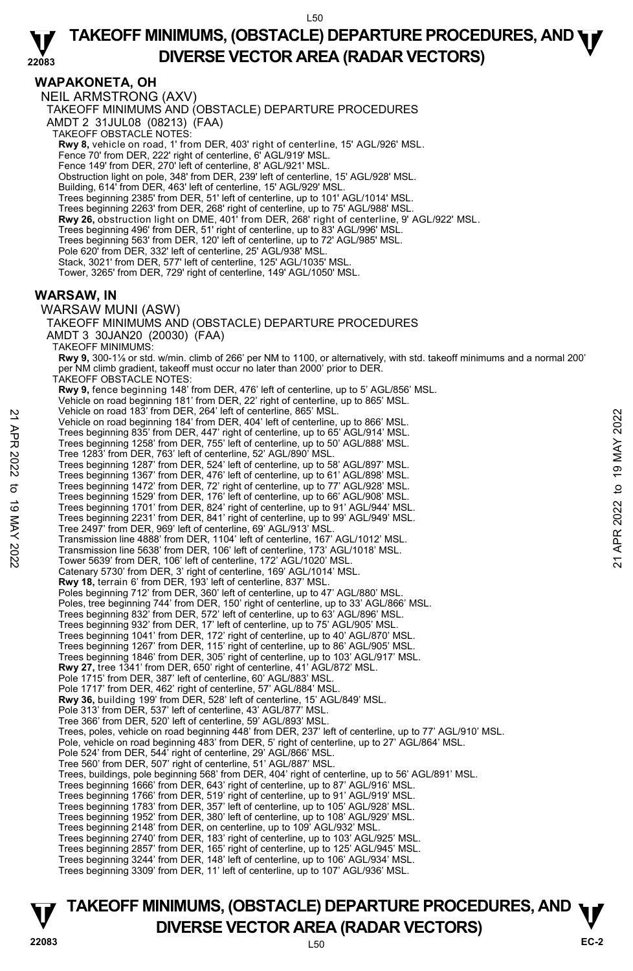#### **22083 TAKEOFF MINIMUMS, (OBSTACLE) DEPARTURE PROCEDURES, AND <b>WE**<br>DREBSE VECTOR AREA (BADAR VECTORS) **DIVERSE VECTOR AREA (RADAR VECTORS)**

### **WAPAKONETA, OH**

NEIL ARMSTRONG (AXV) TAKEOFF MINIMUMS AND (OBSTACLE) DEPARTURE PROCEDURES AMDT 2 31JUL08 (08213) (FAA) TAKEOFF OBSTACLE NOTES: **Rwy 8,** vehicle on road, 1' from DER, 403' right of centerline, 15' AGL/926' MSL.<br>Fence 70' from DER, 222' right of centerline, 6' AGL/919' MSL. Fence 149' from DER, 270' left of centerline, 8' AGL/921' MSL. Obstruction light on pole, 348' from DER, 239' left of centerline, 15' AGL/928' MSL. Building, 614' from DER, 463' left of centerline, 15' AGL/929' MSL. Trees beginning 2385' from DER, 51' left of centerline, up to 101' AGL/1014' MSL. Trees beginning 2263' from DER, 268' right of centerline, up to 75' AGL/988' MSL.<br>**Rwy 26,** obstruction light on DME, 401' from DER, 268' right of centerline, 9' AGL/922' MSL.<br>Trees beginning 496' from DER, 51' right of ce Trees beginning 563' from DER, 120' left of centerline, up to 72' AGL/985' MSL. Pole 620' from DER, 332' left of centerline, 25' AGL/938' MSL. Stack, 3021' from DER, 577' left of centerline, 125' AGL/1035' MSL. Tower, 3265' from DER, 729' right of centerline, 149' AGL/1050' MSL. **WARSAW, IN**  WARSAW MUNI (ASW) TAKEOFF MINIMUMS AND (OBSTACLE) DEPARTURE PROCEDURES AMDT 3 30JAN20 (20030) (FAA) TAKEOFF MINIMUMS: **Rwy 9,** 300-1⅛ or std. w/min. climb of 266' per NM to 1100, or alternatively, with std. takeoff minimums and a normal 200' per NM climb gradient, takeoff must occur no later than 2000' prior to DER. TAKEOFF OBSTACLE NOTES: **Rwy 9,** fence beginning 148' from DER, 476' left of centerline, up to 5' AGL/856' MSL. Vehicle on road beginning 181' from DER, 22' right of centerline, up to 865' MSL. Vehicle on road 183' from DER, 264' left of centerline, 865' MSL. Vehicle on road beginning 184' from DER, 404' left of centerline, up to 866' MSL. Trees beginning 835' from DER, 447' right of centerline, up to 65' AGL/914' MSL. Trees beginning 1258' from DER, 755' left of centerline, up to 50' AGL/888' MSL. Tree 1283' from DER, 763' left of centerline, 52' AGL/890' MSL. Trees beginning 1287' from DER, 524' left of centerline, up to 58' AGL/897' MSL.<br>Trees beginning 1367' from DER, 476' left of centerline, up to 61' AGL/898' MSL.<br>Trees beginning 1472' from DER, 72' right of centerline, up Trees beginning 1529' from DER, 176' left of centerline, up to 66' AGL/908' MSL.<br>Trees beginning 1701' from DER, 824' right of centerline, up to 91' AGL/944' MSL.<br>Trees beginning 2231' from DER, 841' right of centerline, u Tree 2497' from DER, 969' left of centerline, 69' AGL/913' MSL. Transmission line 4888' from DER, 1104' left of centerline, 167' AGL/1012' MSL. Transmission line 5638' from DER, 106' left of centerline, 173' AGL/1018' MSL. Tower 5639' from DER, 106' left of centerline, 172' AGL/1020' MSL. Catenary 5730' from DER, 3' right of centerline, 169' AGL/1014' MSL. **Rwy 18,** terrain 6' from DER, 193' left of centerline, 837' MSL. Poles beginning 712' from DER, 360' left of centerline, up to 47' AGL/880' MSL. Poles, tree beginning 744' from DER, 150' right of centerline, up to 33' AGL/866' MSL. Trees beginning 832' from DER, 572' left of centerline, up to 63' AGL/896' MSL. Trees beginning 932' from DER, 17' left of centerline, up to 75' AGL/905' MSL. Trees beginning 1041' from DER, 172' right of centerline, up to 40' AGL/870' MSL. Trees beginning 1267' from DER, 115' right of centerline, up to 86' AGL/905' MSL. Trees beginning 1846' from DER, 305' right of centerline, up to 103' AGL/917' MSL.<br>**Rwy 27,** tree 1341' from DER, 650' right of centerline, 41' AGL/872' MSL. Pole 1715' from DER, 387' left of centerline, 60' AGL/883' MSL. Pole 1717' from DER, 462' right of centerline, 57' AGL/884' MSL.<br>**Rwy 36,** building 199' from DER, 528' left of centerline, 15' AGL/849' MSL.<br>Pole 313' from DER, 537' left of centerline, 43' AGL/877' MSL. Tree 366' from DER, 520' left of centerline, 59' AGL/893' MSL. Trees, poles, vehicle on road beginning 448' from DER, 237' left of centerline, up to 77' AGL/910' MSL.<br>Pole, vehicle on road beginning 483' from DER, 5' right of centerline, up to 27' AGL/864' MSL. Pole 524' from DER, 544' right of centerline, 29' AGL/866' MSL. Tree 560' from DER, 507' right of centerline, 51' AGL/887' MSL. Trees, buildings, pole beginning 568' from DER, 404' right of centerline, up to 56' AGL/891' MSL. Trees beginning 1666' from DER, 643' right of centerline, up to 87' AGL/916' MSL. Trees beginning 1766' from DER, 519' right of centerline, up to 91' AGL/919' MSL. Trees beginning 1783' from DER, 357' left of centerline, up to 105' AGL/928' MSL. Trees beginning 1952' from DER, 380' left of centerline, up to 108' AGL/929' MSL. Trees beginning 2148' from DER, on centerline, up to 109' AGL/932' MSL. Trees beginning 2740' from DER, 183' right of centerline, up to 103' AGL/925' MSL.<br>Trees beginning 2857' from DER, 165' right of centerline, up to 125' AGL/945' MSL.<br>Trees beginning 3244' from DER, 148' left of centerline, Trees beginning 3309' from DER, 11' left of centerline, up to 107' AGL/936' MSL. Wenicle on road 183' from DER, 40' left of centerline, et bo 866' MSL.<br>
Trees beginning 184' from DER, 404' left of centerline, up to 866' MSL.<br>
Trees beginning 1288' from DER, 755' left of centerline, up to 65' AGL/914'

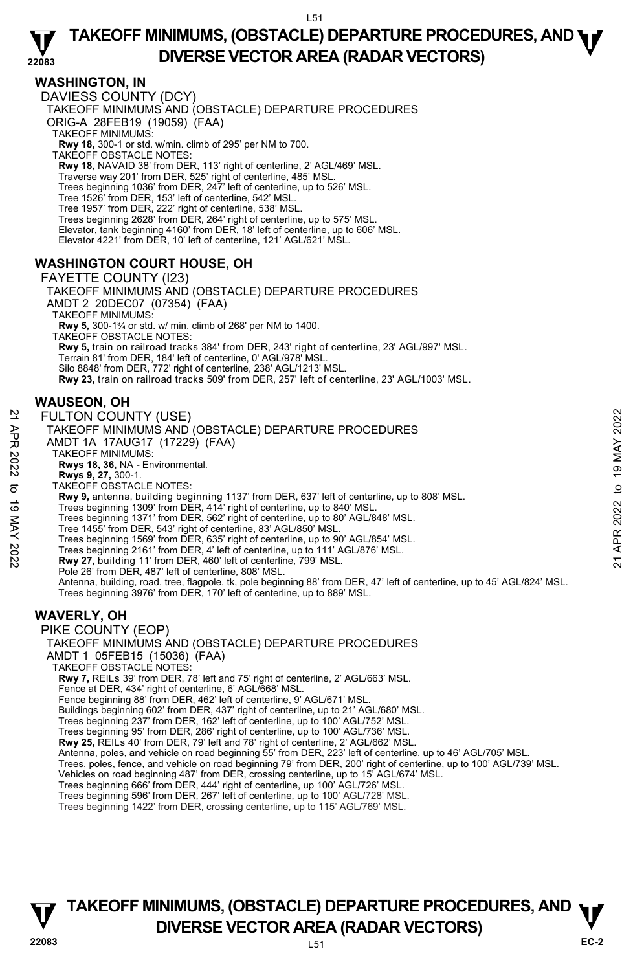### **WASHINGTON, IN**

DAVIESS COUNTY (DCY) TAKEOFF MINIMUMS AND (OBSTACLE) DEPARTURE PROCEDURES ORIG-A 28FEB19 (19059) (FAA) TAKEOFF MINIMUMS: **Rwy 18,** 300-1 or std. w/min. climb of 295' per NM to 700. TAKEOFF OBSTACLE NOTES: **Rwy 18,** NAVAID 38' from DER, 113' right of centerline, 2' AGL/469' MSL. Traverse way 201' from DER, 525' right of centerline, 485' MSL. Trees beginning 1036' from DER, 247' left of centerline, up to 526' MSL. Tree 1526' from DER, 153' left of centerline, 542' MSL. Tree 1957' from DER, 222' right of centerline, 538' MSL. Trees beginning 2628' from DER, 264' right of centerline, up to 575' MSL. Elevator, tank beginning 4160' from DER, 18' left of centerline, up to 606' MSL. Elevator 4221' from DER, 10' left of centerline, 121' AGL/621' MSL.

### **WASHINGTON COURT HOUSE, OH**

FAYETTE COUNTY (I23) TAKEOFF MINIMUMS AND (OBSTACLE) DEPARTURE PROCEDURES AMDT 2 20DEC07 (07354) (FAA) TAKEOFF MINIMUMS: **Rwy 5,** 300-1¾ or std. w/ min. climb of 268' per NM to 1400. TAKEOFF OBSTACLE NOTES: **Rwy 5,** train on railroad tracks 384' from DER, 243' right of centerline, 23' AGL/997' MSL. Terrain 81' from DER, 184' left of centerline, 0' AGL/978' MSL. Silo 8848' from DER, 772' right of centerline, 238' AGL/1213' MSL. **Rwy 23,** train on railroad tracks 509' from DER, 257' left of centerline, 23' AGL/1003' MSL.

### **WAUSEON, OH**

#### FULTON COUNTY (USE)

- TAKEOFF MINIMUMS AND (OBSTACLE) DEPARTURE PROCEDURES AMDT 1A 17AUG17 (17229) (FAA) TAKEOFF MINIMUMS: **Rwys 18, 36,** NA - Environmental. **Rwys 9, 27,** 300-1. TAKEOFF OBSTACLE NOTES: **Rwy 9,** antenna, building beginning 1137' from DER, 637' left of centerline, up to 808' MSL. Trees beginning 1309' from DER, 414' right of centerline, up to 840' MSL. Trees beginning 1371' from DER, 562' right of centerline, up to 80' AGL/848' MSL. Tree 1455' from DER, 543' right of centerline, 83' AGL/850' MSL. Trees beginning 1569' from DER, 635' right of centerline, up to 90' AGL/854' MSL. Trees beginning 2161' from DER, 4' left of centerline, up to 111' AGL/876' MSL.<br>**Rwy 27,** building 11' from DER, 460' left of centerline, 799' MSL. Pole 26' from DER, 487' left of centerline, 808' MSL. Antenna, building, road, tree, flagpole, tk, pole beginning 88' from DER, 47' left of centerline, up to 45' AGL/824' MSL.<br>Trees beginning 3976' from DER, 170' left of centerline, up to 889' MSL. **WAVERLY, OH**  PIKE COUNTY (EOP) TAKEOFF MINIMUMS AND (OBSTACLE) DEPARTURE PROCEDURES AMDT 1 05FEB15 (15036) (FAA) TAKEOFF OBSTACLE NOTES: **Rwy 7,** REILs 39' from DER, 78' left and 75' right of centerline, 2' AGL/663' MSL. Fence at DER, 434' right of centerline, 6' AGL/668' MSL. Fence beginning 88' from DER, 462' left of centerline, 9' AGL/671' MSL. Buildings beginning 602' from DER, 437' right of centerline, up to 21' AGL/680' MSL. Trees beginning 237' from DER, 162' left of centerline, up to 100' AGL/752' MSL. Trees beginning 95' from DER, 286' right of centerline, up to 100' AGL/736' MSL.<br>**Rwy 25,** REILs 40' from DER, 79' left and 78' right of centerline, 2' AGL/662' MSL. FULTON COUNTY (USE)<br>
TAKEOFF MINIMUMS AND (OBSTACLE) DEPARTURE PROCEDURES<br>
AMDT 1A 17AUGG17 (17229) (FAA)<br>
NAWS 18, 36, NA - Environmental.<br>
Rwys 18, 36, NA - Environmental.<br>
Rwys 18, 36, NA - Environmental.<br>
TAKEOFF OBST
	- Antenna, poles, and vehicle on road beginning 55' from DER, 223' left of centerline, up to 46' AGL/705' MSL.
	- Trees, poles, fence, and vehicle on road beginning 79' from DER, 200' right of centerline, up to 100' AGL/739' MSL.<br>Vehicles on road beginning 487' from DER, crossing centerline, up to 15' AGL/674' MSL.
	-
	- Trees beginning 666' from DER, 444' right of centerline, up 100' AGL/726' MSL.
	- Trees beginning 596' from DER, 267' left of centerline, up to 100' AGL/728' MSL.

Trees beginning 1422' from DER, crossing centerline, up to 115' AGL/769' MSL.

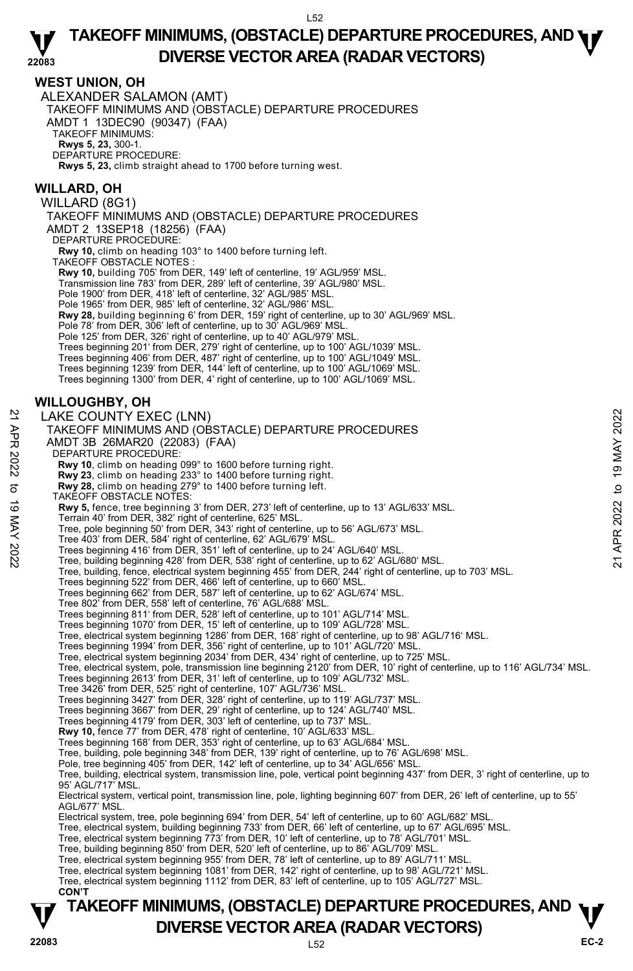### **WEST UNION, OH**

ALEXANDER SALAMON (AMT) TAKEOFF MINIMUMS AND (OBSTACLE) DEPARTURE PROCEDURES AMDT 1 13DEC90 (90347) (FAA) TAKEOFF MINIMUMS: **Rwys 5, 23,** 300-1. DEPARTURE PROCEDURE: **Rwys 5, 23,** climb straight ahead to 1700 before turning west.

### **WILLARD, OH**

WILLARD (8G1) TAKEOFF MINIMUMS AND (OBSTACLE) DEPARTURE PROCEDURES AMDT 2 13SEP18 (18256) (FAA) DEPARTURE PROCEDURE: **Rwy 10,** climb on heading 103° to 1400 before turning left. TAKEOFF OBSTACLE NOTES : **Rwy 10,** building 705' from DER, 149' left of centerline, 19' AGL/959' MSL. Transmission line 783' from DER, 289' left of centerline, 39' AGL/980' MSL. Pole 1900' from DER, 418' left of centerline, 32' AGL/985' MSL. Pole 1965' from DER, 985' left of centerline, 32' AGL/986' MSL. **Rwy 28,** building beginning 6' from DER, 159' right of centerline, up to 30' AGL/969' MSL. Pole 78' from DER, 306' left of centerline, up to 30' AGL/969' MSL

Pole 125' from DER, 326' right of centerline, up to 40' AGL/979' MSL.

Trees beginning 201' from DER, 279' right of centerline, up to 100' AGL/1039' MSL.

Trees beginning 406' from DER, 487' right of centerline, up to 100' AGL/1049' MSL.

Trees beginning 1239' from DER, 144' left of centerline, up to 100' AGL/1069' MSL.

Trees beginning 1300' from DER, 4' right of centerline, up to 100' AGL/1069' MSL.

### **WILLOUGHBY, OH**

LAKE COUNTY EXEC (LNN) TAKEOFF MINIMUMS AND (OBSTACLE) DEPARTURE PROCEDURES AMDT 3B 26MAR20 (22083) (FAA) DEPARTURE PROCEDURE: LAKE COUNTY EXEC (LNN)<br>
TAKEOFF MINIMUMS AND (OBSTACLE) DEPARTURE PROCEDURES<br>
AMDT 3B 26MAR20 (22083) (FAA)<br>
DEPARTURE PROCEDURE:<br>
Rwy 10, climb on heading 039° to 1600 before turning right.<br>
Rwy 10, climb on heading 279°

 **Rwy 10**, climb on heading 099° to 1600 before turning right.

 **Rwy 23**, climb on heading 233° to 1400 before turning right.  **Rwy 28,** climb on heading 279° to 1400 before turning left.

TAKEOFF OBSTACLE NOTES:

**Rwy 5,** fence, tree beginning 3' from DER, 273' left of centerline, up to 13' AGL/633' MSL.<br>Terrain 40' from DER, 382' right of centerline, 625' MSL.

Tree, pole beginning 50' from DER, 343' right of centerline, up to 56' AGL/673' MSL.

Tree 403' from DER, 584' right of centerline, 62' AGL/679' MSL.

Trees beginning 416' from DER, 351' left of centerline, up to 24' AGL/640' MSL.

Tree, building beginning 428' from DER, 538' right of centerline, up to 62' AGL/680' MSL.

Tree, building, fence, electrical system beginning 455' from DER, 244' right of centerline, up to 703' MSL.

Trees beginning 522' from DER, 466' left of centerline, up to 660' MSL. Trees beginning 662' from DER, 587' left of centerline, up to 62' AGL/674' MSL.

Tree 802' from DER, 558' left of centerline, 76' AGL/688' MSL.

Trees beginning 811' from DER, 528' left of centerline, up to 101' AGL/714' MSL.

Trees beginning 1070' from DER, 15' left of centerline, up to 109' AGL/728' MSL.

Tree, electrical system beginning 1286' from DER, 168' right of centerline, up to 98' AGL/716' MSL.<br>Trees beginning 1994' from DER, 356' right of centerline, up to 101' AGL/720' MSL.

Tree, electrical system beginning 2034' from DER, 434' right of centerline, up to 725' MSL.

Tree, electrical system, pole, transmission line beginning 2120' from DER, 10' right of centerline, up to 116' AGL/734' MSL.

- Trees beginning 2613' from DER, 31' left of centerline, up to 109' AGL/732' MSL.
- 

Tree 3426' from DER, 525' right of centerline, 107' AGL/736' MSL.<br>Trees beginning 3427' from DER, 328' right of centerline, up to 119' AGL/737' MSL.<br>Trees beginning 3667' from DER, 29' right of centerline, up to 124' AGL/7

Trees beginning 4179' from DER, 303' left of centerline, up to 737' MSL.

**Rwy 10,** fence 77' from DER, 478' right of centerline, 10' AGL/633' MSL.<br>Trees beginning 168' from DER, 353' right of centerline, up to 63' AGL/684' MSL.

Tree, building, pole beginning 348' from DER, 139' right of centerline, up to 76' AGL/698' MSL.

Pole, tree beginning 405' from DER, 142' left of centerline, up to 34' AGL/656' MSL

Tree, building, electrical system, transmission line, pole, vertical point beginning 437' from DER, 3' right of centerline, up to 95' AGL/717' MSL.

Electrical system, vertical point, transmission line, pole, lighting beginning 607' from DER, 26' left of centerline, up to 55' AGL/677' MSL.

Electrical system, tree, pole beginning 694' from DER, 54' left of centerline, up to 60' AGL/682' MSL.

Tree, electrical system, building beginning 733' from DER, 66' left of centerline, up to 67' AGL/695' MSL.

Tree, electrical system beginning 773' from DER, 10' left of centerline, up to 78' AGL/701' MSL.

Tree, building beginning 850' from DER, 520' left of centerline, up to 86' AGL/709' MSL.

Tree, electrical system beginning 955' from DER, 78' left of centerline, up to 89' AGL/711' MSL.

Tree, electrical system beginning 1081' from DER, 142' right of centerline, up to 98' AGL/721' MSL.

Tree, electrical system beginning 1112' from DER, 83' left of centerline, up to 105' AGL/727' MSL.  **CON'T**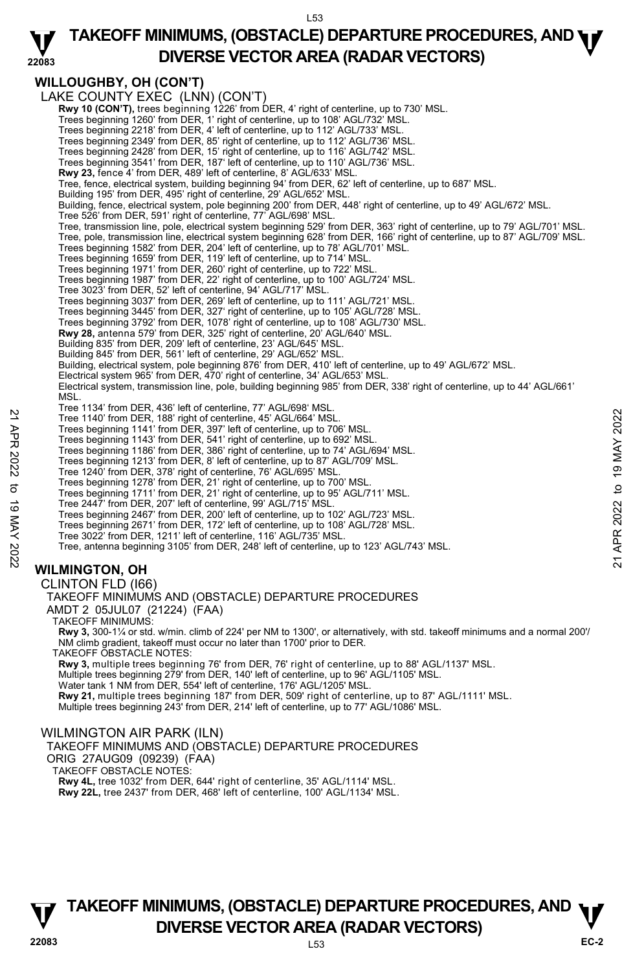

### **WILLOUGHBY, OH (CON'T)**

|             | <b>WILLOUGHBY, OH (CON'T)</b>                                                                                                                                                              |                |
|-------------|--------------------------------------------------------------------------------------------------------------------------------------------------------------------------------------------|----------------|
|             | LAKE COUNTY EXEC (LNN) (CON'T)                                                                                                                                                             |                |
|             | Rwy 10 (CON'T), trees beginning 1226' from DER, 4' right of centerline, up to 730' MSL.                                                                                                    |                |
|             | Trees beginning 1260' from DER, 1' right of centerline, up to 108' AGL/732' MSL.                                                                                                           |                |
|             | Trees beginning 2218' from DER, 4' left of centerline, up to 112' AGL/733' MSL.                                                                                                            |                |
|             | Trees beginning 2349' from DER, 85' right of centerline, up to 112' AGL/736' MSL.                                                                                                          |                |
|             | Trees beginning 2428' from DER, 15' right of centerline, up to 116' AGL/742' MSL.                                                                                                          |                |
|             | Trees beginning 3541' from DER, 187' left of centerline, up to 110' AGL/736' MSL.                                                                                                          |                |
|             | <b>Rwy 23,</b> fence 4' from DER, 489' left of centerline, 8' AGL/633' MSL.                                                                                                                |                |
|             | Tree, fence, electrical system, building beginning 94' from DER, 62' left of centerline, up to 687' MSL.                                                                                   |                |
|             | Building 195' from DER, 495' right of centerline, 29' AGL/652' MSL.<br>Building, fence, electrical system, pole beginning 200' from DER, 448' right of centerline, up to 49' AGL/672' MSL. |                |
|             | Tree 526' from DER, 591' right of centerline, 77' AGL/698' MSL.                                                                                                                            |                |
|             | Tree, transmission line, pole, electrical system beginning 529' from DER, 363' right of centerline, up to 79' AGL/701' MSL.                                                                |                |
|             | Tree, pole, transmission line, electrical system beginning 628' from DER, 166' right of centerline, up to 87' AGL/709' MSL.                                                                |                |
|             | Trees beginning 1582' from DER, 204' left of centerline, up to 78' AGL/701' MSL.                                                                                                           |                |
|             | Trees beginning 1659' from DER, 119' left of centerline, up to 714' MSL.                                                                                                                   |                |
|             | Trees beginning 1971' from DER, 260' right of centerline, up to 722' MSL.                                                                                                                  |                |
|             | Trees beginning 1987' from DER, 22' right of centerline, up to 100' AGL/724' MSL.                                                                                                          |                |
|             | Tree 3023' from DER, 52' left of centerline, 94' AGL/717' MSL.                                                                                                                             |                |
|             | Trees beginning 3037' from DER, 269' left of centerline, up to 111' AGL/721' MSL.                                                                                                          |                |
|             | Trees beginning 3445' from DER, 327' right of centerline, up to 105' AGL/728' MSL.                                                                                                         |                |
|             | Trees beginning 3792' from DER, 1078' right of centerline, up to 108' AGL/730' MSL.<br>Rwy 28, antenna 579' from DER, 325' right of centerline, 20' AGL/640' MSL.                          |                |
|             | Building 835' from DER, 209' left of centerline, 23' AGL/645' MSL.                                                                                                                         |                |
|             | Building 845' from DER, 561' left of centerline, 29' AGL/652' MSL.                                                                                                                         |                |
|             | Building, electrical system, pole beginning 876' from DER, 410' left of centerline, up to 49' AGL/672' MSL.                                                                                |                |
|             | Electrical system 965' from DER, 470' right of centerline, 34' AGL/653' MSL.                                                                                                               |                |
|             | Electrical system, transmission line, pole, building beginning 985' from DER, 338' right of centerline, up to 44' AGL/661'                                                                 |                |
|             | MSL.                                                                                                                                                                                       |                |
|             | Tree 1134' from DER, 436' left of centerline, 77' AGL/698' MSL.                                                                                                                            |                |
|             | Tree 1140' from DER, 188' right of centerline, 45' AGL/664' MSL.                                                                                                                           | 2022           |
|             | Trees beginning 1141' from DER, 397' left of centerline, up to 706' MSL.                                                                                                                   |                |
|             | Trees beginning 1143' from DER, 541' right of centerline, up to 692' MSL.<br>Trees beginning 1186' from DER, 386' right of centerline, up to 74' AGL/694' MSL.                             |                |
| 21 APR 2022 | Trees beginning 1213' from DER, 8' left of centerline, up to 87' AGL/709' MSL.                                                                                                             | 19 MAY         |
|             | Tree 1240' from DER, 378' right of centerline, 76' AGL/695' MSL.                                                                                                                           |                |
|             | Trees beginning 1278' from DER, 21' right of centerline, up to 700' MSL.                                                                                                                   |                |
| ಕ           | Trees beginning 1711' from DER, 21' right of centerline, up to 95' AGL/711' MSL.                                                                                                           | $\mathbf{a}$   |
|             | Tree 2447' from DER, 207' left of centerline, 99' AGL/715' MSL.                                                                                                                            |                |
|             | Trees beginning 2467' from DER, 200' left of centerline, up to 102' AGL/723' MSL.                                                                                                          | 2022           |
|             | Trees beginning 2671' from DER, 172' left of centerline, up to 108' AGL/728' MSL.                                                                                                          |                |
|             | Tree 3022' from DER, 1211' left of centerline, 116' AGL/735' MSL.                                                                                                                          | APR.           |
|             | Tree, antenna beginning 3105' from DER, 248' left of centerline, up to 123' AGL/743' MSL.                                                                                                  |                |
| 19 MAY 2022 |                                                                                                                                                                                            | $\overline{2}$ |
|             | <b>WILMINGTON, OH</b>                                                                                                                                                                      |                |
|             | CLINTON FLD (166)                                                                                                                                                                          |                |
|             | TAKEOFF MINIMUMS AND (OBSTACLE) DEPARTURE PROCEDURES                                                                                                                                       |                |
|             | AMDT 2 05JUL07 (21224) (FAA)                                                                                                                                                               |                |
|             | <b>TAKEOFF MINIMUMS:</b>                                                                                                                                                                   |                |
|             | Rwy 3, 300-1¼ or std. w/min. climb of 224' per NM to 1300', or alternatively, with std. takeoff minimums and a normal 200'/                                                                |                |
|             | NM climb gradient, takeoff must occur no later than 1700' prior to DER.                                                                                                                    |                |
|             | TAKEOFF OBSTACLE NOTES:                                                                                                                                                                    |                |
|             | Rwy 3, multiple trees beginning 76' from DER, 76' right of centerline, up to 88' AGL/1137' MSL.                                                                                            |                |
|             | Multiple trees beginning 279' from DER, 140' left of centerline, up to 96' AGL/1105' MSL.<br>Water tank 1 NM from DER, 554' left of centerline, 176' AGL/1205' MSL.                        |                |
|             | 071 A 01 144441 1401                                                                                                                                                                       |                |

Water tank 1 NM from DER, 554' left of centerline, 176' AGL/1205' MSL.<br>**Rwy 21,** multiple trees beginning 187' from DER, 509' right of centerline, up to 87' AGL/1111' MSL.<br>Multiple trees beginning 243' from DER, 214' left

### WILMINGTON AIR PARK (ILN)

TAKEOFF MINIMUMS AND (OBSTACLE) DEPARTURE PROCEDURES

ORIG 27AUG09 (09239) (FAA)

TAKEOFF OBSTACLE NOTES: **Rwy 4L,** tree 1032' from DER, 644' right of centerline, 35' AGL/1114' MSL.

**Rwy 22L,** tree 2437' from DER, 468' left of centerline, 100' AGL/1134' MSL.

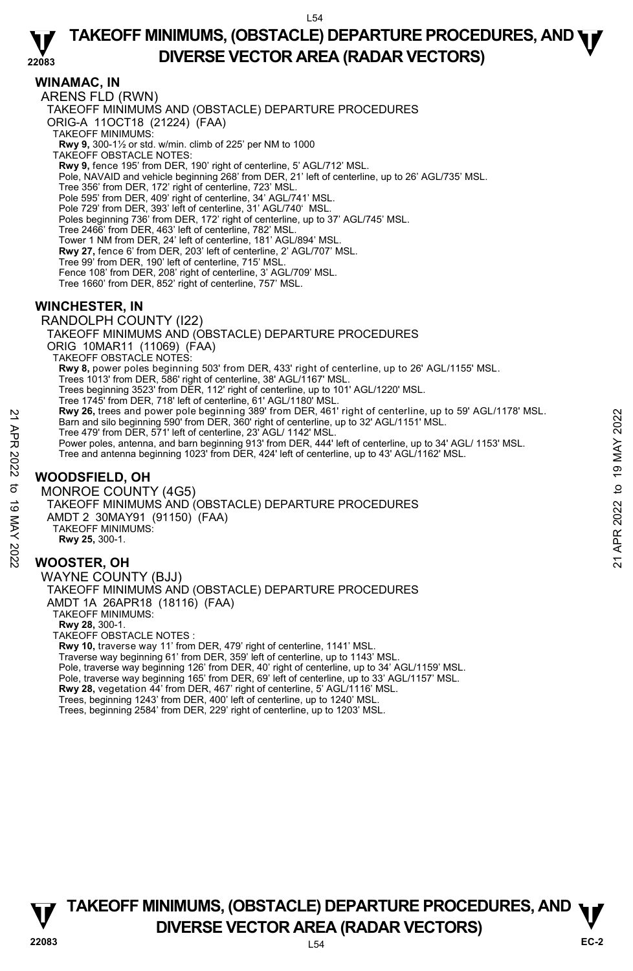# **TAKEOFF MINIMUMS, (OBSTACLE) DEPARTURE PROCEDURES, AND <b>WE**<br>DREBSE VECTOR AREA (BADAR VECTORS) **DIVERSE VECTOR AREA (RADAR VECTORS)**

### **WINAMAC, IN**

**22083**  ARENS FLD (RWN) TAKEOFF MINIMUMS AND (OBSTACLE) DEPARTURE PROCEDURES ORIG-A 11OCT18 (21224) (FAA) TAKEOFF MINIMUMS: **Rwy 9,** 300-1½ or std. w/min. climb of 225' per NM to 1000 TAKEOFF OBSTACLE NOTES: **Rwy 9,** fence 195' from DER, 190' right of centerline, 5' AGL/712' MSL. Pole, NAVAID and vehicle beginning 268' from DER, 21' left of centerline, up to 26' AGL/735' MSL. Tree 356' from DER, 172' right of centerline, 723' MSL. Pole 595' from DER, 409' right of centerline, 34' AGL/741' MSL. Pole 729' from DER, 393' left of centerline, 31' AGL/740' MSL. Poles beginning 736' from DER, 172' right of centerline, up to 37' AGL/745' MSL. Tree 2466' from DER, 463' left of centerline, 782' MSL. Tower 1 NM from DER, 24' left of centerline, 181' AGL/894' MSL. **Rwy 27,** fence 6' from DER, 203' left of centerline, 2' AGL/707' MSL. Tree 99' from DER, 190' left of centerline, 715' MSL. Fence 108' from DER, 208' right of centerline, 3' AGL/709' MSL. Tree 1660' from DER, 852' right of centerline, 757' MSL. **WINCHESTER, IN**  RANDOLPH COUNTY (I22) TAKEOFF MINIMUMS AND (OBSTACLE) DEPARTURE PROCEDURES ORIG 10MAR11 (11069) (FAA) TAKEOFF OBSTACLE NOTES: **Rwy 8,** power poles beginning 503' from DER, 433' right of centerline, up to 26' AGL/1155' MSL. Trees 1013' from DER, 586' right of centerline, 38' AGL/1167' MSL. Trees beginning 3523' from DER, 112' right of centerline, up to 101' AGL/1220' MSL. Tree 1745' from DER, 718' left of centerline, 61' AGL/1180' MSL.<br>**Rwy 26,** trees and power pole beginning 389' from DER, 461' right of centerline, up to 59' AGL/1178' MSL. Barn and silo beginning 590' from DER, 360' right of centerline, up to 32' AGL/1151' MSL. Tree 479' from DER, 571' left of centerline, 23' AGL/ 1142' MSL. Power poles, antenna, and barn beginning 913' from DER, 444' left of centerline, up to 34' AGL/ 1153' MSL. Tree and antenna beginning 1023' from DER, 424' left of centerline, up to 43' AGL/1162' MSL.

# **WOODSFIELD, OH**

MONROE COUNTY (4G5) TAKEOFF MINIMUMS AND (OBSTACLE) DEPARTURE PROCEDURES AMDT 2 30MAY91 (91150) (FAA) TAKEOFF MINIMUMS: **Rwy 25,** 300-1. Example of Discount Pole Deginning 399' from DER, 360' right of centerline, up to 32' AGL/1151' MSL.<br>
The 479' from DER, 571' left of centerline, up to 32' AGL/1151' MSL.<br>
Tree 479' from DER, 571' left of centerline, up t

### **WOOSTER, OH**

WAYNE COUNTY (BJJ) TAKEOFF MINIMUMS AND (OBSTACLE) DEPARTURE PROCEDURES AMDT 1A 26APR18 (18116) (FAA) TAKEOFF MINIMUMS: **Rwy 28,** 300-1. TAKEOFF OBSTACLE NOTES : **Rwy 10,** traverse way 11' from DER, 479' right of centerline, 1141' MSL.

Traverse way beginning 61' from DER, 359' left of centerline, up to 1143' MSL Pole, traverse way beginning 126' from DER, 40' right of centerline, up to 34' AGL/1159' MSL. Pole, traverse way beginning 165' from DER, 69' left of centerline, up to 33' AGL/1157' MSL. **Rwy 28,** vegetation 44' from DER, 467' right of centerline, 5' AGL/1116' MSL. Trees, beginning 1243' from DER, 400' left of centerline, up to 1240' MSL. Trees, beginning 2584' from DER, 229' right of centerline, up to 1203' MSL.

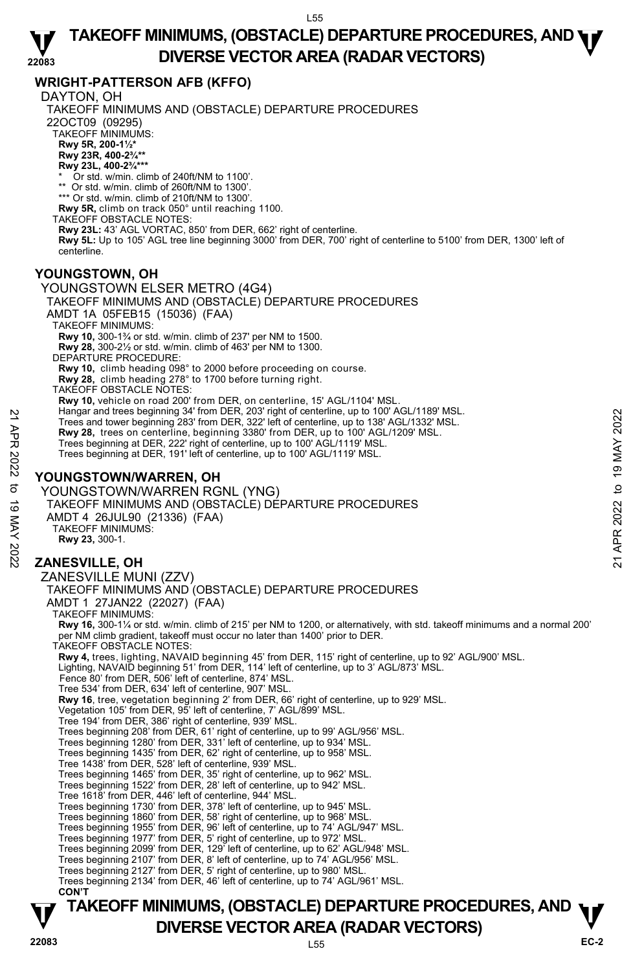#### **22083 TAKEOFF MINIMUMS, (OBSTACLE) DEPARTURE PROCEDURES, AND <b>WE**<br>DREBSE VECTOR AREA (BADAR VECTORS) **DIVERSE VECTOR AREA (RADAR VECTORS)**

# **WRIGHT-PATTERSON AFB (KFFO)**

DAYTON, OH

TAKEOFF MINIMUMS AND (OBSTACLE) DEPARTURE PROCEDURES 22OCT09 (09295) TAKEOFF MINIMUMS: **Rwy 5R, 200-1½\* Rwy 23R, 400-2¾\*\* Rwy 23L, 400-2¾\*\*\*** Or std. w/min. climb of 240ft/NM to 1100'. \*\* Or std. w/min. climb of 260ft/NM to 1300 \*\*\* Or std. w/min. climb of 210ft/NM to 1300'. **Rwy 5R,** climb on track 050° until reaching 1100. TAKEOFF OBSTACLE NOTES: **Rwy 23L:** 43' AGL VORTAC, 850' from DER, 662' right of centerline.  **Rwy 5L:** Up to 105' AGL tree line beginning 3000' from DER, 700' right of centerline to 5100' from DER, 1300' left of centerline. **YOUNGSTOWN, OH**  YOUNGSTOWN ELSER METRO (4G4) TAKEOFF MINIMUMS AND (OBSTACLE) DEPARTURE PROCEDURES AMDT 1A 05FEB15 (15036) (FAA) TAKEOFF MINIMUMS: **Rwy 10,** 300-1¾ or std. w/min. climb of 237' per NM to 1500. **Rwy 28,** 300-2½ or std. w/min. climb of 463' per NM to 1300. DEPARTURE PROCEDURE: **Rwy 10,** climb heading 098° to 2000 before proceeding on course. **Rwy 28,** climb heading 278° to 1700 before turning right. TAKEOFF OBSTACLE NOTES: **Rwy 10,** vehicle on road 200' from DER, on centerline, 15' AGL/1104' MSL.<br>Hangar and trees beginning 34' from DER, 203' right of centerline, up to 100' AGL/1189' MSL. Trees and tower beginning 283' from DER, 322' left of centerline, up to 138' AGL/1332' MSL. **Rwy 28,** trees on centerline, beginning 3380' from DER, up to 100' AGL/1209' MSL. Trees beginning at DER, 222' right of centerline, up to 100' AGL/1119' MSL. Trees beginning at DER, 191' left of centerline, up to 100' AGL/1119' MSL. **YOUNGSTOWN/WARREN, OH**  YOUNGSTOWN/WARREN RGNL (YNG) TAKEOFF MINIMUMS AND (OBSTACLE) DEPARTURE PROCEDURES AMDT 4 26JUL90 (21336) (FAA) TAKEOFF MINIMUMS: **Rwy 23,** 300-1. **ZANESVILLE, OH**  ZANESVILLE MUNI (ZZV) TAKEOFF MINIMUMS AND (OBSTACLE) DEPARTURE PROCEDURES AMDT 1 27JAN22 (22027) (FAA) TAKEOFF MINIMUMS: **Rwy 16,** 300-1¼ or std. w/min. climb of 215' per NM to 1200, or alternatively, with std. takeoff minimums and a normal 200' per NM climb gradient, takeoff must occur no later than 1400' prior to DER. TAKEOFF OBSTACLE NOTES: **Rwy 4,** trees, lighting, NAVAID beginning 45' from DER, 115' right of centerline, up to 92' AGL/900' MSL.<br>Lighting, NAVAID beginning 51' from DER, 114' left of centerline, up to 3' AGL/873' MSL. Fence 80' from DER, 506' left of centerline, 874' MSL. Tree 534' from DER, 634' left of centerline, 907' MSL. **Rwy 16**, tree, vegetation beginning 2' from DER, 66' right of centerline, up to 929' MSL.<br>Vegetation 105' from DER, 95' left of centerline, 7' AGL/899' MSL. Tree 194' from DER, 386' right of centerline, 939' MSL. Trees beginning 208' from DER, 61' right of centerline, up to 99' AGL/956' MSL. Trees beginning 1280' from DER, 331' left of centerline, up to 934' MSL. Trees beginning 1435' from DER, 62' right of centerline, up to 958' MSL. Tree 1438' from DER, 528' left of centerline, 939' MSL. Trees beginning 1465' from DER, 35' right of centerline, up to 962' MSL. Trees beginning 1522' from DER, 28' left of centerline, up to 942' MSL. Tree 1618' from DER, 446' left of centerline, 944' MSL. Trees beginning 1730' from DER, 378' left of centerline, up to 945' MSL. Trees beginning 1860' from DER, 58' right of centerline, up to 968' MSL. Trees beginning 1955' from DER, 96' left of centerline, up to 74' AGL/947' MSL. Trees beginning 1977' from DER, 5' right of centerline, up to 972' MSL.<br>Trees beginning 2099' from DER, 129' left of centerline, up to 62' AGL/948' MSL.<br>Trees beginning 2107' from DER, 8' left of centerline, up to 74' AGL/ Trees beginning 2127' from DER, 5' right of centerline, up to 980' MSL. Trees beginning 2134' from DER, 46' left of centerline, up to 74' AGL/961' MSL.  **CON'T** Trees and trees beginning 343 from DER, 332' left of centerline, up to 138' AGL/1332' MSL.<br>
Trees beginning 383' from DER, 322' left of centerline, up to 138' AGL/1332' MSL.<br> **Rwy 28**, trees on centerline, beginning 3380'